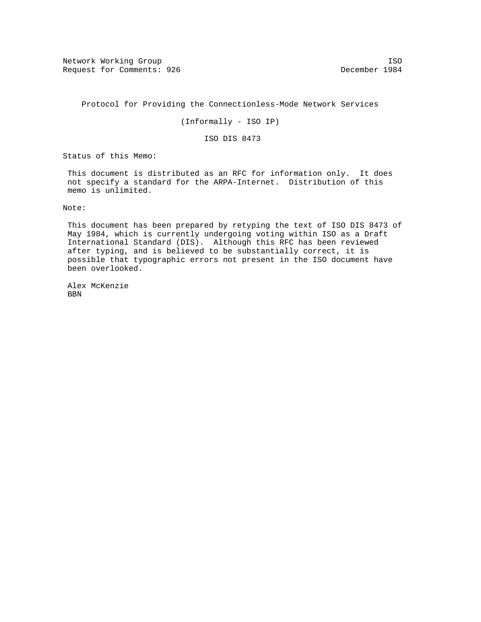Network Working Group and the state of the state of the state of the state of the state of the state of the state of the state of the state of the state of the state of the state of the state of the state of the state of t Request for Comments: 926 December 1984

Protocol for Providing the Connectionless-Mode Network Services

(Informally - ISO IP)

ISO DIS 8473

Status of this Memo:

 This document is distributed as an RFC for information only. It does not specify a standard for the ARPA-Internet. Distribution of this memo is unlimited.

Note:

 This document has been prepared by retyping the text of ISO DIS 8473 of May 1984, which is currently undergoing voting within ISO as a Draft International Standard (DIS). Although this RFC has been reviewed after typing, and is believed to be substantially correct, it is possible that typographic errors not present in the ISO document have been overlooked.

 Alex McKenzie BBN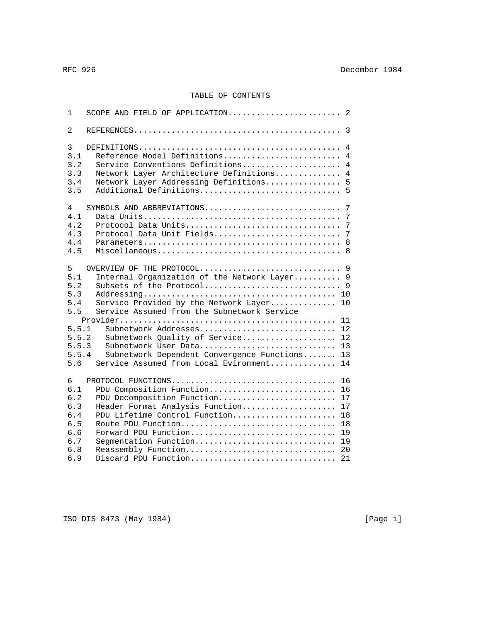# TABLE OF CONTENTS

| 1                                                                               | SCOPE AND FIELD OF APPLICATION<br>2                                                                                                                                                                                                                                                                                                                                                                                              |
|---------------------------------------------------------------------------------|----------------------------------------------------------------------------------------------------------------------------------------------------------------------------------------------------------------------------------------------------------------------------------------------------------------------------------------------------------------------------------------------------------------------------------|
| 2                                                                               | 3                                                                                                                                                                                                                                                                                                                                                                                                                                |
| 3<br>3.1<br>3.2<br>3.3<br>3.4<br>3.5                                            | 4<br>Reference Model Definitions<br>$\overline{4}$<br>Service Conventions Definitions<br>$\overline{4}$<br>Network Layer Architecture Definitions<br>$\overline{4}$<br>5<br>Network Layer Addressing Definitions<br>5<br>Additional Definitions                                                                                                                                                                                  |
| 4<br>4.1<br>4.2<br>4.3<br>4.4<br>4.5                                            | SYMBOLS AND ABBREVIATIONS<br>7<br>7<br>7<br>Protocol Data Units<br>Protocol Data Unit Fields<br>7<br>8<br>8                                                                                                                                                                                                                                                                                                                      |
| 5<br>5.1<br>5.2<br>5.3<br>5.4<br>5.5<br>5.5.1<br>5.5.2<br>5.5.3<br>5.5.4<br>5.6 | OVERVIEW OF THE PROTOCOL<br>9<br>Internal Organization of the Network Layer<br>9<br>9<br>Subsets of the Protocol<br>10<br>Service Provided by the Network Layer<br>10<br>Service Assumed from the Subnetwork Service<br>11<br>Subnetwork Addresses<br>12<br>Subnetwork Quality of Service<br>12<br>Subnetwork User Data<br>13<br>Subnetwork Dependent Convergence Functions<br>13<br>Service Assumed from Local Evironment<br>14 |
| 6<br>6.1<br>6.2<br>6.3<br>6.4<br>6.5<br>6.6<br>6.7<br>6.8<br>6.9                | PROTOCOL FUNCTIONS<br>16<br>PDU Composition Function<br>16<br>17<br>PDU Decomposition Function<br>Header Format Analysis Function<br>17<br>PDU Lifetime Control Function<br>18<br>Route PDU Function<br>18<br>Forward PDU Function<br>19<br>Segmentation Function<br>19<br>Reassembly Function<br>20<br>Discard PDU Function<br>21                                                                                               |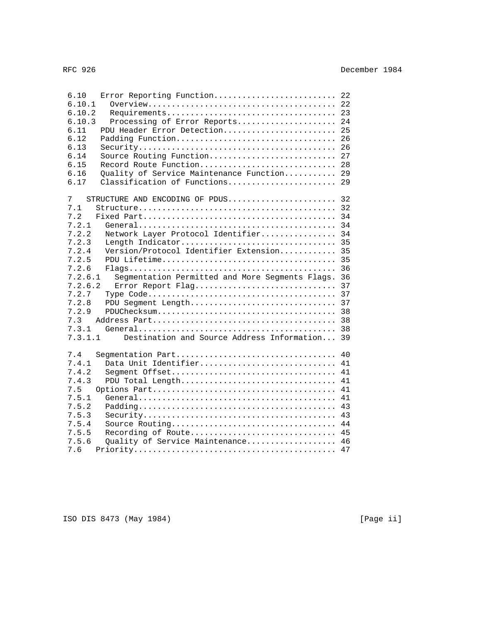| 6.10<br>Error Reporting Function<br>22                           |  |
|------------------------------------------------------------------|--|
| 6.10.1<br>22                                                     |  |
| 6.10.2<br>23                                                     |  |
| 6.10.3<br>Processing of Error Reports<br>24                      |  |
| 6.11<br>25<br>PDU Header Error Detection                         |  |
| 6.12<br>Padding Function<br>26                                   |  |
| 6.13<br>26                                                       |  |
| 6.14<br>Source Routing Function<br>27                            |  |
| 6.15<br>Record Route Function<br>28                              |  |
| 6.16<br>Quality of Service Maintenance Function<br>29            |  |
| 6.17<br>Classification of Functions<br>29                        |  |
|                                                                  |  |
| STRUCTURE AND ENCODING OF PDUS 32<br>$7\overline{ }$             |  |
| 7.1<br>32                                                        |  |
| 7.2<br>34                                                        |  |
| 7.2.1<br>34                                                      |  |
| 7.2.2<br>Network Layer Protocol Identifier<br>34                 |  |
| 7.2.3<br>Length Indicator<br>35                                  |  |
| 7.2.4<br>Version/Protocol Identifier Extension<br>35             |  |
| 7.2.5<br>35                                                      |  |
| 7.2.6<br>36                                                      |  |
| 7.2.6.1<br>Segmentation Permitted and More Segments Flags.<br>36 |  |
| 7.2.6.2<br>37                                                    |  |
| Error Report Flag<br>7.2.7                                       |  |
| 37                                                               |  |
| 7.2.8<br>PDU Segment Length<br>37                                |  |
| 7.2.9<br>38                                                      |  |
| 7.3<br>38                                                        |  |
| 7.3.1<br>38                                                      |  |
| 7.3.1.1<br>Destination and Source Address Information<br>39      |  |
| Segmentation Part<br>7.4<br>40                                   |  |
| 7.4.1<br>Data Unit Identifier<br>41                              |  |
|                                                                  |  |
| 7.4.2<br>Segment Offset<br>41                                    |  |
| 7.4.3<br>PDU Total Length<br>41                                  |  |
| 7.5<br>41                                                        |  |
| 7.5.1<br>41                                                      |  |
| 7.5.2<br>43                                                      |  |
| 7.5.3<br>43                                                      |  |
| 7.5.4<br>Source Routing<br>44                                    |  |
| 7.5.5<br>Recording of Route<br>45                                |  |
| 7.5.6<br>Quality of Service Maintenance<br>46                    |  |
| 7.6<br>47                                                        |  |

ISO DIS 8473 (May 1984) [Page ii]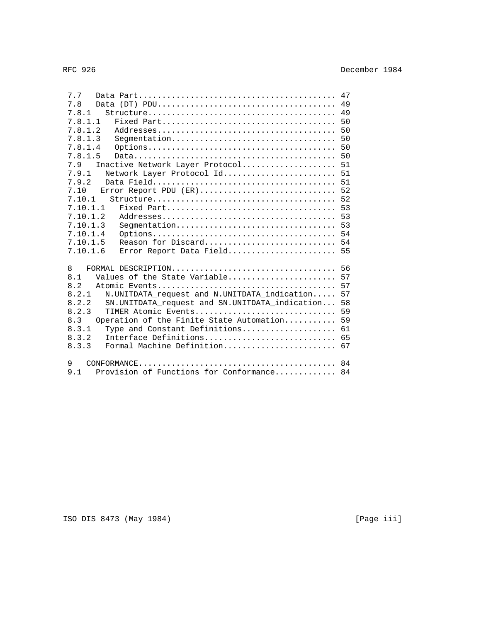| 7.7<br>7.8<br>7.8.1<br>7.8.1.1<br>7.8.1.2<br>7.8.1.3<br>Seqmentation<br>7.8.1.4<br>7.8.1.5<br>7.9<br>Inactive Network Layer Protocol<br>7.9.1<br>Network Layer Protocol Id<br>7.9.2<br>Error Report PDU (ER)<br>7.10<br>7.10.1<br>$Structure$<br>7.10.1.1<br>7.10.1.2<br>7.10.1.3<br>Segmentation<br>7.10.1.4                                                                | 47<br>49<br>49<br>50<br>50<br>50<br>50<br>50<br>51<br>51<br>51<br>52<br>52<br>53<br>53<br>53<br>54 |
|------------------------------------------------------------------------------------------------------------------------------------------------------------------------------------------------------------------------------------------------------------------------------------------------------------------------------------------------------------------------------|----------------------------------------------------------------------------------------------------|
| 7.10.1.5<br>Reason for Discard<br>Error Report Data Field<br>7.10.1.6                                                                                                                                                                                                                                                                                                        | 54<br>55                                                                                           |
| 8<br>8.1<br>Values of the State Variable<br>8.2<br>8.2.1<br>N. UNITDATA_request and N. UNITDATA_indication<br>8.2.2<br>SN. UNITDATA_request and SN. UNITDATA_indication<br>8.2.3<br>TIMER Atomic Events<br>Operation of the Finite State Automation<br>8.3<br>8.3.1<br>Type and Constant Definitions<br>8.3.2<br>Interface Definitions<br>8.3.3<br>Formal Machine Definition | 56<br>57<br>57<br>57<br>58<br>59<br>59<br>61<br>65<br>67                                           |
| 9<br>9.1<br>Provision of Functions for Conformance 84                                                                                                                                                                                                                                                                                                                        |                                                                                                    |

ISO DIS 8473 (May 1984) [Page iii]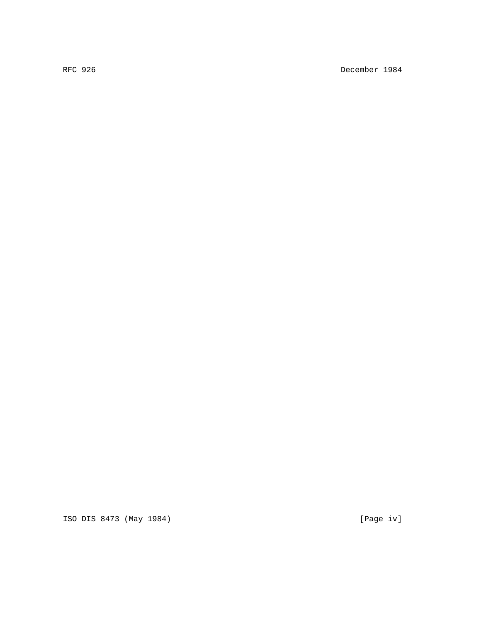ISO DIS 8473 (May 1984) [Page iv]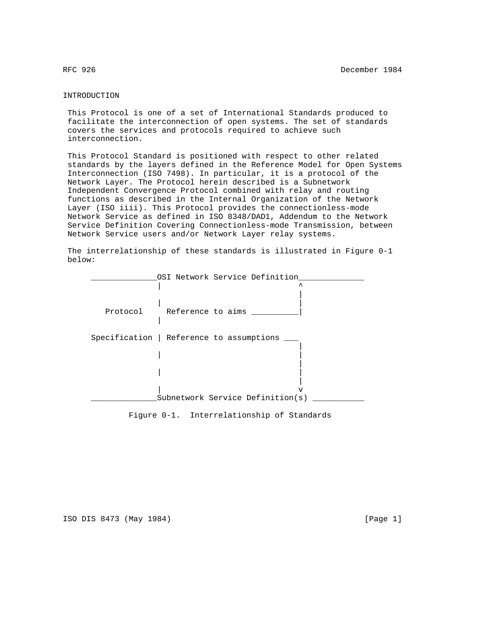# INTRODUCTION

 This Protocol is one of a set of International Standards produced to facilitate the interconnection of open systems. The set of standards covers the services and protocols required to achieve such interconnection.

 This Protocol Standard is positioned with respect to other related standards by the layers defined in the Reference Model for Open Systems Interconnection (ISO 7498). In particular, it is a protocol of the Network Layer. The Protocol herein described is a Subnetwork Independent Convergence Protocol combined with relay and routing functions as described in the Internal Organization of the Network Layer (ISO iiii). This Protocol provides the connectionless-mode Network Service as defined in ISO 8348/DAD1, Addendum to the Network Service Definition Covering Connectionless-mode Transmission, between Network Service users and/or Network Layer relay systems.

 The interrelationship of these standards is illustrated in Figure 0-1 below:

|                                            | OSI Network Service Definition   |   |
|--------------------------------------------|----------------------------------|---|
|                                            |                                  | ᄉ |
|                                            | Protocol Reference to aims       |   |
| Specification   Reference to assumptions _ |                                  |   |
|                                            |                                  |   |
|                                            |                                  |   |
|                                            | Subnetwork Service Definition(s) |   |



ISO DIS 8473 (May 1984) [Page 1]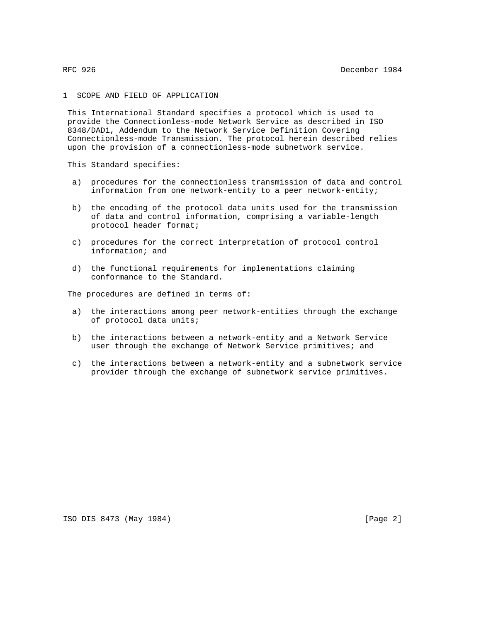# 1 SCOPE AND FIELD OF APPLICATION

 This International Standard specifies a protocol which is used to provide the Connectionless-mode Network Service as described in ISO 8348/DAD1, Addendum to the Network Service Definition Covering Connectionless-mode Transmission. The protocol herein described relies upon the provision of a connectionless-mode subnetwork service.

This Standard specifies:

- a) procedures for the connectionless transmission of data and control information from one network-entity to a peer network-entity;
- b) the encoding of the protocol data units used for the transmission of data and control information, comprising a variable-length protocol header format;
- c) procedures for the correct interpretation of protocol control information; and
- d) the functional requirements for implementations claiming conformance to the Standard.

The procedures are defined in terms of:

- a) the interactions among peer network-entities through the exchange of protocol data units;
- b) the interactions between a network-entity and a Network Service user through the exchange of Network Service primitives; and
- c) the interactions between a network-entity and a subnetwork service provider through the exchange of subnetwork service primitives.

ISO DIS 8473 (May 1984) [Page 2]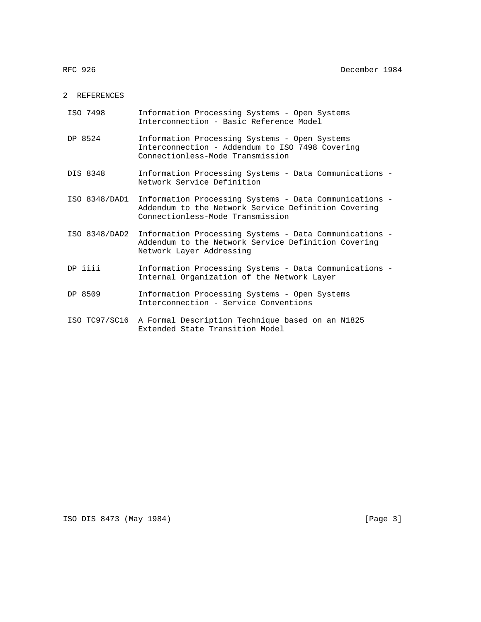# 2 REFERENCES

- ISO 7498 Information Processing Systems Open Systems Interconnection - Basic Reference Model
- DP 8524 Information Processing Systems Open Systems Interconnection - Addendum to ISO 7498 Covering Connectionless-Mode Transmission
- DIS 8348 Information Processing Systems Data Communications Network Service Definition
- ISO 8348/DAD1 Information Processing Systems Data Communications Addendum to the Network Service Definition Covering Connectionless-Mode Transmission
- ISO 8348/DAD2 Information Processing Systems Data Communications Addendum to the Network Service Definition Covering Network Layer Addressing
- DP iiii Information Processing Systems Data Communications -Internal Organization of the Network Layer
- DP 8509 Information Processing Systems Open Systems Interconnection - Service Conventions
- ISO TC97/SC16 A Formal Description Technique based on an N1825 Extended State Transition Model

ISO DIS 8473 (May 1984) [Page 3]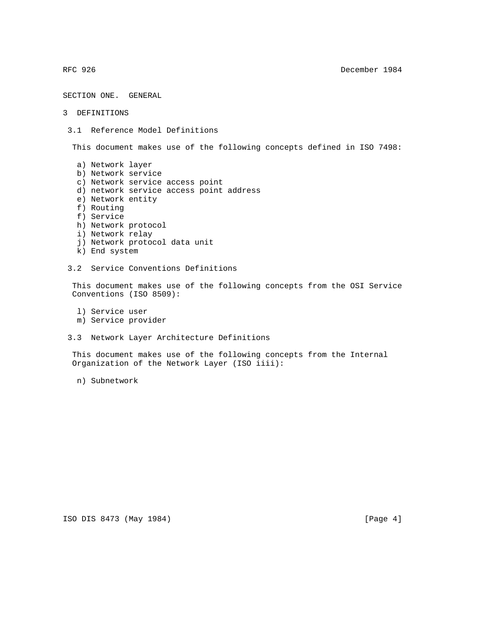RFC 926 December 1984

SECTION ONE. GENERAL

## 3 DEFINITIONS

3.1 Reference Model Definitions

This document makes use of the following concepts defined in ISO 7498:

- a) Network layer
- b) Network service
- c) Network service access point
- d) network service access point address
- e) Network entity
- f) Routing
- f) Service
- h) Network protocol
- i) Network relay
- j) Network protocol data unit
- k) End system
- 3.2 Service Conventions Definitions

 This document makes use of the following concepts from the OSI Service Conventions (ISO 8509):

- l) Service user
- m) Service provider
- 3.3 Network Layer Architecture Definitions

 This document makes use of the following concepts from the Internal Organization of the Network Layer (ISO iiii):

n) Subnetwork

ISO DIS 8473 (May 1984) [Page 4]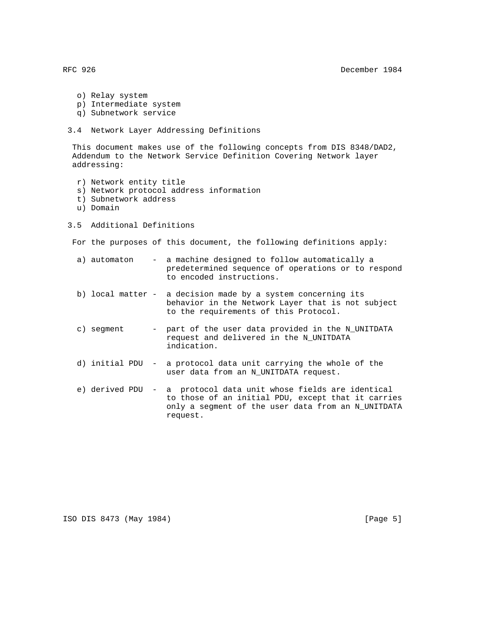RFC 926 December 1984

- o) Relay system
- p) Intermediate system
- q) Subnetwork service
- 3.4 Network Layer Addressing Definitions

 This document makes use of the following concepts from DIS 8348/DAD2, Addendum to the Network Service Definition Covering Network layer addressing:

- r) Network entity title
- s) Network protocol address information
- t) Subnetwork address
- u) Domain
- 3.5 Additional Definitions

For the purposes of this document, the following definitions apply:

- a) automaton a machine designed to follow automatically a predetermined sequence of operations or to respond to encoded instructions.
- b) local matter a decision made by a system concerning its behavior in the Network Layer that is not subject to the requirements of this Protocol.
- c) segment part of the user data provided in the N\_UNITDATA request and delivered in the N\_UNITDATA indication.
- d) initial PDU a protocol data unit carrying the whole of the user data from an N\_UNITDATA request.
- e) derived PDU a protocol data unit whose fields are identical to those of an initial PDU, except that it carries only a segment of the user data from an N\_UNITDATA request.

ISO DIS 8473 (May 1984) [Page 5]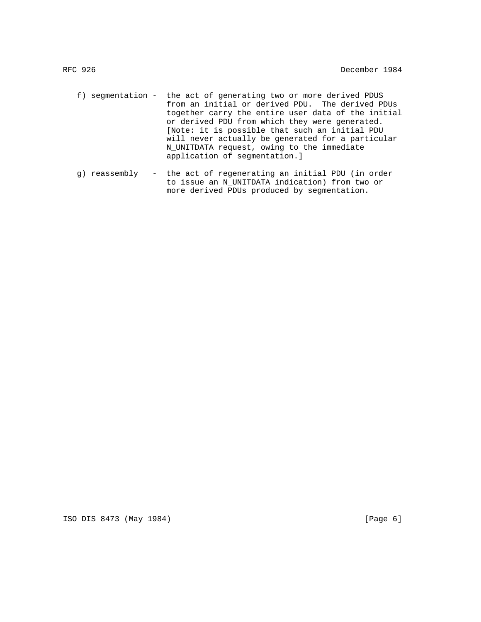- f) segmentation the act of generating two or more derived PDUS from an initial or derived PDU. The derived PDUs together carry the entire user data of the initial or derived PDU from which they were generated. [Note: it is possible that such an initial PDU will never actually be generated for a particular N\_UNITDATA request, owing to the immediate application of segmentation.]
- g) reassembly the act of regenerating an initial PDU (in order to issue an N\_UNITDATA indication) from two or more derived PDUs produced by segmentation.

ISO DIS 8473 (May 1984) [Page 6]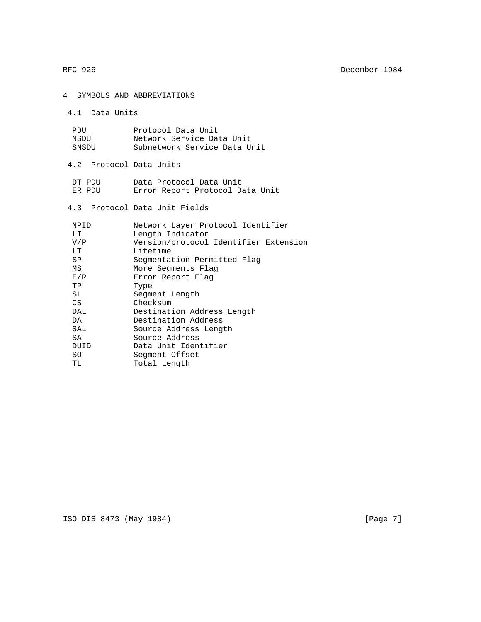4 SYMBOLS AND ABBREVIATIONS

4.1 Data Units

| PDU<br>NSDU<br>SNSDU                             | Protocol Data Unit<br>Network Service Data Unit<br>Subnetwork Service Data Unit                                                           |
|--------------------------------------------------|-------------------------------------------------------------------------------------------------------------------------------------------|
| 4.2 Protocol Data Units                          |                                                                                                                                           |
| DT PDU<br>ER PDU                                 | Data Protocol Data Unit<br>Error Report Protocol Data Unit                                                                                |
|                                                  | 4.3 Protocol Data Unit Fields                                                                                                             |
| NPID<br>$T_{\rm A}T_{\rm A}$<br>V/P<br>LT.<br>SP | Network Layer Protocol Identifier<br>Length Indicator<br>Version/protocol Identifier Extension<br>Lifetime<br>Segmentation Permitted Flag |
| ΜS<br>E/R<br>TP                                  | More Segments Flag<br>Error Report Flaq<br>Type                                                                                           |
| SL<br>CS                                         | Segment Length<br>Checksum                                                                                                                |
| DAL<br>DA                                        | Destination Address Length<br>Destination Address                                                                                         |
| SAL                                              | Source Address Length                                                                                                                     |
| SA.                                              | Source Address                                                                                                                            |
| DUID                                             | Data Unit Identifier                                                                                                                      |
| SO.                                              | Segment Offset                                                                                                                            |
| TL                                               | Total Length                                                                                                                              |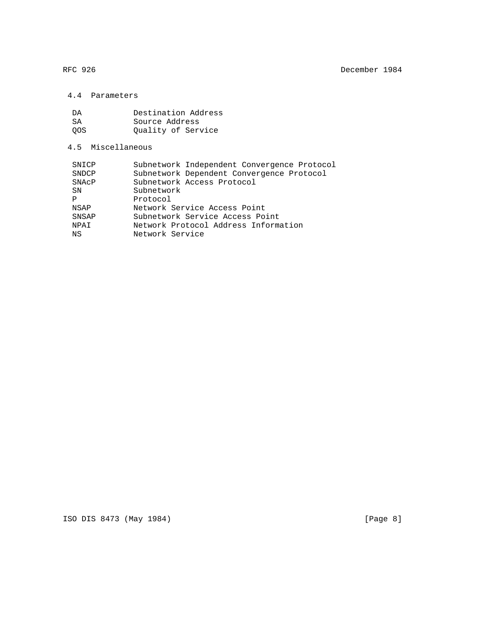RFC 926 December 1984

# 4.4 Parameters

| <b>DA</b> | Destination Address |
|-----------|---------------------|
| SA        | Source Address      |
| OOS.      | Quality of Service  |

# 4.5 Miscellaneous

| SNICP | Subnetwork Independent Convergence Protocol |
|-------|---------------------------------------------|
| SNDCP | Subnetwork Dependent Convergence Protocol   |
| SNACP | Subnetwork Access Protocol                  |
| SN    | Subnetwork                                  |
| P     | Protocol                                    |
| NSAP  | Network Service Access Point                |
| SNSAP | Subnetwork Service Access Point             |
| NPAI  | Network Protocol Address Information        |
| ΝS    | Network Service                             |
|       |                                             |

ISO DIS 8473 (May 1984) [Page 8]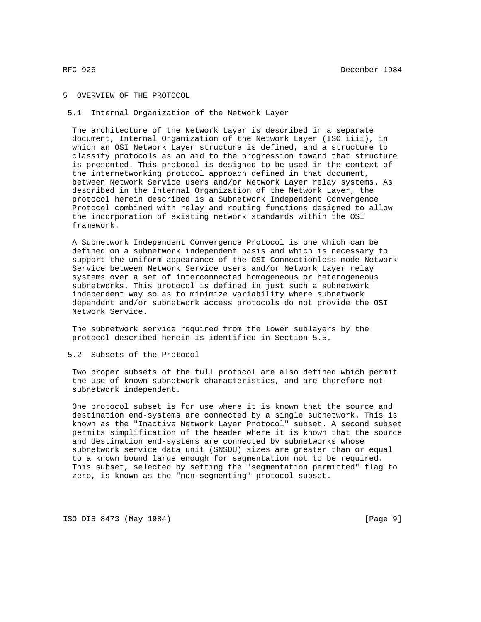# 5 OVERVIEW OF THE PROTOCOL

# 5.1 Internal Organization of the Network Layer

 The architecture of the Network Layer is described in a separate document, Internal Organization of the Network Layer (ISO iiii), in which an OSI Network Layer structure is defined, and a structure to classify protocols as an aid to the progression toward that structure is presented. This protocol is designed to be used in the context of the internetworking protocol approach defined in that document, between Network Service users and/or Network Layer relay systems. As described in the Internal Organization of the Network Layer, the protocol herein described is a Subnetwork Independent Convergence Protocol combined with relay and routing functions designed to allow the incorporation of existing network standards within the OSI framework.

 A Subnetwork Independent Convergence Protocol is one which can be defined on a subnetwork independent basis and which is necessary to support the uniform appearance of the OSI Connectionless-mode Network Service between Network Service users and/or Network Layer relay systems over a set of interconnected homogeneous or heterogeneous subnetworks. This protocol is defined in just such a subnetwork independent way so as to minimize variability where subnetwork dependent and/or subnetwork access protocols do not provide the OSI Network Service.

 The subnetwork service required from the lower sublayers by the protocol described herein is identified in Section 5.5.

# 5.2 Subsets of the Protocol

 Two proper subsets of the full protocol are also defined which permit the use of known subnetwork characteristics, and are therefore not subnetwork independent.

 One protocol subset is for use where it is known that the source and destination end-systems are connected by a single subnetwork. This is known as the "Inactive Network Layer Protocol" subset. A second subset permits simplification of the header where it is known that the source and destination end-systems are connected by subnetworks whose subnetwork service data unit (SNSDU) sizes are greater than or equal to a known bound large enough for segmentation not to be required. This subset, selected by setting the "segmentation permitted" flag to zero, is known as the "non-segmenting" protocol subset.

ISO DIS 8473 (May 1984) [Page 9]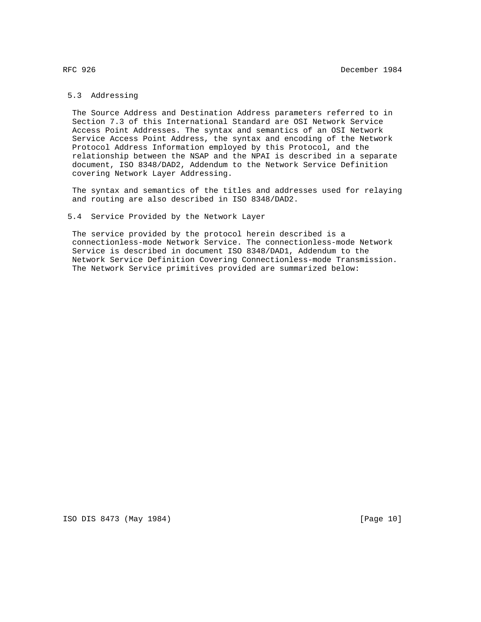# 5.3 Addressing

 The Source Address and Destination Address parameters referred to in Section 7.3 of this International Standard are OSI Network Service Access Point Addresses. The syntax and semantics of an OSI Network Service Access Point Address, the syntax and encoding of the Network Protocol Address Information employed by this Protocol, and the relationship between the NSAP and the NPAI is described in a separate document, ISO 8348/DAD2, Addendum to the Network Service Definition covering Network Layer Addressing.

 The syntax and semantics of the titles and addresses used for relaying and routing are also described in ISO 8348/DAD2.

# 5.4 Service Provided by the Network Layer

 The service provided by the protocol herein described is a connectionless-mode Network Service. The connectionless-mode Network Service is described in document ISO 8348/DAD1, Addendum to the Network Service Definition Covering Connectionless-mode Transmission. The Network Service primitives provided are summarized below:

ISO DIS 8473 (May 1984) [Page 10]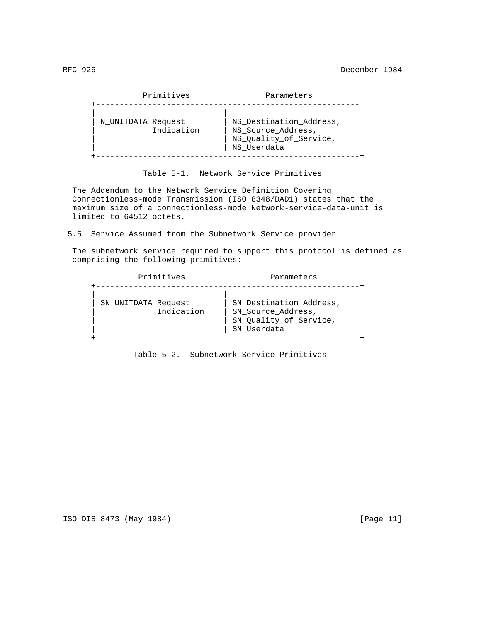| Primitives                       | Parameters                                                                             |
|----------------------------------|----------------------------------------------------------------------------------------|
| N UNITDATA Request<br>Indication | NS Destination Address,<br>NS Source Address,<br>NS_Quality_of_Service,<br>NS Userdata |

Table 5-1. Network Service Primitives

 The Addendum to the Network Service Definition Covering Connectionless-mode Transmission (ISO 8348/DAD1) states that the maximum size of a connectionless-mode Network-service-data-unit is limited to 64512 octets.

5.5 Service Assumed from the Subnetwork Service provider

 The subnetwork service required to support this protocol is defined as comprising the following primitives:

| Primitives                        | Parameters                                                                             |
|-----------------------------------|----------------------------------------------------------------------------------------|
| SN UNITDATA Request<br>Indication | SN Destination Address,<br>SN Source Address,<br>SN_Quality_of_Service,<br>SN Userdata |

Table 5-2. Subnetwork Service Primitives

ISO DIS 8473 (May 1984) [Page 11]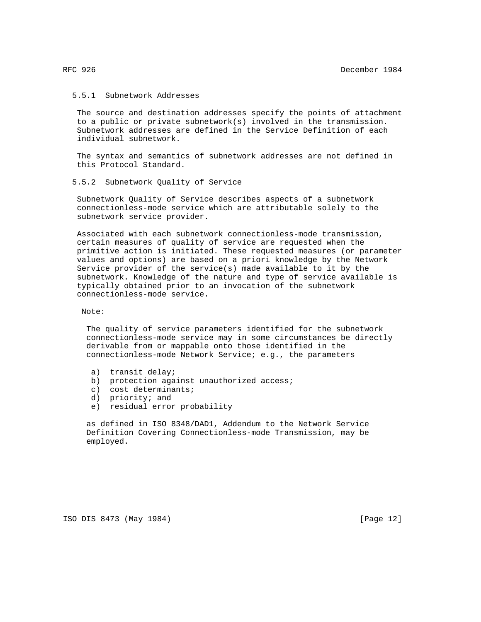# 5.5.1 Subnetwork Addresses

 The source and destination addresses specify the points of attachment to a public or private subnetwork(s) involved in the transmission. Subnetwork addresses are defined in the Service Definition of each individual subnetwork.

 The syntax and semantics of subnetwork addresses are not defined in this Protocol Standard.

5.5.2 Subnetwork Quality of Service

 Subnetwork Quality of Service describes aspects of a subnetwork connectionless-mode service which are attributable solely to the subnetwork service provider.

 Associated with each subnetwork connectionless-mode transmission, certain measures of quality of service are requested when the primitive action is initiated. These requested measures (or parameter values and options) are based on a priori knowledge by the Network Service provider of the service(s) made available to it by the subnetwork. Knowledge of the nature and type of service available is typically obtained prior to an invocation of the subnetwork connectionless-mode service.

Note:

 The quality of service parameters identified for the subnetwork connectionless-mode service may in some circumstances be directly derivable from or mappable onto those identified in the connectionless-mode Network Service; e.g., the parameters

- a) transit delay;
- b) protection against unauthorized access;
- c) cost determinants;
- d) priority; and
- e) residual error probability

 as defined in ISO 8348/DAD1, Addendum to the Network Service Definition Covering Connectionless-mode Transmission, may be employed.

ISO DIS 8473 (May 1984) [Page 12]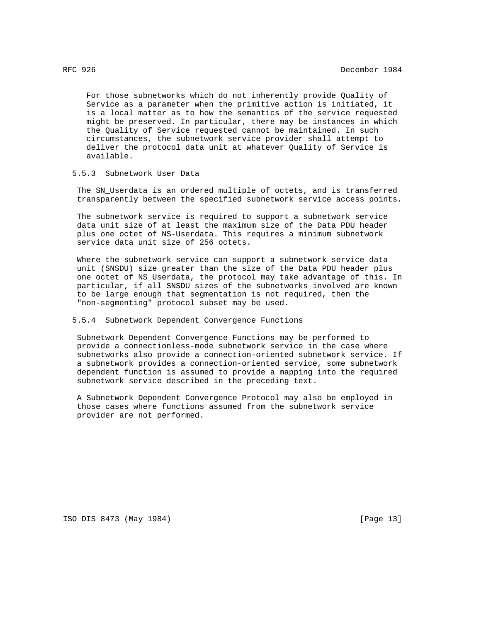For those subnetworks which do not inherently provide Quality of Service as a parameter when the primitive action is initiated, it is a local matter as to how the semantics of the service requested might be preserved. In particular, there may be instances in which the Quality of Service requested cannot be maintained. In such circumstances, the subnetwork service provider shall attempt to deliver the protocol data unit at whatever Quality of Service is available.

5.5.3 Subnetwork User Data

The SN Userdata is an ordered multiple of octets, and is transferred transparently between the specified subnetwork service access points.

 The subnetwork service is required to support a subnetwork service data unit size of at least the maximum size of the Data PDU header plus one octet of NS-Userdata. This requires a minimum subnetwork service data unit size of 256 octets.

 Where the subnetwork service can support a subnetwork service data unit (SNSDU) size greater than the size of the Data PDU header plus one octet of NS\_Userdata, the protocol may take advantage of this. In particular, if all SNSDU sizes of the subnetworks involved are known to be large enough that segmentation is not required, then the "non-segmenting" protocol subset may be used.

### 5.5.4 Subnetwork Dependent Convergence Functions

 Subnetwork Dependent Convergence Functions may be performed to provide a connectionless-mode subnetwork service in the case where subnetworks also provide a connection-oriented subnetwork service. If a subnetwork provides a connection-oriented service, some subnetwork dependent function is assumed to provide a mapping into the required subnetwork service described in the preceding text.

 A Subnetwork Dependent Convergence Protocol may also be employed in those cases where functions assumed from the subnetwork service provider are not performed.

ISO DIS 8473 (May 1984) [Page 13]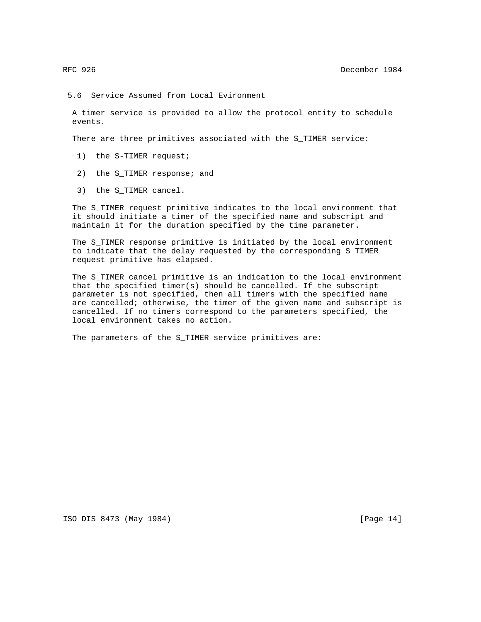5.6 Service Assumed from Local Evironment

 A timer service is provided to allow the protocol entity to schedule events.

There are three primitives associated with the S\_TIMER service:

- 1) the S-TIMER request;
- 2) the S\_TIMER response; and
- 3) the S TIMER cancel.

 The S\_TIMER request primitive indicates to the local environment that it should initiate a timer of the specified name and subscript and maintain it for the duration specified by the time parameter.

 The S\_TIMER response primitive is initiated by the local environment to indicate that the delay requested by the corresponding S\_TIMER request primitive has elapsed.

 The S\_TIMER cancel primitive is an indication to the local environment that the specified timer(s) should be cancelled. If the subscript parameter is not specified, then all timers with the specified name are cancelled; otherwise, the timer of the given name and subscript is cancelled. If no timers correspond to the parameters specified, the local environment takes no action.

The parameters of the S\_TIMER service primitives are:

ISO DIS 8473 (May 1984) [Page 14]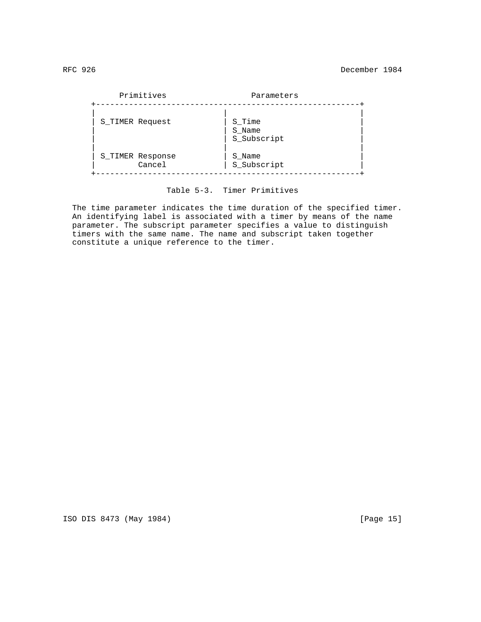| Primitives                 | Parameters                      |
|----------------------------|---------------------------------|
| S TIMER Request            | S Time<br>S Name<br>S_Subscript |
| S TIMER Response<br>Cancel | S Name<br>S_Subscript           |

Table 5-3. Timer Primitives

 The time parameter indicates the time duration of the specified timer. An identifying label is associated with a timer by means of the name parameter. The subscript parameter specifies a value to distinguish timers with the same name. The name and subscript taken together constitute a unique reference to the timer.

ISO DIS 8473 (May 1984) [Page 15]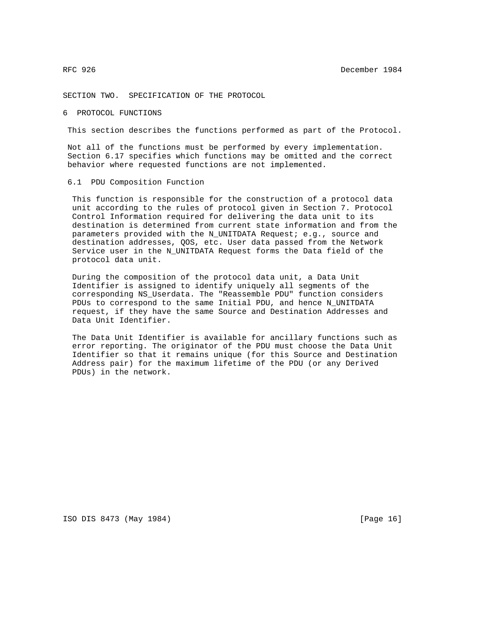SECTION TWO. SPECIFICATION OF THE PROTOCOL

### 6 PROTOCOL FUNCTIONS

This section describes the functions performed as part of the Protocol.

 Not all of the functions must be performed by every implementation. Section 6.17 specifies which functions may be omitted and the correct behavior where requested functions are not implemented.

#### 6.1 PDU Composition Function

 This function is responsible for the construction of a protocol data unit according to the rules of protocol given in Section 7. Protocol Control Information required for delivering the data unit to its destination is determined from current state information and from the parameters provided with the N\_UNITDATA Request; e.g., source and destination addresses, QOS, etc. User data passed from the Network Service user in the N\_UNITDATA Request forms the Data field of the protocol data unit.

 During the composition of the protocol data unit, a Data Unit Identifier is assigned to identify uniquely all segments of the corresponding NS\_Userdata. The "Reassemble PDU" function considers PDUs to correspond to the same Initial PDU, and hence N\_UNITDATA request, if they have the same Source and Destination Addresses and Data Unit Identifier.

 The Data Unit Identifier is available for ancillary functions such as error reporting. The originator of the PDU must choose the Data Unit Identifier so that it remains unique (for this Source and Destination Address pair) for the maximum lifetime of the PDU (or any Derived PDUs) in the network.

ISO DIS 8473 (May 1984) [Page 16]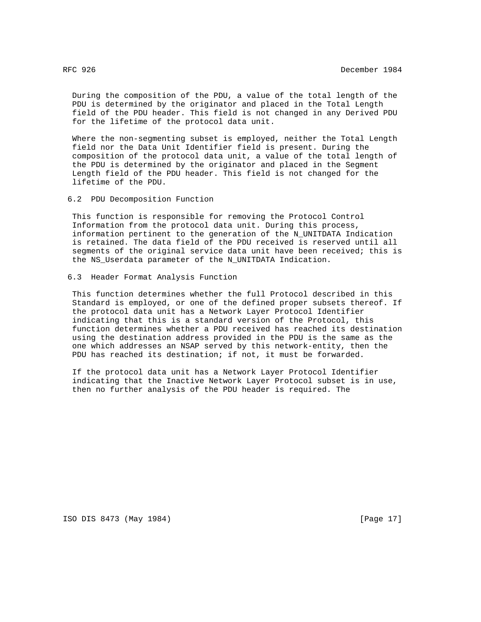During the composition of the PDU, a value of the total length of the PDU is determined by the originator and placed in the Total Length field of the PDU header. This field is not changed in any Derived PDU for the lifetime of the protocol data unit.

 Where the non-segmenting subset is employed, neither the Total Length field nor the Data Unit Identifier field is present. During the composition of the protocol data unit, a value of the total length of the PDU is determined by the originator and placed in the Segment Length field of the PDU header. This field is not changed for the lifetime of the PDU.

6.2 PDU Decomposition Function

 This function is responsible for removing the Protocol Control Information from the protocol data unit. During this process, information pertinent to the generation of the N\_UNITDATA Indication is retained. The data field of the PDU received is reserved until all segments of the original service data unit have been received; this is the NS\_Userdata parameter of the N\_UNITDATA Indication.

#### 6.3 Header Format Analysis Function

 This function determines whether the full Protocol described in this Standard is employed, or one of the defined proper subsets thereof. If the protocol data unit has a Network Layer Protocol Identifier indicating that this is a standard version of the Protocol, this function determines whether a PDU received has reached its destination using the destination address provided in the PDU is the same as the one which addresses an NSAP served by this network-entity, then the PDU has reached its destination; if not, it must be forwarded.

 If the protocol data unit has a Network Layer Protocol Identifier indicating that the Inactive Network Layer Protocol subset is in use, then no further analysis of the PDU header is required. The

ISO DIS 8473 (May 1984) [Page 17]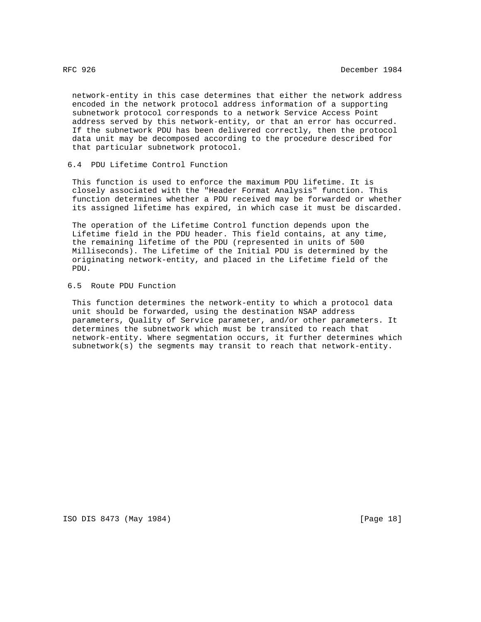network-entity in this case determines that either the network address encoded in the network protocol address information of a supporting subnetwork protocol corresponds to a network Service Access Point address served by this network-entity, or that an error has occurred. If the subnetwork PDU has been delivered correctly, then the protocol data unit may be decomposed according to the procedure described for that particular subnetwork protocol.

### 6.4 PDU Lifetime Control Function

 This function is used to enforce the maximum PDU lifetime. It is closely associated with the "Header Format Analysis" function. This function determines whether a PDU received may be forwarded or whether its assigned lifetime has expired, in which case it must be discarded.

 The operation of the Lifetime Control function depends upon the Lifetime field in the PDU header. This field contains, at any time, the remaining lifetime of the PDU (represented in units of 500 Milliseconds). The Lifetime of the Initial PDU is determined by the originating network-entity, and placed in the Lifetime field of the PDU.

# 6.5 Route PDU Function

 This function determines the network-entity to which a protocol data unit should be forwarded, using the destination NSAP address parameters, Quality of Service parameter, and/or other parameters. It determines the subnetwork which must be transited to reach that network-entity. Where segmentation occurs, it further determines which subnetwork(s) the segments may transit to reach that network-entity.

ISO DIS 8473 (May 1984) [Page 18]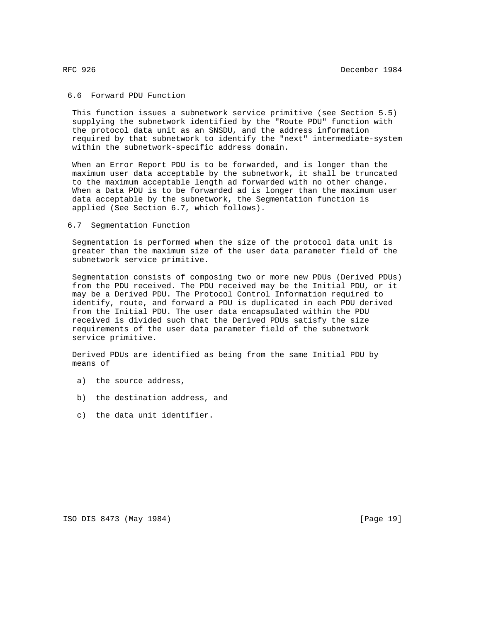# 6.6 Forward PDU Function

 This function issues a subnetwork service primitive (see Section 5.5) supplying the subnetwork identified by the "Route PDU" function with the protocol data unit as an SNSDU, and the address information required by that subnetwork to identify the "next" intermediate-system within the subnetwork-specific address domain.

 When an Error Report PDU is to be forwarded, and is longer than the maximum user data acceptable by the subnetwork, it shall be truncated to the maximum acceptable length ad forwarded with no other change. When a Data PDU is to be forwarded ad is longer than the maximum user data acceptable by the subnetwork, the Segmentation function is applied (See Section 6.7, which follows).

### 6.7 Segmentation Function

 Segmentation is performed when the size of the protocol data unit is greater than the maximum size of the user data parameter field of the subnetwork service primitive.

 Segmentation consists of composing two or more new PDUs (Derived PDUs) from the PDU received. The PDU received may be the Initial PDU, or it may be a Derived PDU. The Protocol Control Information required to identify, route, and forward a PDU is duplicated in each PDU derived from the Initial PDU. The user data encapsulated within the PDU received is divided such that the Derived PDUs satisfy the size requirements of the user data parameter field of the subnetwork service primitive.

 Derived PDUs are identified as being from the same Initial PDU by means of

- a) the source address,
- b) the destination address, and
- c) the data unit identifier.

ISO DIS 8473 (May 1984) [Page 19]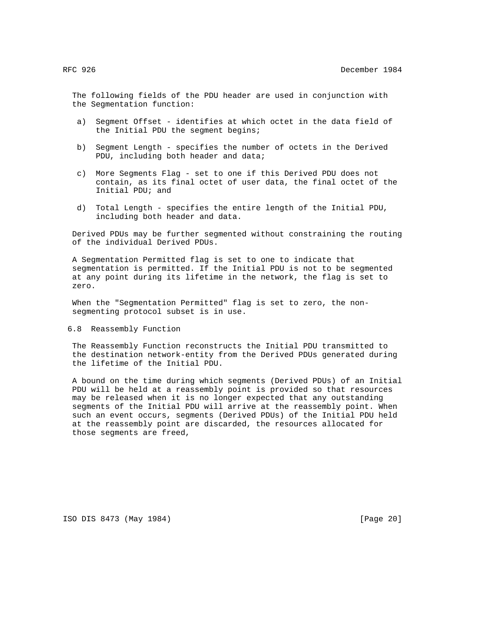The following fields of the PDU header are used in conjunction with the Segmentation function:

- a) Segment Offset identifies at which octet in the data field of the Initial PDU the segment begins;
- b) Segment Length specifies the number of octets in the Derived PDU, including both header and data;
- c) More Segments Flag set to one if this Derived PDU does not contain, as its final octet of user data, the final octet of the Initial PDU; and
- d) Total Length specifies the entire length of the Initial PDU, including both header and data.

 Derived PDUs may be further segmented without constraining the routing of the individual Derived PDUs.

 A Segmentation Permitted flag is set to one to indicate that segmentation is permitted. If the Initial PDU is not to be segmented at any point during its lifetime in the network, the flag is set to zero.

 When the "Segmentation Permitted" flag is set to zero, the non segmenting protocol subset is in use.

6.8 Reassembly Function

 The Reassembly Function reconstructs the Initial PDU transmitted to the destination network-entity from the Derived PDUs generated during the lifetime of the Initial PDU.

 A bound on the time during which segments (Derived PDUs) of an Initial PDU will be held at a reassembly point is provided so that resources may be released when it is no longer expected that any outstanding segments of the Initial PDU will arrive at the reassembly point. When such an event occurs, segments (Derived PDUs) of the Initial PDU held at the reassembly point are discarded, the resources allocated for those segments are freed,

ISO DIS 8473 (May 1984) [Page 20]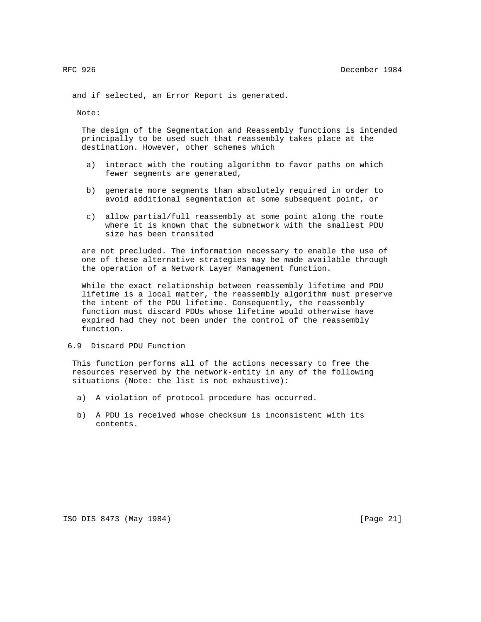and if selected, an Error Report is generated.

Note:

 The design of the Segmentation and Reassembly functions is intended principally to be used such that reassembly takes place at the destination. However, other schemes which

- a) interact with the routing algorithm to favor paths on which fewer segments are generated,
- b) generate more segments than absolutely required in order to avoid additional segmentation at some subsequent point, or
- c) allow partial/full reassembly at some point along the route where it is known that the subnetwork with the smallest PDU size has been transited

 are not precluded. The information necessary to enable the use of one of these alternative strategies may be made available through the operation of a Network Layer Management function.

 While the exact relationship between reassembly lifetime and PDU lifetime is a local matter, the reassembly algorithm must preserve the intent of the PDU lifetime. Consequently, the reassembly function must discard PDUs whose lifetime would otherwise have expired had they not been under the control of the reassembly function.

6.9 Discard PDU Function

 This function performs all of the actions necessary to free the resources reserved by the network-entity in any of the following situations (Note: the list is not exhaustive):

- a) A violation of protocol procedure has occurred.
- b) A PDU is received whose checksum is inconsistent with its contents.

ISO DIS 8473 (May 1984) [Page 21]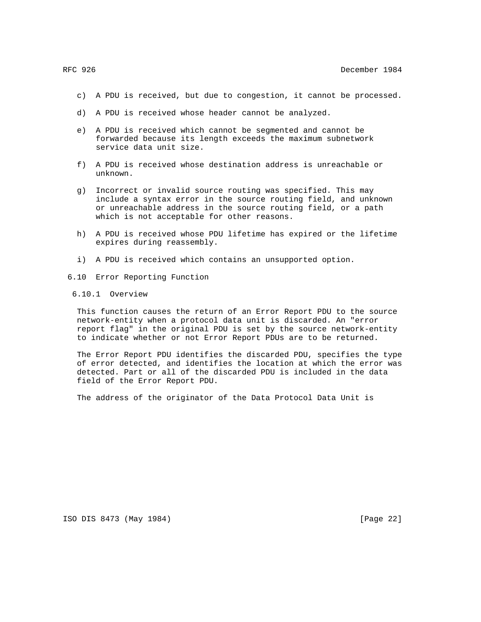- c) A PDU is received, but due to congestion, it cannot be processed.
- d) A PDU is received whose header cannot be analyzed.
- e) A PDU is received which cannot be segmented and cannot be forwarded because its length exceeds the maximum subnetwork service data unit size.
- f) A PDU is received whose destination address is unreachable or unknown.
- g) Incorrect or invalid source routing was specified. This may include a syntax error in the source routing field, and unknown or unreachable address in the source routing field, or a path which is not acceptable for other reasons.
- h) A PDU is received whose PDU lifetime has expired or the lifetime expires during reassembly.
- i) A PDU is received which contains an unsupported option.
- 6.10 Error Reporting Function

### 6.10.1 Overview

 This function causes the return of an Error Report PDU to the source network-entity when a protocol data unit is discarded. An "error report flag" in the original PDU is set by the source network-entity to indicate whether or not Error Report PDUs are to be returned.

 The Error Report PDU identifies the discarded PDU, specifies the type of error detected, and identifies the location at which the error was detected. Part or all of the discarded PDU is included in the data field of the Error Report PDU.

The address of the originator of the Data Protocol Data Unit is

ISO DIS 8473 (May 1984) [Page 22]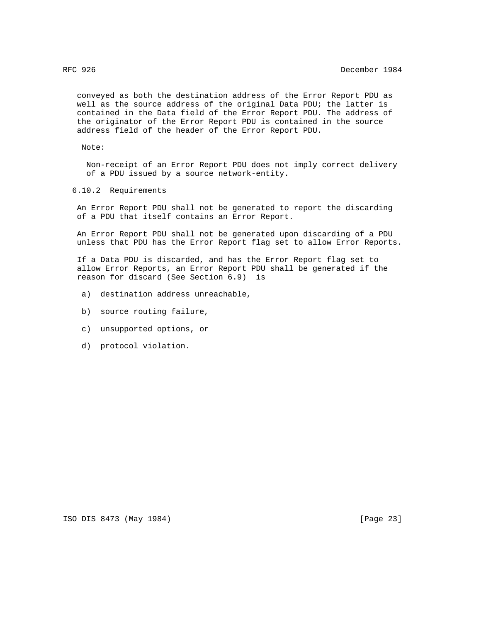conveyed as both the destination address of the Error Report PDU as well as the source address of the original Data PDU; the latter is contained in the Data field of the Error Report PDU. The address of the originator of the Error Report PDU is contained in the source address field of the header of the Error Report PDU.

Note:

 Non-receipt of an Error Report PDU does not imply correct delivery of a PDU issued by a source network-entity.

6.10.2 Requirements

 An Error Report PDU shall not be generated to report the discarding of a PDU that itself contains an Error Report.

 An Error Report PDU shall not be generated upon discarding of a PDU unless that PDU has the Error Report flag set to allow Error Reports.

 If a Data PDU is discarded, and has the Error Report flag set to allow Error Reports, an Error Report PDU shall be generated if the reason for discard (See Section 6.9) is

- a) destination address unreachable,
- b) source routing failure,
- c) unsupported options, or
- d) protocol violation.

ISO DIS 8473 (May 1984) [Page 23]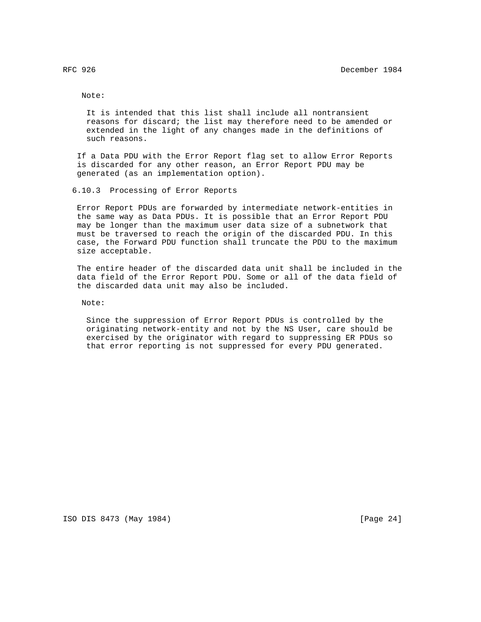#### Note:

 It is intended that this list shall include all nontransient reasons for discard; the list may therefore need to be amended or extended in the light of any changes made in the definitions of such reasons.

 If a Data PDU with the Error Report flag set to allow Error Reports is discarded for any other reason, an Error Report PDU may be generated (as an implementation option).

6.10.3 Processing of Error Reports

 Error Report PDUs are forwarded by intermediate network-entities in the same way as Data PDUs. It is possible that an Error Report PDU may be longer than the maximum user data size of a subnetwork that must be traversed to reach the origin of the discarded PDU. In this case, the Forward PDU function shall truncate the PDU to the maximum size acceptable.

 The entire header of the discarded data unit shall be included in the data field of the Error Report PDU. Some or all of the data field of the discarded data unit may also be included.

## Note:

 Since the suppression of Error Report PDUs is controlled by the originating network-entity and not by the NS User, care should be exercised by the originator with regard to suppressing ER PDUs so that error reporting is not suppressed for every PDU generated.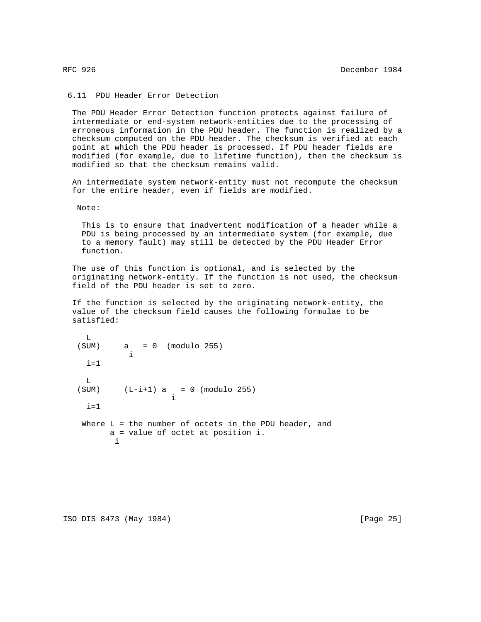# 6.11 PDU Header Error Detection

 The PDU Header Error Detection function protects against failure of intermediate or end-system network-entities due to the processing of erroneous information in the PDU header. The function is realized by a checksum computed on the PDU header. The checksum is verified at each point at which the PDU header is processed. If PDU header fields are modified (for example, due to lifetime function), then the checksum is modified so that the checksum remains valid.

 An intermediate system network-entity must not recompute the checksum for the entire header, even if fields are modified.

Note:

 This is to ensure that inadvertent modification of a header while a PDU is being processed by an intermediate system (for example, due to a memory fault) may still be detected by the PDU Header Error function.

 The use of this function is optional, and is selected by the originating network-entity. If the function is not used, the checksum field of the PDU header is set to zero.

 If the function is selected by the originating network-entity, the value of the checksum field causes the following formulae to be satisfied:

| т.<br>(SUM) | a = 0 (modulo 255)                                                                                 |
|-------------|----------------------------------------------------------------------------------------------------|
| $i=1$       |                                                                                                    |
| т.<br>(SUM) | $(L-i+1)$ a = 0 (modulo 255)<br>i                                                                  |
| $i=1$       |                                                                                                    |
|             | Where $L = the number of octets in the PDU header, and$<br>a = value of octet at position i.<br>i. |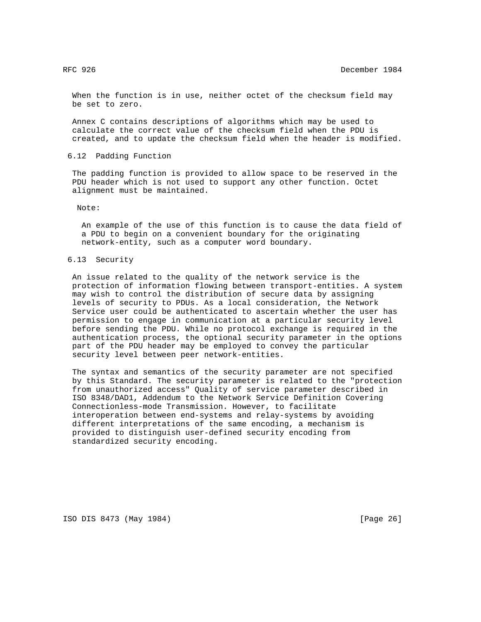When the function is in use, neither octet of the checksum field may be set to zero.

 Annex C contains descriptions of algorithms which may be used to calculate the correct value of the checksum field when the PDU is created, and to update the checksum field when the header is modified.

## 6.12 Padding Function

 The padding function is provided to allow space to be reserved in the PDU header which is not used to support any other function. Octet alignment must be maintained.

Note:

 An example of the use of this function is to cause the data field of a PDU to begin on a convenient boundary for the originating network-entity, such as a computer word boundary.

## 6.13 Security

 An issue related to the quality of the network service is the protection of information flowing between transport-entities. A system may wish to control the distribution of secure data by assigning levels of security to PDUs. As a local consideration, the Network Service user could be authenticated to ascertain whether the user has permission to engage in communication at a particular security level before sending the PDU. While no protocol exchange is required in the authentication process, the optional security parameter in the options part of the PDU header may be employed to convey the particular security level between peer network-entities.

 The syntax and semantics of the security parameter are not specified by this Standard. The security parameter is related to the "protection from unauthorized access" Quality of service parameter described in ISO 8348/DAD1, Addendum to the Network Service Definition Covering Connectionless-mode Transmission. However, to facilitate interoperation between end-systems and relay-systems by avoiding different interpretations of the same encoding, a mechanism is provided to distinguish user-defined security encoding from standardized security encoding.

ISO DIS 8473 (May 1984) [Page 26]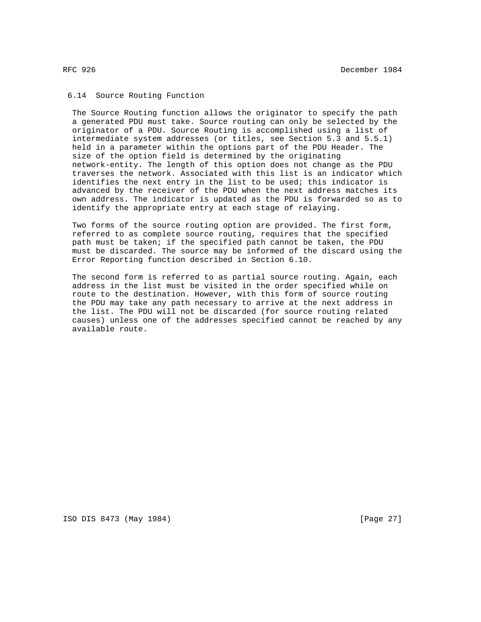# 6.14 Source Routing Function

 The Source Routing function allows the originator to specify the path a generated PDU must take. Source routing can only be selected by the originator of a PDU. Source Routing is accomplished using a list of intermediate system addresses (or titles, see Section 5.3 and 5.5.1) held in a parameter within the options part of the PDU Header. The size of the option field is determined by the originating network-entity. The length of this option does not change as the PDU traverses the network. Associated with this list is an indicator which identifies the next entry in the list to be used; this indicator is advanced by the receiver of the PDU when the next address matches its own address. The indicator is updated as the PDU is forwarded so as to identify the appropriate entry at each stage of relaying.

 Two forms of the source routing option are provided. The first form, referred to as complete source routing, requires that the specified path must be taken; if the specified path cannot be taken, the PDU must be discarded. The source may be informed of the discard using the Error Reporting function described in Section 6.10.

 The second form is referred to as partial source routing. Again, each address in the list must be visited in the order specified while on route to the destination. However, with this form of source routing the PDU may take any path necessary to arrive at the next address in the list. The PDU will not be discarded (for source routing related causes) unless one of the addresses specified cannot be reached by any available route.

ISO DIS 8473 (May 1984) [Page 27]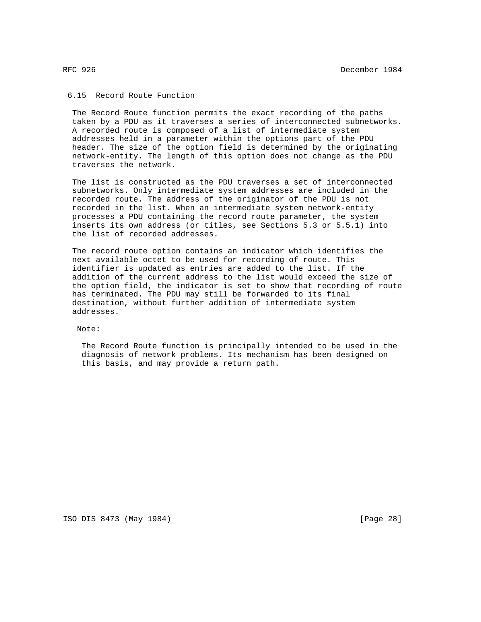# 6.15 Record Route Function

 The Record Route function permits the exact recording of the paths taken by a PDU as it traverses a series of interconnected subnetworks. A recorded route is composed of a list of intermediate system addresses held in a parameter within the options part of the PDU header. The size of the option field is determined by the originating network-entity. The length of this option does not change as the PDU traverses the network.

 The list is constructed as the PDU traverses a set of interconnected subnetworks. Only intermediate system addresses are included in the recorded route. The address of the originator of the PDU is not recorded in the list. When an intermediate system network-entity processes a PDU containing the record route parameter, the system inserts its own address (or titles, see Sections 5.3 or 5.5.1) into the list of recorded addresses.

 The record route option contains an indicator which identifies the next available octet to be used for recording of route. This identifier is updated as entries are added to the list. If the addition of the current address to the list would exceed the size of the option field, the indicator is set to show that recording of route has terminated. The PDU may still be forwarded to its final destination, without further addition of intermediate system addresses.

Note:

 The Record Route function is principally intended to be used in the diagnosis of network problems. Its mechanism has been designed on this basis, and may provide a return path.

ISO DIS 8473 (May 1984) [Page 28]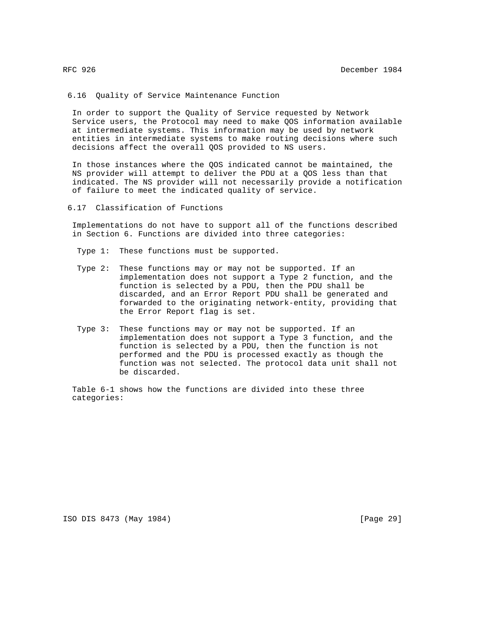### 6.16 Quality of Service Maintenance Function

 In order to support the Quality of Service requested by Network Service users, the Protocol may need to make QOS information available at intermediate systems. This information may be used by network entities in intermediate systems to make routing decisions where such decisions affect the overall QOS provided to NS users.

 In those instances where the QOS indicated cannot be maintained, the NS provider will attempt to deliver the PDU at a QOS less than that indicated. The NS provider will not necessarily provide a notification of failure to meet the indicated quality of service.

6.17 Classification of Functions

 Implementations do not have to support all of the functions described in Section 6. Functions are divided into three categories:

- Type 1: These functions must be supported.
- Type 2: These functions may or may not be supported. If an implementation does not support a Type 2 function, and the function is selected by a PDU, then the PDU shall be discarded, and an Error Report PDU shall be generated and forwarded to the originating network-entity, providing that the Error Report flag is set.
- Type 3: These functions may or may not be supported. If an implementation does not support a Type 3 function, and the function is selected by a PDU, then the function is not performed and the PDU is processed exactly as though the function was not selected. The protocol data unit shall not be discarded.

 Table 6-1 shows how the functions are divided into these three categories:

ISO DIS 8473 (May 1984) [Page 29]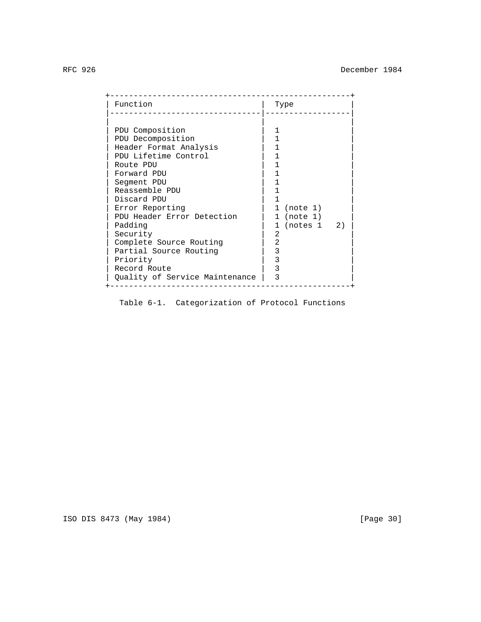| Function                       | Type            |
|--------------------------------|-----------------|
|                                |                 |
| PDU Composition                | 1               |
| PDU Decomposition              |                 |
| Header Format Analysis         |                 |
| PDU Lifetime Control           | 1               |
| Route PDU                      | 1               |
| Forward PDU                    |                 |
| Seqment PDU                    |                 |
| Reassemble PDU                 |                 |
| Discard PDU                    |                 |
| Error Reporting                | $1$ (note $1$ ) |
| PDU Header Error Detection     | $1$ (note $1$ ) |
| Padding                        | 1 (notes 1      |
| Security                       | 2               |
| Complete Source Routing        | 2               |
| Partial Source Routing         | 3               |
| Priority                       | 3               |
| Record Route                   | 3               |
| Quality of Service Maintenance | 3               |

Table 6-1. Categorization of Protocol Functions

ISO DIS 8473 (May 1984) [Page 30]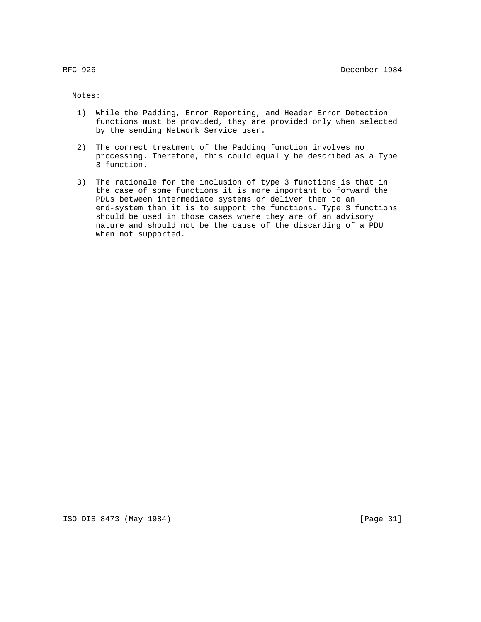Notes:

- 1) While the Padding, Error Reporting, and Header Error Detection functions must be provided, they are provided only when selected by the sending Network Service user.
- 2) The correct treatment of the Padding function involves no processing. Therefore, this could equally be described as a Type 3 function.
- 3) The rationale for the inclusion of type 3 functions is that in the case of some functions it is more important to forward the PDUs between intermediate systems or deliver them to an end-system than it is to support the functions. Type 3 functions should be used in those cases where they are of an advisory nature and should not be the cause of the discarding of a PDU when not supported.

ISO DIS 8473 (May 1984) [Page 31]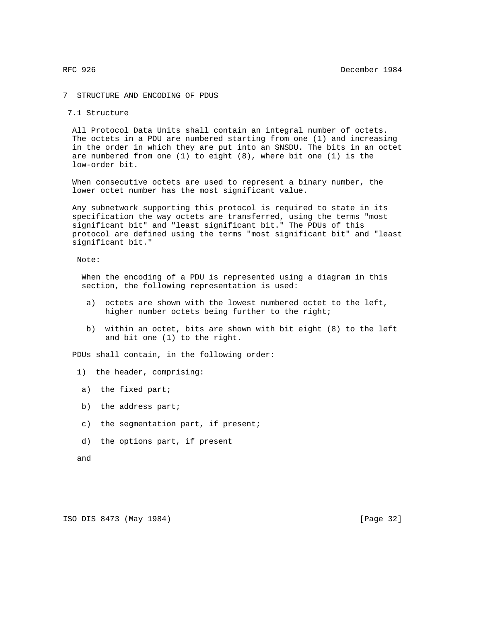## 7 STRUCTURE AND ENCODING OF PDUS

7.1 Structure

 All Protocol Data Units shall contain an integral number of octets. The octets in a PDU are numbered starting from one (1) and increasing in the order in which they are put into an SNSDU. The bits in an octet are numbered from one (1) to eight (8), where bit one (1) is the low-order bit.

 When consecutive octets are used to represent a binary number, the lower octet number has the most significant value.

 Any subnetwork supporting this protocol is required to state in its specification the way octets are transferred, using the terms "most significant bit" and "least significant bit." The PDUs of this protocol are defined using the terms "most significant bit" and "least significant bit."

Note:

 When the encoding of a PDU is represented using a diagram in this section, the following representation is used:

- a) octets are shown with the lowest numbered octet to the left, higher number octets being further to the right;
- b) within an octet, bits are shown with bit eight (8) to the left and bit one (1) to the right.

PDUs shall contain, in the following order:

- 1) the header, comprising:
- a) the fixed part;
- b) the address part;
- c) the segmentation part, if present;
- d) the options part, if present

and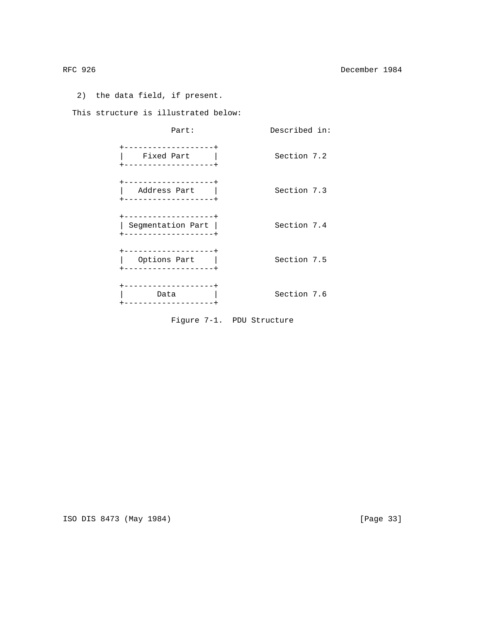2) the data field, if present.

This structure is illustrated below:

| Part:                                                              | Described in: |
|--------------------------------------------------------------------|---------------|
| +-------------------+<br>  Fixed Part<br>+------------------+      | Section 7.2   |
| +------------------+<br>Address Part<br>+-------------------+      | Section 7.3   |
| +------------------+<br>Segmentation Part<br>+-------------------+ | Section 7.4   |
| +-------------------+<br>  Options Part  <br>+-------------------+ | Section 7.5   |
| +------------------+<br>Data<br>------------------- <b>-</b>       | Section 7.6   |



ISO DIS 8473 (May 1984) [Page 33]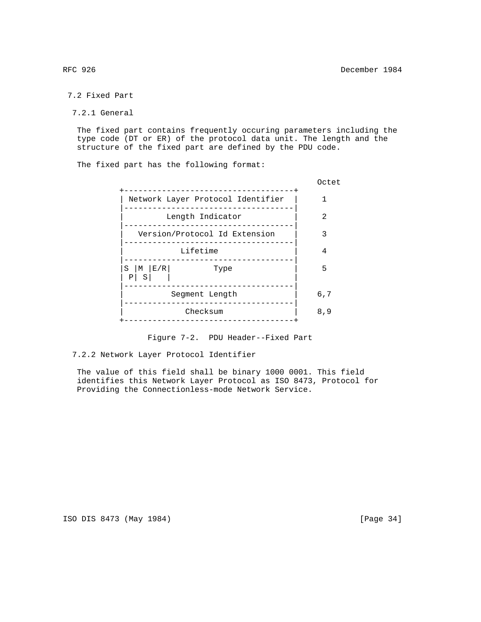## 7.2 Fixed Part

7.2.1 General

 The fixed part contains frequently occuring parameters including the type code (DT or ER) of the protocol data unit. The length and the structure of the fixed part are defined by the PDU code.

The fixed part has the following format:

|                                   | Octet |
|-----------------------------------|-------|
| Network Layer Protocol Identifier |       |
| Length Indicator                  | 2     |
| Version/Protocol Id Extension     | 3     |
| Lifetime                          | 4     |
| M E/R <br>S<br>Type<br>Ρ<br>S'    | 5     |
| Segment Length                    | 6,7   |
| Checksum                          | 8,9   |
|                                   |       |

Figure 7-2. PDU Header--Fixed Part

## 7.2.2 Network Layer Protocol Identifier

 The value of this field shall be binary 1000 0001. This field identifies this Network Layer Protocol as ISO 8473, Protocol for Providing the Connectionless-mode Network Service.

ISO DIS 8473 (May 1984) [Page 34]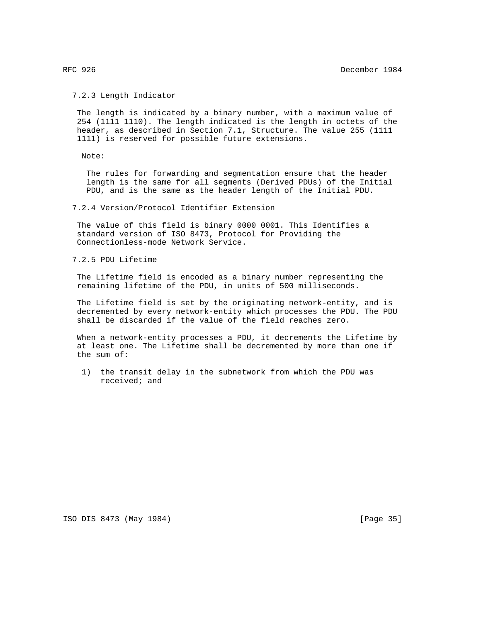## 7.2.3 Length Indicator

 The length is indicated by a binary number, with a maximum value of 254 (1111 1110). The length indicated is the length in octets of the header, as described in Section 7.1, Structure. The value 255 (1111 1111) is reserved for possible future extensions.

Note:

 The rules for forwarding and segmentation ensure that the header length is the same for all segments (Derived PDUs) of the Initial PDU, and is the same as the header length of the Initial PDU.

7.2.4 Version/Protocol Identifier Extension

 The value of this field is binary 0000 0001. This Identifies a standard version of ISO 8473, Protocol for Providing the Connectionless-mode Network Service.

7.2.5 PDU Lifetime

 The Lifetime field is encoded as a binary number representing the remaining lifetime of the PDU, in units of 500 milliseconds.

 The Lifetime field is set by the originating network-entity, and is decremented by every network-entity which processes the PDU. The PDU shall be discarded if the value of the field reaches zero.

 When a network-entity processes a PDU, it decrements the Lifetime by at least one. The Lifetime shall be decremented by more than one if the sum of:

 1) the transit delay in the subnetwork from which the PDU was received; and

ISO DIS 8473 (May 1984) [Page 35]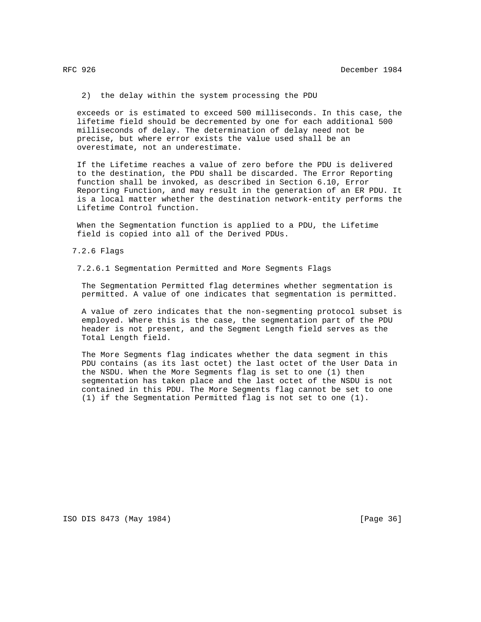2) the delay within the system processing the PDU

 exceeds or is estimated to exceed 500 milliseconds. In this case, the lifetime field should be decremented by one for each additional 500 milliseconds of delay. The determination of delay need not be precise, but where error exists the value used shall be an overestimate, not an underestimate.

 If the Lifetime reaches a value of zero before the PDU is delivered to the destination, the PDU shall be discarded. The Error Reporting function shall be invoked, as described in Section 6.10, Error Reporting Function, and may result in the generation of an ER PDU. It is a local matter whether the destination network-entity performs the Lifetime Control function.

 When the Segmentation function is applied to a PDU, the Lifetime field is copied into all of the Derived PDUs.

7.2.6 Flags

7.2.6.1 Segmentation Permitted and More Segments Flags

 The Segmentation Permitted flag determines whether segmentation is permitted. A value of one indicates that segmentation is permitted.

 A value of zero indicates that the non-segmenting protocol subset is employed. Where this is the case, the segmentation part of the PDU header is not present, and the Segment Length field serves as the Total Length field.

 The More Segments flag indicates whether the data segment in this PDU contains (as its last octet) the last octet of the User Data in the NSDU. When the More Segments flag is set to one (1) then segmentation has taken place and the last octet of the NSDU is not contained in this PDU. The More Segments flag cannot be set to one (1) if the Segmentation Permitted flag is not set to one (1).

ISO DIS 8473 (May 1984) [Page 36]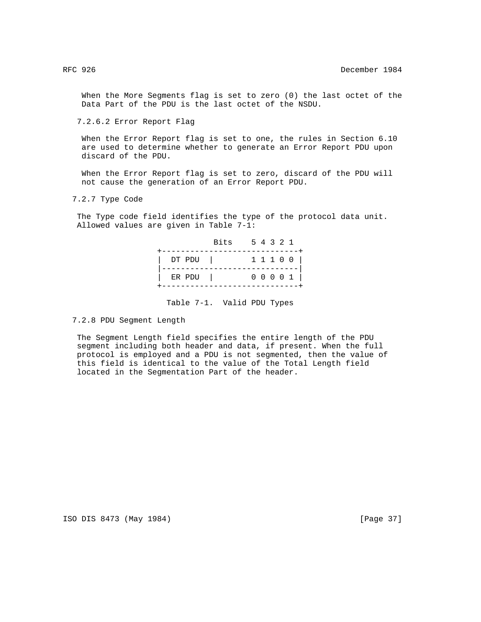When the More Segments flag is set to zero (0) the last octet of the Data Part of the PDU is the last octet of the NSDU.

7.2.6.2 Error Report Flag

 When the Error Report flag is set to one, the rules in Section 6.10 are used to determine whether to generate an Error Report PDU upon discard of the PDU.

 When the Error Report flag is set to zero, discard of the PDU will not cause the generation of an Error Report PDU.

7.2.7 Type Code

 The Type code field identifies the type of the protocol data unit. Allowed values are given in Table 7-1:

Bits 5 4 3 2 1

|  | DT PDU |  |  | 11100     |
|--|--------|--|--|-----------|
|  | ER PDU |  |  | 0 0 0 0 1 |
|  |        |  |  |           |

Table 7-1. Valid PDU Types

7.2.8 PDU Segment Length

 The Segment Length field specifies the entire length of the PDU segment including both header and data, if present. When the full protocol is employed and a PDU is not segmented, then the value of this field is identical to the value of the Total Length field located in the Segmentation Part of the header.

ISO DIS 8473 (May 1984) [Page 37]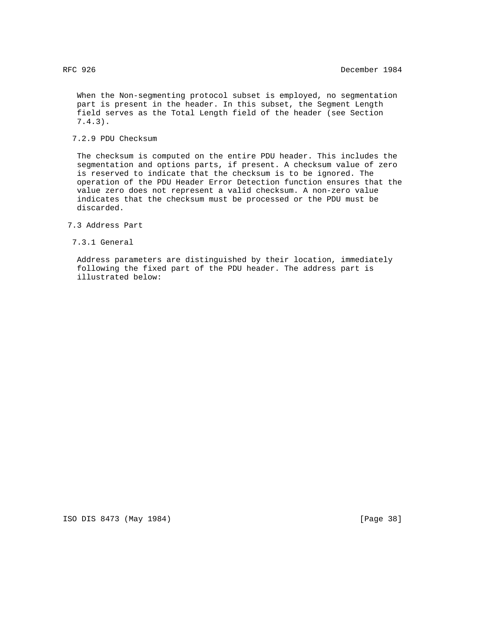When the Non-segmenting protocol subset is employed, no segmentation part is present in the header. In this subset, the Segment Length field serves as the Total Length field of the header (see Section 7.4.3).

### 7.2.9 PDU Checksum

 The checksum is computed on the entire PDU header. This includes the segmentation and options parts, if present. A checksum value of zero is reserved to indicate that the checksum is to be ignored. The operation of the PDU Header Error Detection function ensures that the value zero does not represent a valid checksum. A non-zero value indicates that the checksum must be processed or the PDU must be discarded.

7.3.1 General

 Address parameters are distinguished by their location, immediately following the fixed part of the PDU header. The address part is illustrated below:

ISO DIS 8473 (May 1984) [Page 38]

 <sup>7.3</sup> Address Part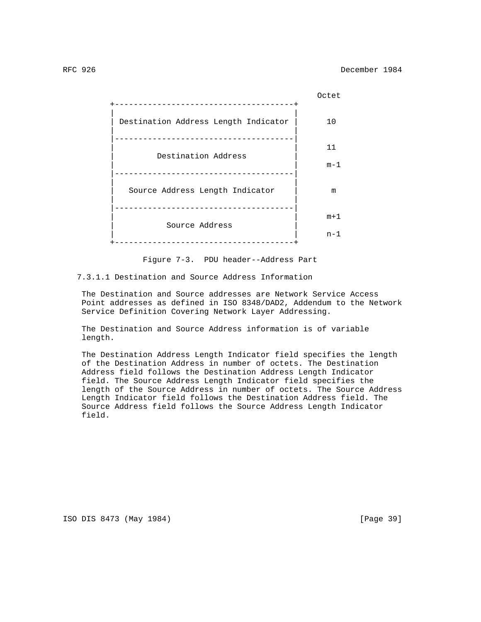



Figure 7-3. PDU header--Address Part

7.3.1.1 Destination and Source Address Information

 The Destination and Source addresses are Network Service Access Point addresses as defined in ISO 8348/DAD2, Addendum to the Network Service Definition Covering Network Layer Addressing.

 The Destination and Source Address information is of variable length.

 The Destination Address Length Indicator field specifies the length of the Destination Address in number of octets. The Destination Address field follows the Destination Address Length Indicator field. The Source Address Length Indicator field specifies the length of the Source Address in number of octets. The Source Address Length Indicator field follows the Destination Address field. The Source Address field follows the Source Address Length Indicator field.

ISO DIS 8473 (May 1984) [Page 39]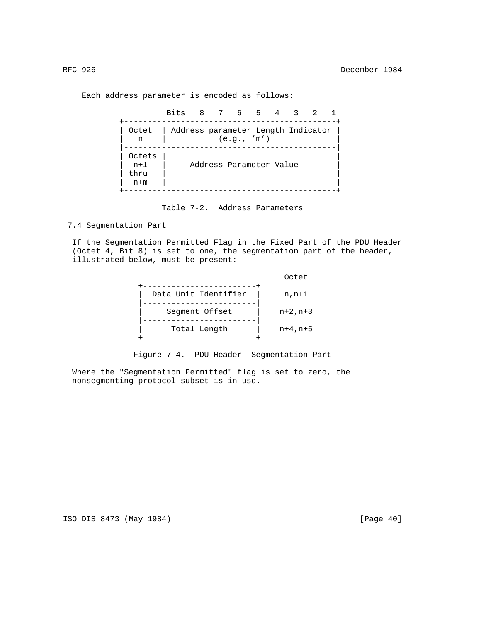Each address parameter is encoded as follows:

 Bits 8 7 6 5 4 3 2 1 +---------------------------------------------+ | Octet | Address parameter Length Indicator | | n | (e.g., 'm') | |---------------------------------------------|  $0$ ctets  $|$ <br>n+1 Address Parameter Value | thru | | | n+m | | +---------------------------------------------+

Table 7-2. Address Parameters

7.4 Segmentation Part

 If the Segmentation Permitted Flag in the Fixed Part of the PDU Header (Octet 4, Bit 8) is set to one, the segmentation part of the header, illustrated below, must be present:

|                      | Octet      |
|----------------------|------------|
| Data Unit Identifier | n, n+1     |
| Seqment Offset       | $n+2, n+3$ |
| Total Length         | $n+4, n+5$ |
|                      |            |

Figure 7-4. PDU Header--Segmentation Part

 Where the "Segmentation Permitted" flag is set to zero, the nonsegmenting protocol subset is in use.

ISO DIS 8473 (May 1984) [Page 40]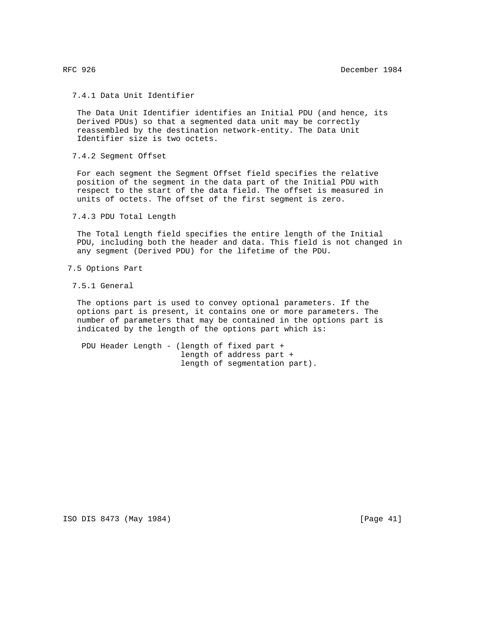## 7.4.1 Data Unit Identifier

 The Data Unit Identifier identifies an Initial PDU (and hence, its Derived PDUs) so that a segmented data unit may be correctly reassembled by the destination network-entity. The Data Unit Identifier size is two octets.

7.4.2 Segment Offset

 For each segment the Segment Offset field specifies the relative position of the segment in the data part of the Initial PDU with respect to the start of the data field. The offset is measured in units of octets. The offset of the first segment is zero.

7.4.3 PDU Total Length

 The Total Length field specifies the entire length of the Initial PDU, including both the header and data. This field is not changed in any segment (Derived PDU) for the lifetime of the PDU.

7.5 Options Part

7.5.1 General

 The options part is used to convey optional parameters. If the options part is present, it contains one or more parameters. The number of parameters that may be contained in the options part is indicated by the length of the options part which is:

 PDU Header Length - (length of fixed part + length of address part + length of segmentation part).

ISO DIS 8473 (May 1984) [Page 41]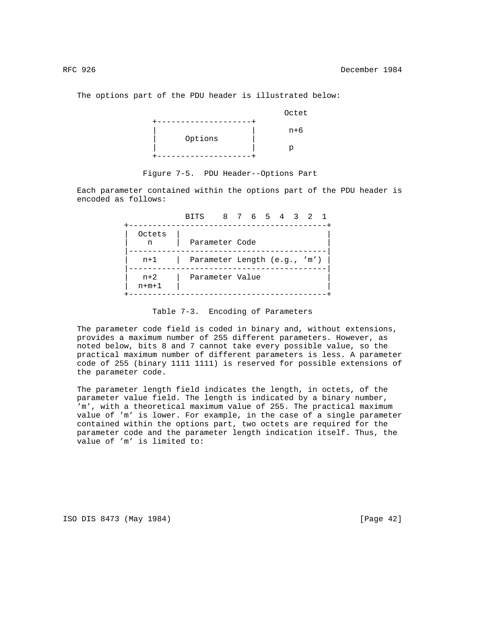The options part of the PDU header is illustrated below:



Figure 7-5. PDU Header--Options Part

 Each parameter contained within the options part of the PDU header is encoded as follows:

|                  | BITS 8 7 6 5 4 3 2           |  |  |  |  |
|------------------|------------------------------|--|--|--|--|
| Octets<br>n      | Parameter Code               |  |  |  |  |
| n+1              | Parameter Length (e.g., 'm') |  |  |  |  |
| $n+2$<br>$n+m+1$ | Parameter Value              |  |  |  |  |

Table 7-3. Encoding of Parameters

 The parameter code field is coded in binary and, without extensions, provides a maximum number of 255 different parameters. However, as noted below, bits 8 and 7 cannot take every possible value, so the practical maximum number of different parameters is less. A parameter code of 255 (binary 1111 1111) is reserved for possible extensions of the parameter code.

 The parameter length field indicates the length, in octets, of the parameter value field. The length is indicated by a binary number, 'm', with a theoretical maximum value of 255. The practical maximum value of 'm' is lower. For example, in the case of a single parameter contained within the options part, two octets are required for the parameter code and the parameter length indication itself. Thus, the value of 'm' is limited to:

ISO DIS 8473 (May 1984) [Page 42]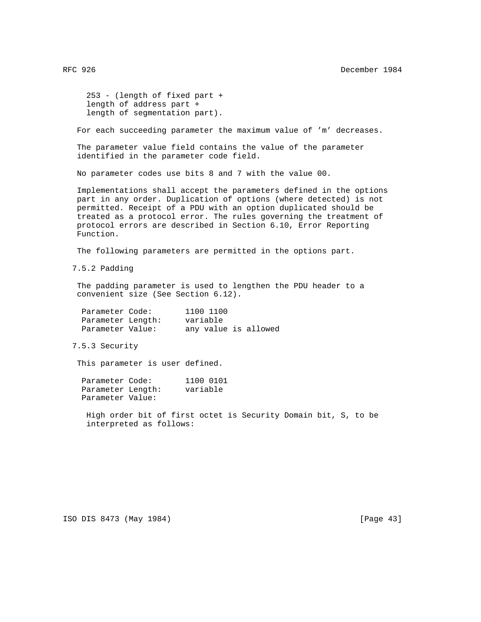253 - (length of fixed part + length of address part + length of segmentation part).

For each succeeding parameter the maximum value of 'm' decreases.

 The parameter value field contains the value of the parameter identified in the parameter code field.

No parameter codes use bits 8 and 7 with the value 00.

 Implementations shall accept the parameters defined in the options part in any order. Duplication of options (where detected) is not permitted. Receipt of a PDU with an option duplicated should be treated as a protocol error. The rules governing the treatment of protocol errors are described in Section 6.10, Error Reporting Function.

The following parameters are permitted in the options part.

7.5.2 Padding

 The padding parameter is used to lengthen the PDU header to a convenient size (See Section 6.12).

| Parameter Code:   | 1100 1100            |  |
|-------------------|----------------------|--|
| Parameter Length: | variable             |  |
| Parameter Value:  | any value is allowed |  |

7.5.3 Security

This parameter is user defined.

Parameter Code: 1100 0101 Parameter Length: variable Parameter Value:

 High order bit of first octet is Security Domain bit, S, to be interpreted as follows:

ISO DIS 8473 (May 1984) [Page 43]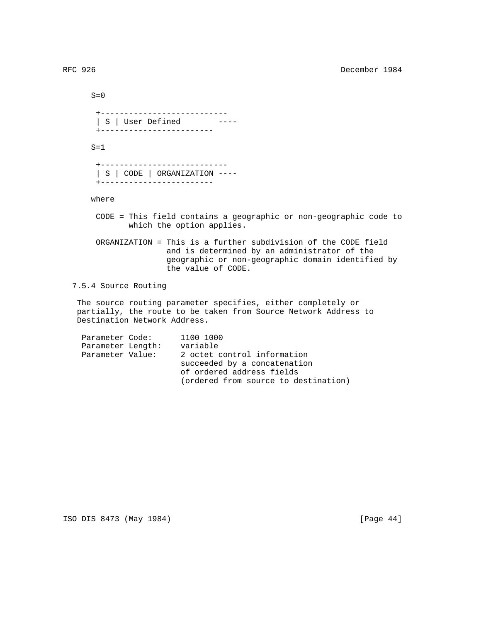$S=0$  +--------------------------- | S | User Defined ---- +------------------------

 $S=1$ 

 +--------------------------- | S | CODE | ORGANIZATION ---- +------------------------

where

- CODE = This field contains a geographic or non-geographic code to which the option applies.
- ORGANIZATION = This is a further subdivision of the CODE field and is determined by an administrator of the geographic or non-geographic domain identified by the value of CODE.

7.5.4 Source Routing

 The source routing parameter specifies, either completely or partially, the route to be taken from Source Network Address to Destination Network Address.

| Parameter Code:   | 1100 1000                            |
|-------------------|--------------------------------------|
| Parameter Length: | variable                             |
| Parameter Value:  | 2 octet control information          |
|                   | succeeded by a concatenation         |
|                   | of ordered address fields            |
|                   | (ordered from source to destination) |

ISO DIS 8473 (May 1984) [Page 44]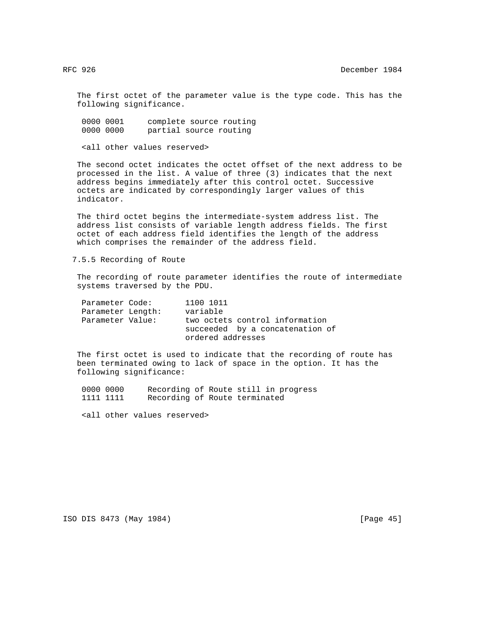The first octet of the parameter value is the type code. This has the following significance.

 0000 0001 complete source routing 0000 0000 partial source routing

<all other values reserved>

 The second octet indicates the octet offset of the next address to be processed in the list. A value of three (3) indicates that the next address begins immediately after this control octet. Successive octets are indicated by correspondingly larger values of this indicator.

 The third octet begins the intermediate-system address list. The address list consists of variable length address fields. The first octet of each address field identifies the length of the address which comprises the remainder of the address field.

7.5.5 Recording of Route

 The recording of route parameter identifies the route of intermediate systems traversed by the PDU.

| Parameter Code:   | 1100 1011         |  |  |                                 |  |
|-------------------|-------------------|--|--|---------------------------------|--|
| Parameter Length: | variable          |  |  |                                 |  |
| Parameter Value:  |                   |  |  | two octets control information  |  |
|                   |                   |  |  | succeeded by a concatenation of |  |
|                   | ordered addresses |  |  |                                 |  |
|                   |                   |  |  |                                 |  |

 The first octet is used to indicate that the recording of route has been terminated owing to lack of space in the option. It has the following significance:

 0000 0000 Recording of Route still in progress 1111 1111 Recording of Route terminated

<all other values reserved>

ISO DIS 8473 (May 1984) [Page 45]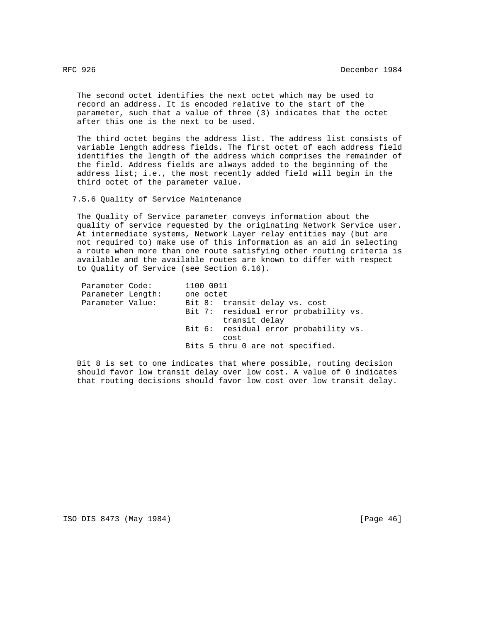The second octet identifies the next octet which may be used to record an address. It is encoded relative to the start of the parameter, such that a value of three (3) indicates that the octet after this one is the next to be used.

 The third octet begins the address list. The address list consists of variable length address fields. The first octet of each address field identifies the length of the address which comprises the remainder of the field. Address fields are always added to the beginning of the address list; i.e., the most recently added field will begin in the third octet of the parameter value.

7.5.6 Quality of Service Maintenance

 The Quality of Service parameter conveys information about the quality of service requested by the originating Network Service user. At intermediate systems, Network Layer relay entities may (but are not required to) make use of this information as an aid in selecting a route when more than one route satisfying other routing criteria is available and the available routes are known to differ with respect to Quality of Service (see Section 6.16).

| Parameter Code:   | 1100 0011 |                                       |
|-------------------|-----------|---------------------------------------|
| Parameter Length: | one octet |                                       |
| Parameter Value:  |           | Bit 8: transit delay vs. cost         |
|                   |           | Bit 7: residual error probability vs. |
|                   |           | transit delay                         |
|                   |           | Bit 6: residual error probability vs. |
|                   |           | cost                                  |
|                   |           | Bits 5 thru 0 are not specified.      |
|                   |           |                                       |

 Bit 8 is set to one indicates that where possible, routing decision should favor low transit delay over low cost. A value of 0 indicates that routing decisions should favor low cost over low transit delay.

ISO DIS 8473 (May 1984) [Page 46]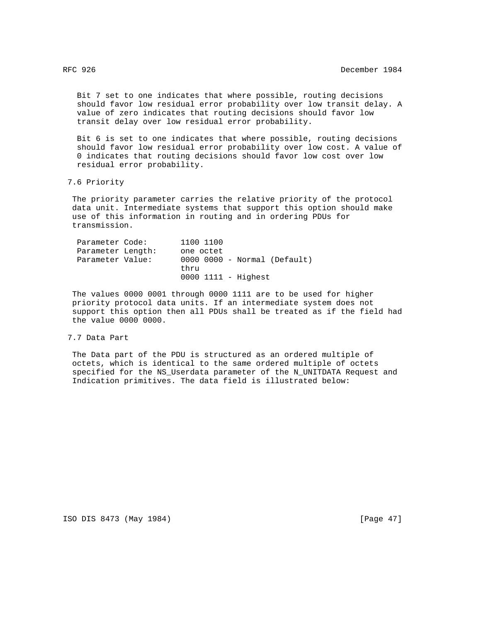Bit 7 set to one indicates that where possible, routing decisions should favor low residual error probability over low transit delay. A value of zero indicates that routing decisions should favor low transit delay over low residual error probability.

 Bit 6 is set to one indicates that where possible, routing decisions should favor low residual error probability over low cost. A value of 0 indicates that routing decisions should favor low cost over low residual error probability.

7.6 Priority

 The priority parameter carries the relative priority of the protocol data unit. Intermediate systems that support this option should make use of this information in routing and in ordering PDUs for transmission.

| Parameter Code:<br>Parameter Length:<br>Parameter Value: | thru | 1100 1100<br>one octet | $0000 0000 - Normal (Default)$<br>$0000 1111 - Hiquest$ |
|----------------------------------------------------------|------|------------------------|---------------------------------------------------------|

 The values 0000 0001 through 0000 1111 are to be used for higher priority protocol data units. If an intermediate system does not support this option then all PDUs shall be treated as if the field had the value 0000 0000.

7.7 Data Part

 The Data part of the PDU is structured as an ordered multiple of octets, which is identical to the same ordered multiple of octets specified for the NS\_Userdata parameter of the N\_UNITDATA Request and Indication primitives. The data field is illustrated below:

ISO DIS 8473 (May 1984) [Page 47]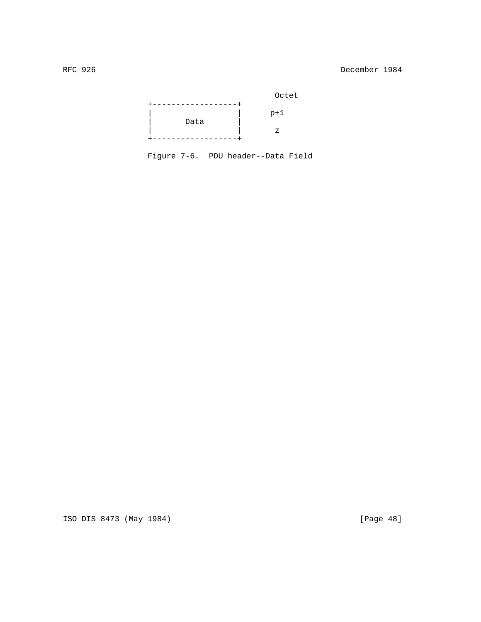Octet +------------------+  $|$  p+1 Data | | z +------------------+

Figure 7-6. PDU header--Data Field

ISO DIS 8473 (May 1984) [Page 48]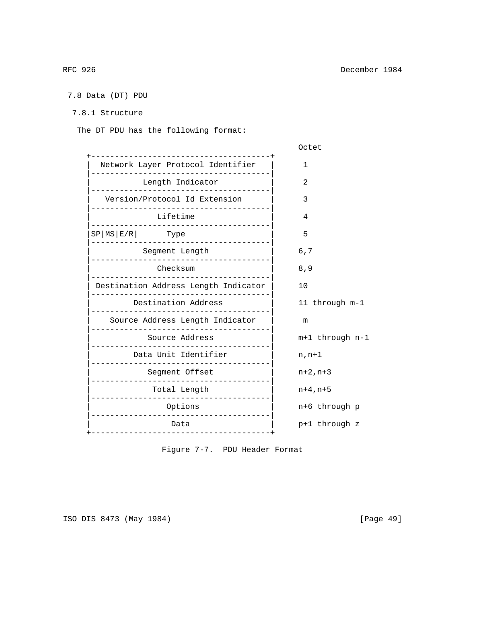# 7.8 Data (DT) PDU

# 7.8.1 Structure

The DT PDU has the following format:

| __________________________                             | Octet           |
|--------------------------------------------------------|-----------------|
| Network Layer Protocol Identifier                      | 1               |
| Length Indicator<br>---------------                    | 2               |
| Version/Protocol Id Extension<br>-----------------     | 3               |
| Lifetime<br>. <u>.</u> .                               | 4               |
| $SP MS E/R$ Type                                       | 5               |
| Segment Length                                         | 6,7             |
| Checksum                                               | 8,9             |
| Destination Address Length Indicator                   | 10              |
| Destination Address                                    | 11 through m-1  |
| Source Address Length Indicator                        | m               |
| Source Address                                         | m+1 through n-1 |
| Data Unit Identifier<br>______________________________ | n, n+1          |
| Segment Offset<br>___________________________          | $n+2, n+3$      |
| Total Length                                           | $n+4, n+5$      |
| Options                                                | n+6 through p   |
| Data<br>----------------------------                   | p+1 through z   |
|                                                        |                 |

Figure 7-7. PDU Header Format

ISO DIS 8473 (May 1984) [Page 49]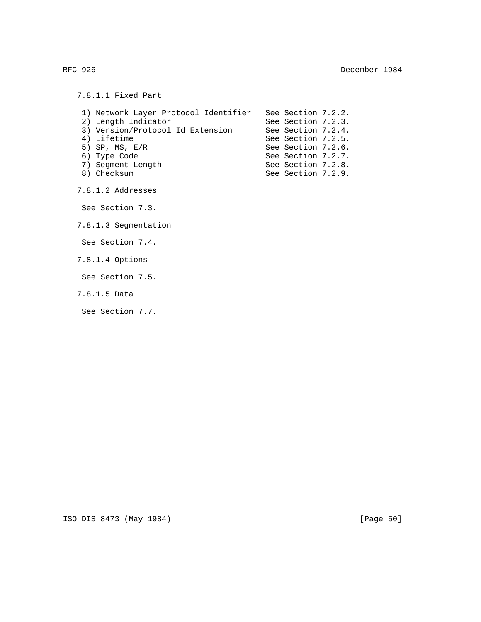# 7.8.1.1 Fixed Part

| 1) Network Layer Protocol Identifier | See Section 7.2.2. |
|--------------------------------------|--------------------|
| 2) Length Indicator                  | See Section 7.2.3. |
| 3) Version/Protocol Id Extension     | See Section 7.2.4. |
| 4) Lifetime                          | See Section 7.2.5. |
| 5) SP, MS, $E/R$                     | See Section 7.2.6. |
| 6) Type Code                         | See Section 7.2.7. |
| 7) Segment Length                    | See Section 7.2.8. |
| 8) Checksum                          | See Section 7.2.9. |
|                                      |                    |
| 7.8.1.2 Addresses                    |                    |

See Section 7.3.

7.8.1.3 Segmentation

See Section 7.4.

7.8.1.4 Options

See Section 7.5.

- 7.8.1.5 Data
- See Section 7.7.

ISO DIS 8473 (May 1984) [Page 50]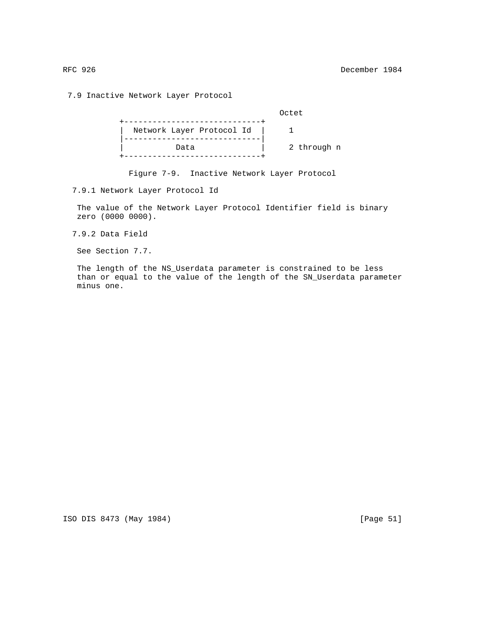7.9 Inactive Network Layer Protocol



Figure 7-9. Inactive Network Layer Protocol

7.9.1 Network Layer Protocol Id

 The value of the Network Layer Protocol Identifier field is binary zero (0000 0000).

7.9.2 Data Field

See Section 7.7.

 The length of the NS\_Userdata parameter is constrained to be less than or equal to the value of the length of the SN\_Userdata parameter minus one.

ISO DIS 8473 (May 1984) [Page 51]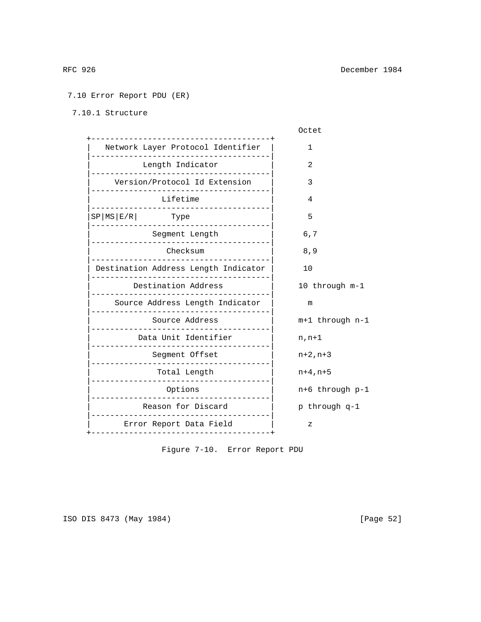# 7.10 Error Report PDU (ER)

7.10.1 Structure

| ____________________________                                       | Octet           |
|--------------------------------------------------------------------|-----------------|
| Network Layer Protocol Identifier                                  | 1               |
| Length Indicator                                                   | $\overline{2}$  |
| Version/Protocol Id Extension                                      | 3               |
| Lifetime                                                           | 4               |
| $SP MS E/R $ Type                                                  | 5               |
| Segment Length                                                     | 6,7             |
| Checksum                                                           | 8,9             |
| Destination Address Length Indicator                               | 10              |
| Destination Address<br>--------------------------                  | 10 through m-1  |
| Source Address Length Indicator<br>. _ _ _ _ _ _ _ _ _ _ _ _ _ _ _ | m               |
| Source Address                                                     | m+1 through n-1 |
| Data Unit Identifier                                               | $n,n+1$         |
| Segment Offset                                                     | $n+2, n+3$      |
| Total Length<br>. _ _ _ _ _ _ _ _ _ _ _ _ _ _ _                    | $n+4, n+5$      |
| Options                                                            | n+6 through p-1 |
| Reason for Discard                                                 | p through q-1   |
| Error Report Data Field                                            | Ζ               |
|                                                                    |                 |

Figure 7-10. Error Report PDU

ISO DIS 8473 (May 1984) [Page 52]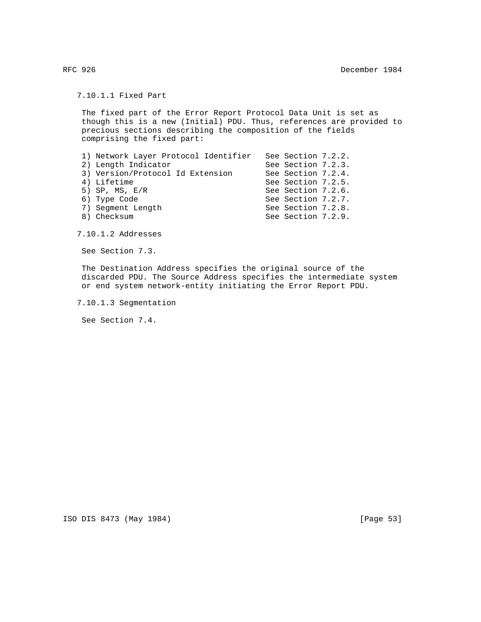7.10.1.1 Fixed Part

 The fixed part of the Error Report Protocol Data Unit is set as though this is a new (Initial) PDU. Thus, references are provided to precious sections describing the composition of the fields comprising the fixed part:

| 1) Network Layer Protocol Identifier | See Section 7.2.2. |  |
|--------------------------------------|--------------------|--|
| 2) Length Indicator                  | See Section 7.2.3. |  |
| 3) Version/Protocol Id Extension     | See Section 7.2.4. |  |
| 4) Lifetime                          | See Section 7.2.5. |  |
| 5) SP, MS, $E/R$                     | See Section 7.2.6. |  |
| 6) Type Code                         | See Section 7.2.7. |  |
| 7) Segment Length                    | See Section 7.2.8. |  |
| 8) Checksum                          | See Section 7.2.9. |  |
|                                      |                    |  |

7.10.1.2 Addresses

See Section 7.3.

 The Destination Address specifies the original source of the discarded PDU. The Source Address specifies the intermediate system or end system network-entity initiating the Error Report PDU.

7.10.1.3 Segmentation

See Section 7.4.

ISO DIS 8473 (May 1984) [Page 53]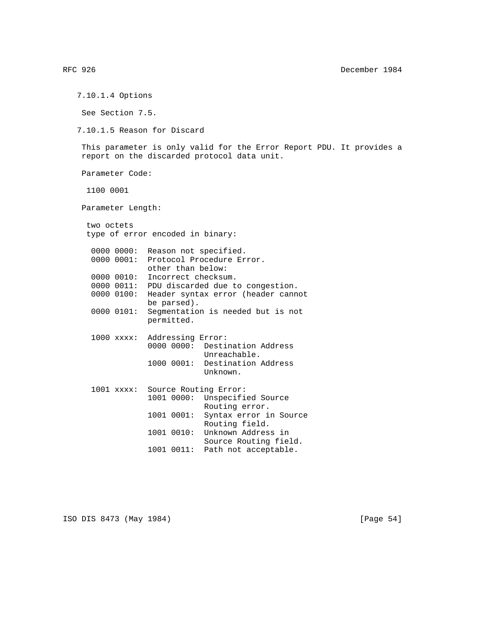7.10.1.4 Options See Section 7.5. 7.10.1.5 Reason for Discard This parameter is only valid for the Error Report PDU. It provides a report on the discarded protocol data unit. Parameter Code: 1100 0001 Parameter Length: two octets type of error encoded in binary: 0000 0000: Reason not specified. 0000 0001: Protocol Procedure Error. other than below: 0000 0010: Incorrect checksum. 0000 0011: PDU discarded due to congestion. 0000 0100: Header syntax error (header cannot be parsed). 0000 0101: Segmentation is needed but is not permitted. 1000 xxxx: Addressing Error: 0000 0000: Destination Address Unreachable. 1000 0001: Destination Address Unknown. 1001 xxxx: Source Routing Error: 1001 0000: Unspecified Source Routing error. 1001 0001: Syntax error in Source Routing field. 1001 0010: Unknown Address in Source Routing field. 1001 0011: Path not acceptable.

ISO DIS 8473 (May 1984) [Page 54]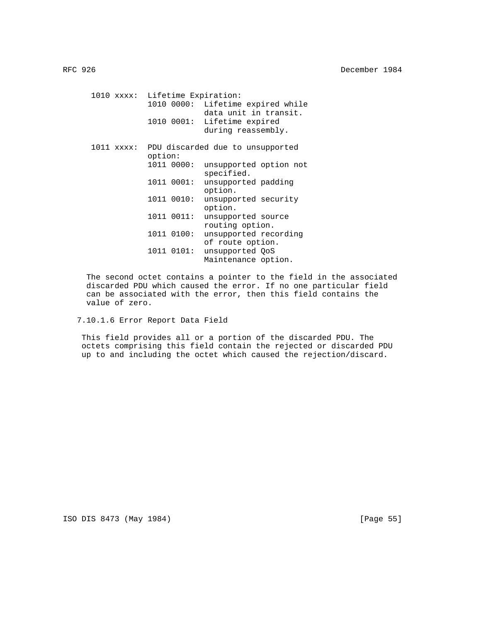|                | 1010 xxxx: Lifetime Expiration: |                                   |
|----------------|---------------------------------|-----------------------------------|
|                |                                 | 1010 0000: Lifetime expired while |
|                |                                 | data unit in transit.             |
|                | 1010 0001:                      | Lifetime expired                  |
|                |                                 | during reassembly.                |
|                |                                 |                                   |
| $1011$ $xxxx:$ |                                 | PDU discarded due to unsupported  |
|                | option:                         |                                   |
|                | 1011 0000:                      | unsupported option not            |
|                |                                 | specified.                        |
|                | 1011 0001:                      | unsupported padding               |
|                |                                 | option.                           |
|                | 1011 0010:                      | unsupported security              |
|                |                                 | option.                           |
|                | 1011 0011:                      | unsupported source                |
|                |                                 | routing option.                   |
|                | 1011 0100:                      | unsupported recording             |
|                |                                 | of route option.                  |
|                | 1011 0101:                      | unsupported QoS                   |
|                |                                 | Maintenance option.               |
|                |                                 |                                   |

 The second octet contains a pointer to the field in the associated discarded PDU which caused the error. If no one particular field can be associated with the error, then this field contains the value of zero.

7.10.1.6 Error Report Data Field

 This field provides all or a portion of the discarded PDU. The octets comprising this field contain the rejected or discarded PDU up to and including the octet which caused the rejection/discard.

ISO DIS 8473 (May 1984) [Page 55]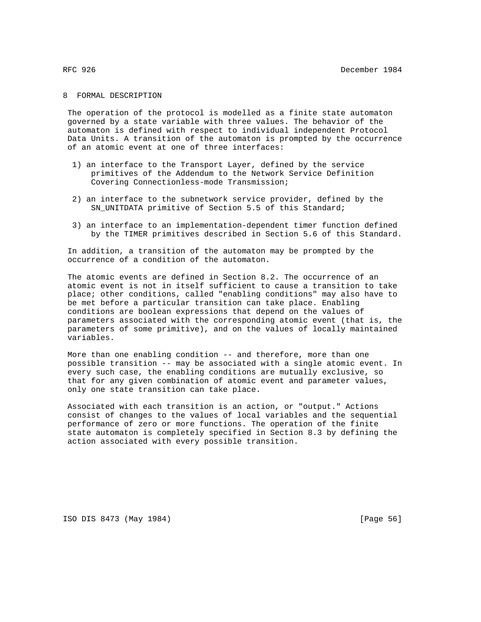### 8 FORMAL DESCRIPTION

 The operation of the protocol is modelled as a finite state automaton governed by a state variable with three values. The behavior of the automaton is defined with respect to individual independent Protocol Data Units. A transition of the automaton is prompted by the occurrence of an atomic event at one of three interfaces:

- 1) an interface to the Transport Layer, defined by the service primitives of the Addendum to the Network Service Definition Covering Connectionless-mode Transmission;
- 2) an interface to the subnetwork service provider, defined by the SN\_UNITDATA primitive of Section 5.5 of this Standard;
- 3) an interface to an implementation-dependent timer function defined by the TIMER primitives described in Section 5.6 of this Standard.

 In addition, a transition of the automaton may be prompted by the occurrence of a condition of the automaton.

 The atomic events are defined in Section 8.2. The occurrence of an atomic event is not in itself sufficient to cause a transition to take place; other conditions, called "enabling conditions" may also have to be met before a particular transition can take place. Enabling conditions are boolean expressions that depend on the values of parameters associated with the corresponding atomic event (that is, the parameters of some primitive), and on the values of locally maintained variables.

 More than one enabling condition -- and therefore, more than one possible transition -- may be associated with a single atomic event. In every such case, the enabling conditions are mutually exclusive, so that for any given combination of atomic event and parameter values, only one state transition can take place.

 Associated with each transition is an action, or "output." Actions consist of changes to the values of local variables and the sequential performance of zero or more functions. The operation of the finite state automaton is completely specified in Section 8.3 by defining the action associated with every possible transition.

ISO DIS 8473 (May 1984) [Page 56]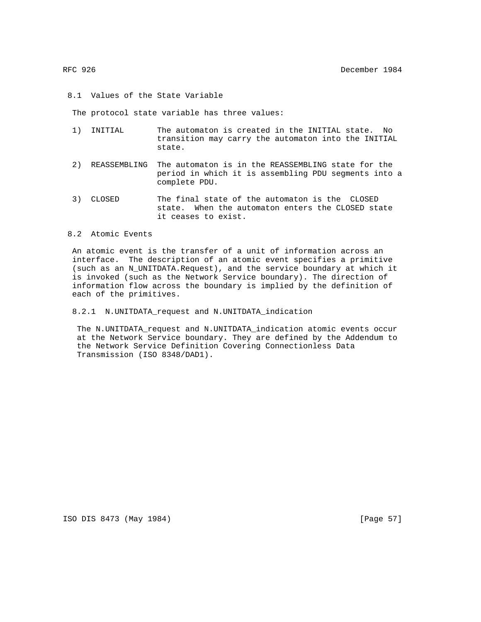8.1 Values of the State Variable

The protocol state variable has three values:

- 1) INITIAL The automaton is created in the INITIAL state. No transition may carry the automaton into the INITIAL state.
- 2) REASSEMBLING The automaton is in the REASSEMBLING state for the period in which it is assembling PDU segments into a complete PDU.
- 3) CLOSED The final state of the automaton is the CLOSED state. When the automaton enters the CLOSED state it ceases to exist.
- 8.2 Atomic Events

 An atomic event is the transfer of a unit of information across an interface. The description of an atomic event specifies a primitive (such as an N\_UNITDATA.Request), and the service boundary at which it is invoked (such as the Network Service boundary). The direction of information flow across the boundary is implied by the definition of each of the primitives.

8.2.1 N.UNITDATA\_request and N.UNITDATA\_indication

 The N.UNITDATA\_request and N.UNITDATA\_indication atomic events occur at the Network Service boundary. They are defined by the Addendum to the Network Service Definition Covering Connectionless Data Transmission (ISO 8348/DAD1).

ISO DIS 8473 (May 1984) [Page 57]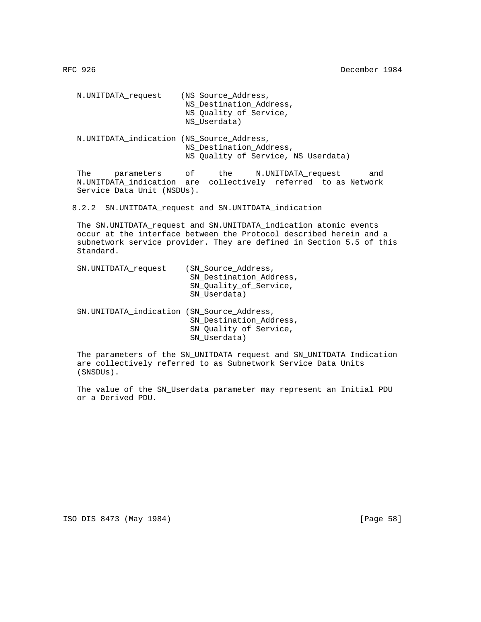| N. UNITDATA request                       | (NS Source Address,<br>NS Destination Address,<br>NS Ouality of Service,<br>NS Userdata) |
|-------------------------------------------|------------------------------------------------------------------------------------------|
| N.UNITDATA indication (NS Source Address, | NS Destination Address,<br>NS Ouality of Service, NS Userdata)                           |

 The parameters of the N.UNITDATA\_request and N.UNITDATA\_indication are collectively referred to as Network Service Data Unit (NSDUs).

8.2.2 SN.UNITDATA\_request and SN.UNITDATA\_indication

 The SN.UNITDATA\_request and SN.UNITDATA\_indication atomic events occur at the interface between the Protocol described herein and a subnetwork service provider. They are defined in Section 5.5 of this Standard.

| SN.UNITDATA request | (SN Source Address,     |
|---------------------|-------------------------|
|                     | SN Destination Address, |
|                     | SN_Quality_of_Service,  |
|                     | SN Userdata)            |
|                     |                         |

 SN.UNITDATA\_indication (SN\_Source\_Address, SN\_Destination\_Address, SN\_Quality\_of\_Service, SN\_Userdata)

 The parameters of the SN\_UNITDATA request and SN\_UNITDATA Indication are collectively referred to as Subnetwork Service Data Units (SNSDUs).

 The value of the SN\_Userdata parameter may represent an Initial PDU or a Derived PDU.

ISO DIS 8473 (May 1984) [Page 58]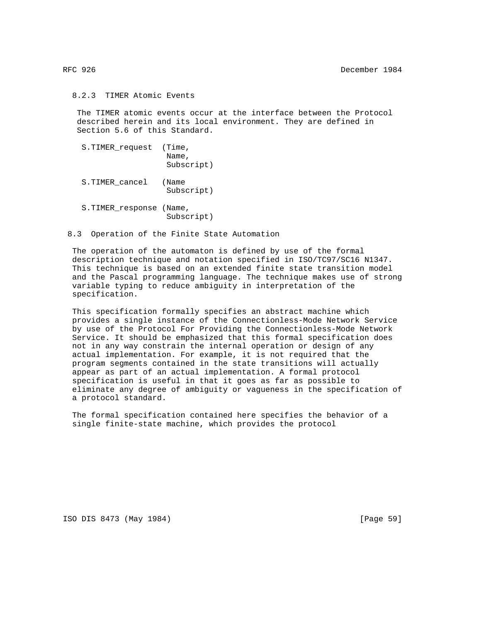RFC 926 December 1984

8.2.3 TIMER Atomic Events

 The TIMER atomic events occur at the interface between the Protocol described herein and its local environment. They are defined in Section 5.6 of this Standard.

 S.TIMER\_request (Time, Name, Subscript) S.TIMER\_cancel (Name Subscript) S.TIMER\_response (Name, Subscript)

8.3 Operation of the Finite State Automation

 The operation of the automaton is defined by use of the formal description technique and notation specified in ISO/TC97/SC16 N1347. This technique is based on an extended finite state transition model and the Pascal programming language. The technique makes use of strong variable typing to reduce ambiguity in interpretation of the specification.

 This specification formally specifies an abstract machine which provides a single instance of the Connectionless-Mode Network Service by use of the Protocol For Providing the Connectionless-Mode Network Service. It should be emphasized that this formal specification does not in any way constrain the internal operation or design of any actual implementation. For example, it is not required that the program segments contained in the state transitions will actually appear as part of an actual implementation. A formal protocol specification is useful in that it goes as far as possible to eliminate any degree of ambiguity or vagueness in the specification of a protocol standard.

 The formal specification contained here specifies the behavior of a single finite-state machine, which provides the protocol

ISO DIS 8473 (May 1984) [Page 59]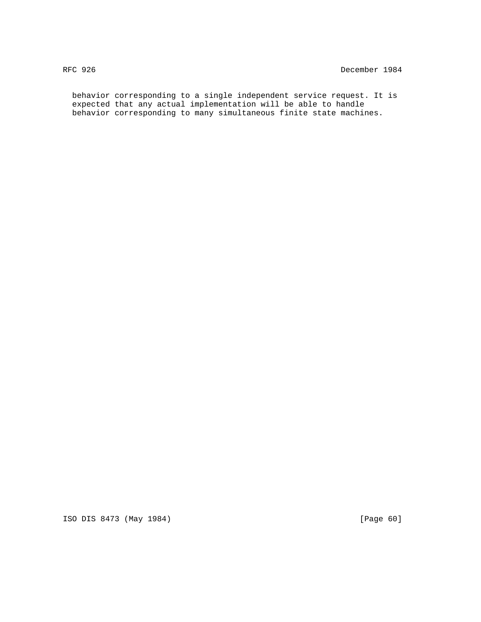behavior corresponding to a single independent service request. It is expected that any actual implementation will be able to handle behavior corresponding to many simultaneous finite state machines.

ISO DIS 8473 (May 1984) [Page 60]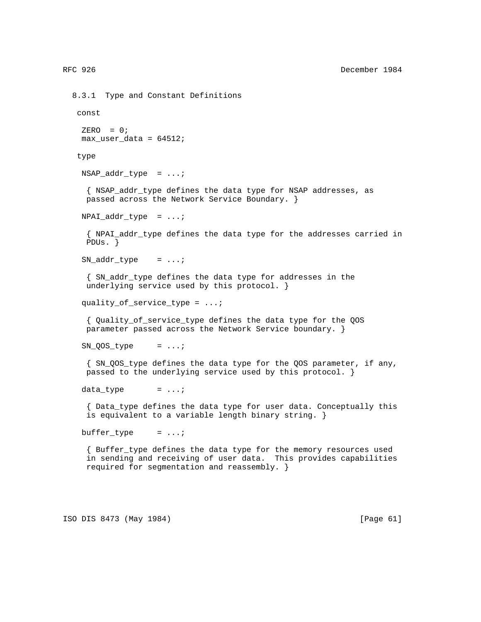```
RFC 926 December 1984
   8.3.1 Type and Constant Definitions
    const
   ZERO = 0;max user data = 64512;
    type
   NSAP\_addr\_type = ...; { NSAP_addr_type defines the data type for NSAP addresses, as
     passed across the Network Service Boundary. }
    NPAI_addr_type = ...;
      { NPAI_addr_type defines the data type for the addresses carried in
     PDUs. }
    SN\_addr\_type = \dots;
      { SN_addr_type defines the data type for addresses in the
     underlying service used by this protocol. }
     quality_of_service_type = ...;
      { Quality_of_service_type defines the data type for the QOS
     parameter passed across the Network Service boundary. }
    SN_QOS_type = ...; { SN_QOS_type defines the data type for the QOS parameter, if any,
     passed to the underlying service used by this protocol. }
    data\_type = \ldots;
      { Data_type defines the data type for user data. Conceptually this
      is equivalent to a variable length binary string. }
    buffer\_type = ...;
      { Buffer_type defines the data type for the memory resources used
      in sending and receiving of user data. This provides capabilities
     required for segmentation and reassembly. }
```
ISO DIS 8473 (May 1984) [Page 61]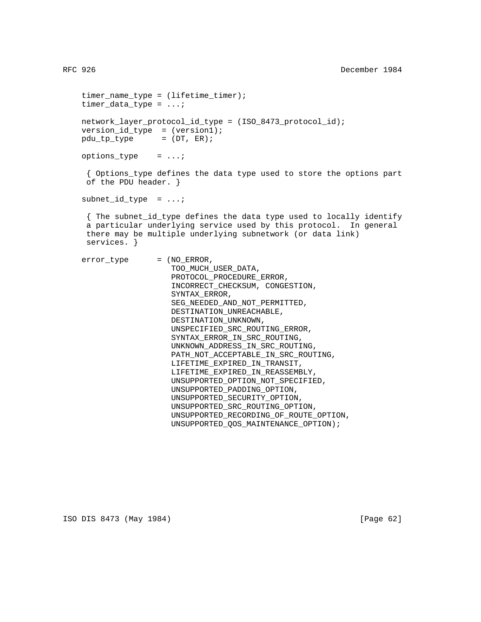timer\_name\_type = (lifetime\_timer); timer\_data\_type = ...; network\_layer\_protocol\_id\_type = (ISO\_8473\_protocol\_id); version\_id\_type = (version1);  $pdu_t p_t ype$  =  $(DT, ER);$  options\_type = ...; { Options\_type defines the data type used to store the options part of the PDU header. } subnet\_id\_type = ...; { The subnet\_id\_type defines the data type used to locally identify a particular underlying service used by this protocol. In general there may be multiple underlying subnetwork (or data link) services. } error\_type = (NO\_ERROR, TOO\_MUCH\_USER\_DATA, PROTOCOL\_PROCEDURE\_ERROR, INCORRECT\_CHECKSUM, CONGESTION, SYNTAX\_ERROR, SEG\_NEEDED\_AND\_NOT\_PERMITTED, DESTINATION\_UNREACHABLE, DESTINATION\_UNKNOWN, UNSPECIFIED\_SRC\_ROUTING\_ERROR, SYNTAX\_ERROR\_IN\_SRC\_ROUTING, UNKNOWN\_ADDRESS\_IN\_SRC\_ROUTING, PATH\_NOT\_ACCEPTABLE\_IN\_SRC\_ROUTING, LIFETIME\_EXPIRED\_IN\_TRANSIT, LIFETIME\_EXPIRED\_IN\_REASSEMBLY, UNSUPPORTED\_OPTION\_NOT\_SPECIFIED, UNSUPPORTED\_PADDING\_OPTION, UNSUPPORTED\_SECURITY\_OPTION, UNSUPPORTED\_SRC\_ROUTING\_OPTION, UNSUPPORTED\_RECORDING\_OF\_ROUTE\_OPTION, UNSUPPORTED\_QOS\_MAINTENANCE\_OPTION);

ISO DIS 8473 (May 1984) [Page 62]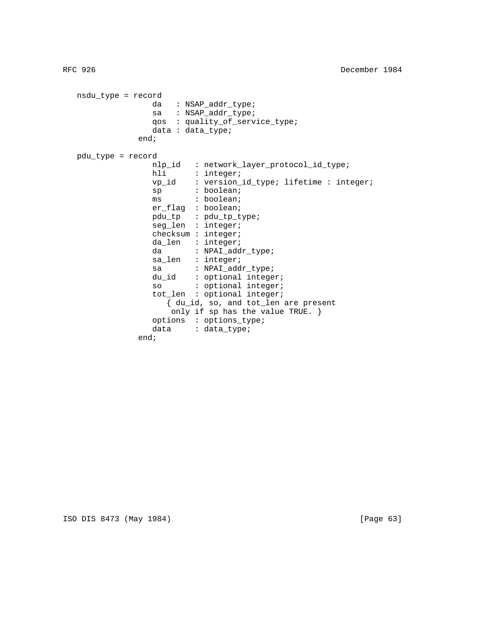nsdu\_type = record da : NSAP\_addr\_type; sa : NSAP\_addr\_type; qos : quality\_of\_service\_type; data : data\_type; end; pdu\_type = record nlp\_id : network\_layer\_protocol\_id\_type; hli : integer; vp\_id : version\_id\_type; lifetime : integer; sp : boolean; ms : boolean; er\_flag : boolean; pdu\_tp : pdu\_tp\_type; seg\_len : integer; checksum : integer; da\_len : integer; da : NPAI\_addr\_type; sa\_len : integer; sa : NPAI\_addr\_type; du\_id : optional integer; so : optional integer; tot\_len : optional integer; { du\_id, so, and tot\_len are present only if sp has the value TRUE. } options : options\_type; data : data\_type; end;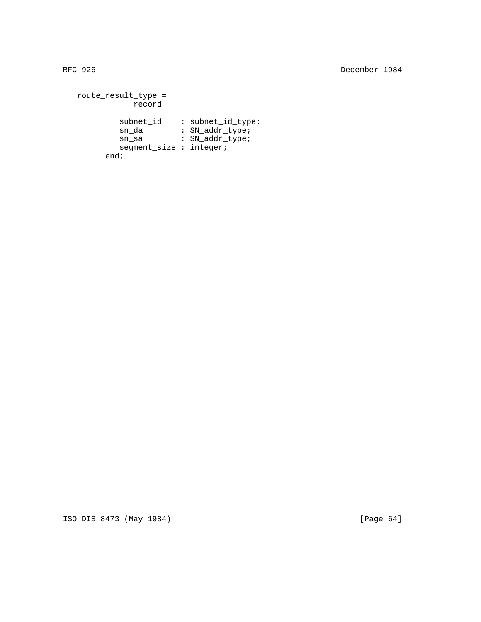route\_result\_type = record subnet\_id : subnet\_id\_type; sn\_da : SN\_addr\_type; sn\_sa  $\qquad \qquad :\;\text{SN}\text{\_}addr\_type\text{;}$  segment\_size : integer; end;

ISO DIS 8473 (May 1984) [Page 64]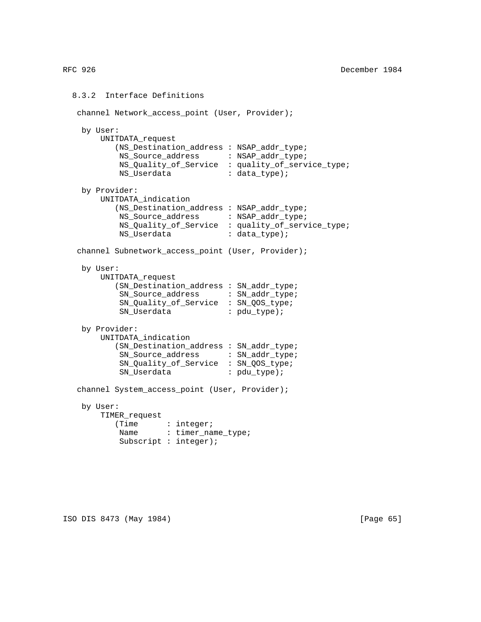```
 8.3.2 Interface Definitions
   channel Network_access_point (User, Provider);
    by User:
       UNITDATA_request
          (NS_Destination_address : NSAP_addr_type;
           NS_Source_address : NSAP_addr_type;
 NS_Quality_of_Service : quality_of_service_type;
 NS_Userdata : data_type);
    by Provider:
       UNITDATA_indication
          (NS_Destination_address : NSAP_addr_type;
           NS_Source_address : NSAP_addr_type;
           NS_Quality_of_Service : quality_of_service_type;
           NS_Userdata : data_type);
   channel Subnetwork_access_point (User, Provider);
    by User:
       UNITDATA_request
          (SN_Destination_address : SN_addr_type;
          SN_Source_address : SN_addr_type;
           SN_Quality_of_Service : SN_QOS_type;
          SN_Userdata : pdu_type);
    by Provider:
       UNITDATA_indication
         (SN Destination address : SN addr type;
          SN_Source_address : SN_addr_type;
 SN_Quality_of_Service : SN_QOS_type;
SN_Userdata : pdu_type);
   channel System_access_point (User, Provider);
    by User:
       TIMER_request
(Time : integer;
Name : timer_name_type;
           Subscript : integer);
```
ISO DIS 8473 (May 1984) [Page 65]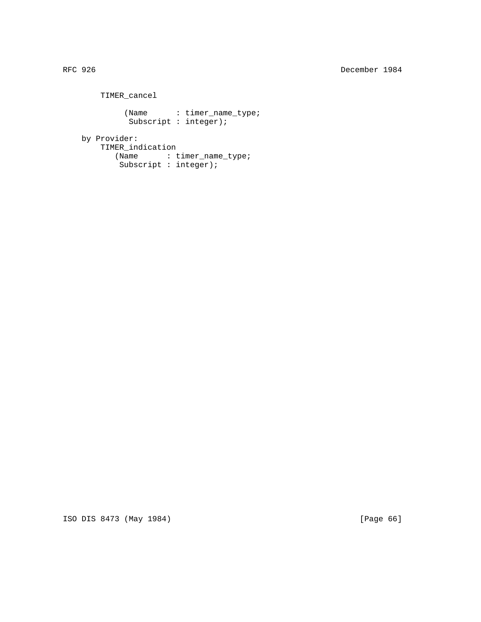RFC 926 December 1984

TIMER\_cancel

 (Name : timer\_name\_type; Subscript : integer);

 by Provider: TIMER\_indication (Name : timer\_name\_type; Subscript : integer);

ISO DIS 8473 (May 1984) [Page 66]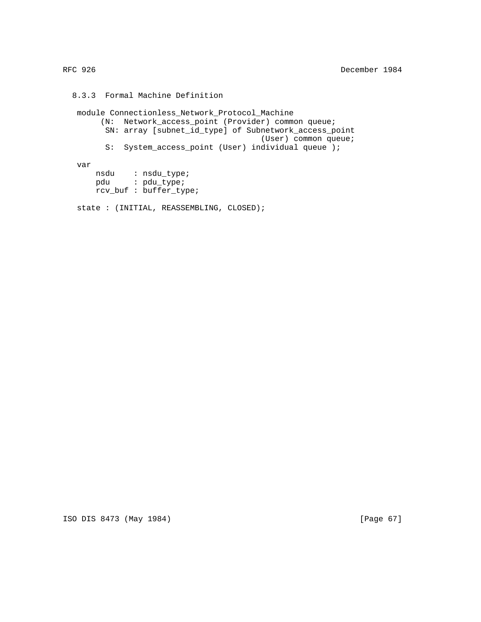8.3.3 Formal Machine Definition module Connectionless\_Network\_Protocol\_Machine (N: Network\_access\_point (Provider) common queue; SN: array [subnet\_id\_type] of Subnetwork\_access\_point (User) common queue; S: System\_access\_point (User) individual queue ); var nsdu : nsdu\_type; pdu : pdu\_type; rcv\_buf : buffer\_type; state : (INITIAL, REASSEMBLING, CLOSED);

ISO DIS 8473 (May 1984) [Page 67]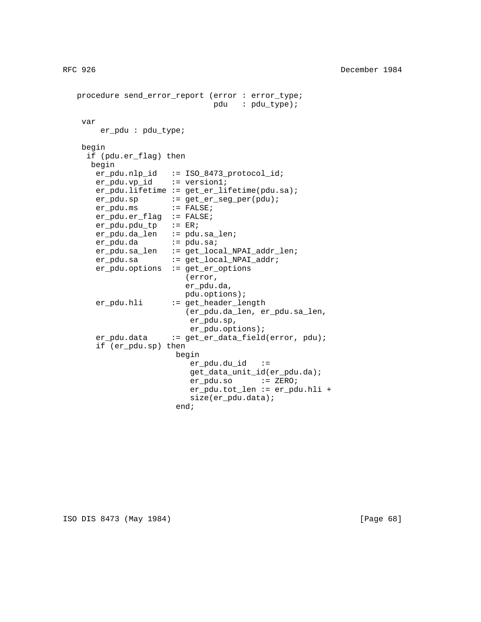```
 procedure send_error_report (error : error_type;
                             pdu : pdu_type);
 var
     er_pdu : pdu_type;
 begin
   if (pdu.er_flag) then
   begin
    er_pdu.nlp_id := ISO_8473_protocol_id;
   er_pdu.vp_id := version1;
    er_pdu.lifetime := get_er_lifetime(pdu.sa);
    er_pdu.sp := get_er_seg_per(pdu);
    er_pdu.ms := FALSE;
    er_pdu.er_flag := FALSE;
   er\_pdu.pdu\_tp := ER;
    er_pdu.da_len := pdu.sa_len;
    er_pdu.da := pdu.sa;
    er_pdu.sa_len := get_local_NPAI_addr_len;
   er_pdu.sa := get_local_NPAI_addr;
    er_pdu.options := get_er_options
                        (error,
                       er_pdu.da,
                       pdu.options);
   er_pdu.hli := get_header_length
                       (er_pdu.da_len, er_pdu.sa_len,
                        er_pdu.sp,
                        er_pdu.options);
     er_pdu.data := get_er_data_field(error, pdu);
     if (er_pdu.sp) then
                     begin
                        er_pdu.du_id :=
                        get_data_unit_id(er_pdu.da);
                        er_pdu.so := ZERO;
                        er_pdu.tot_len := er_pdu.hli +
                        size(er_pdu.data);
                     end;
```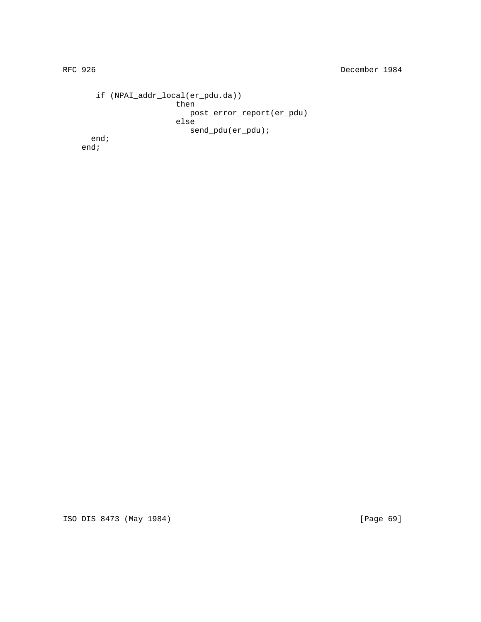```
 if (NPAI_addr_local(er_pdu.da))
                      then
                         post_error_report(er_pdu)
                      else
                         send_pdu(er_pdu);
   end;
 end;
```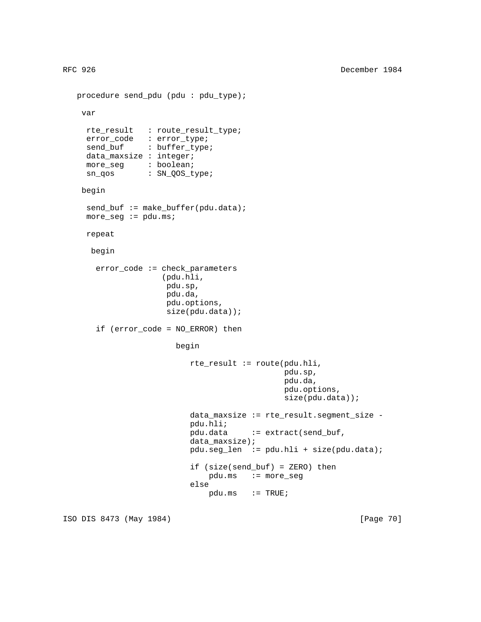```
 procedure send_pdu (pdu : pdu_type);
  var
   rte_result : route_result_type;
  error_code : error_type;<br>send_buf : buffer_type
              : buffer_type;
   data_maxsize : integer;
   more_seg : boolean;
  sn_qos : SN_QOS_type;
  begin
  send_buf := make_buffer(pdu.data);
   more_seg := pdu.ms;
   repeat
    begin
     error_code := check_parameters
                    (pdu.hli,
                     pdu.sp,
                     pdu.da,
                     pdu.options,
                     size(pdu.data));
     if (error_code = NO_ERROR) then
                       begin
                          rte_result := route(pdu.hli,
                                                pdu.sp,
                                                pdu.da,
                                                pdu.options,
                                                size(pdu.data));
                          data_maxsize := rte_result.segment_size -
                          pdu.hli;
                          pdu.data := extract(send_buf,
                          data_maxsize);
                          pdu.seg_len := pdu.hli + size(pdu.data);
                          if (size(send_buf) = ZERO) then
                               pdu.ms := more_seg
                          else
                               pdu.ms := TRUE;
```
ISO DIS 8473 (May 1984) [Page 70]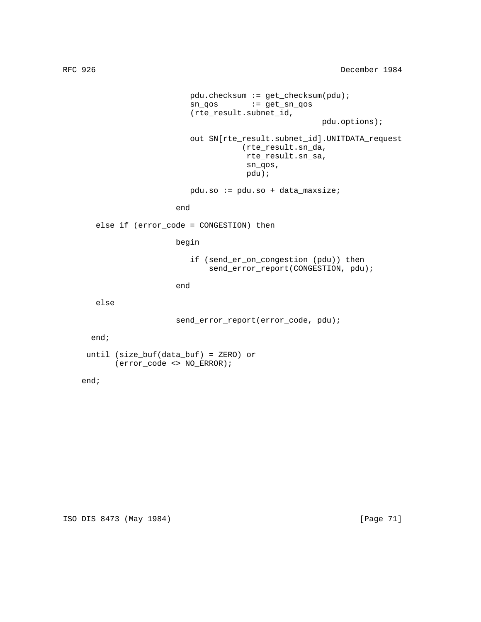```
 pdu.checksum := get_checksum(pdu);
                        sn_qos := get_sn_qos
                        (rte_result.subnet_id,
                                                     pdu.options);
                        out SN[rte_result.subnet_id].UNITDATA_request
                                   (rte_result.sn_da,
                                    rte_result.sn_sa,
                                    sn_qos,
                                    pdu);
                        pdu.so := pdu.so + data_maxsize;
                    end
   else if (error_code = CONGESTION) then
                    begin
                        if (send_er_on_congestion (pdu)) then
                            send_error_report(CONGESTION, pdu);
                     end
   else
                    send_error_report(error_code, pdu);
  end;
 until (size_buf(data_buf) = ZERO) or
       (error_code <> NO_ERROR);
```
end;

ISO DIS 8473 (May 1984) [Page 71]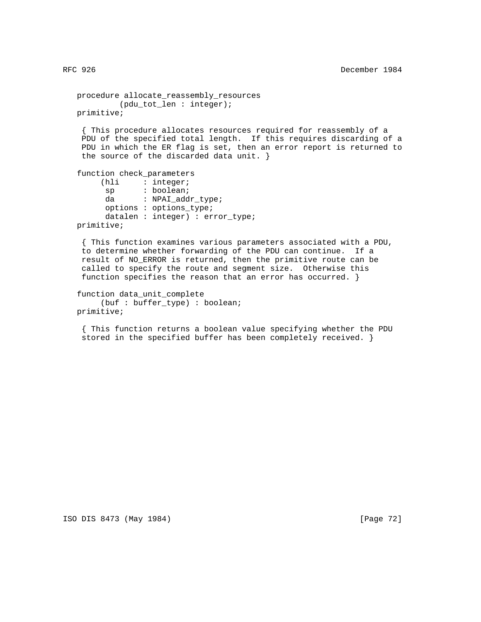```
 procedure allocate_reassembly_resources
          (pdu_tot_len : integer);
 primitive;
  { This procedure allocates resources required for reassembly of a
```
 PDU of the specified total length. If this requires discarding of a PDU in which the ER flag is set, then an error report is returned to the source of the discarded data unit. }

 function check\_parameters (hli : integer; sp : boolean; da : NPAI\_addr\_type; options : options\_type; datalen : integer) : error\_type; primitive;

 { This function examines various parameters associated with a PDU, to determine whether forwarding of the PDU can continue. If a result of NO\_ERROR is returned, then the primitive route can be called to specify the route and segment size. Otherwise this function specifies the reason that an error has occurred.  $\}$ 

```
 function data_unit_complete
      (buf : buffer_type) : boolean;
 primitive;
```
 { This function returns a boolean value specifying whether the PDU stored in the specified buffer has been completely received. }

ISO DIS 8473 (May 1984) [Page 72]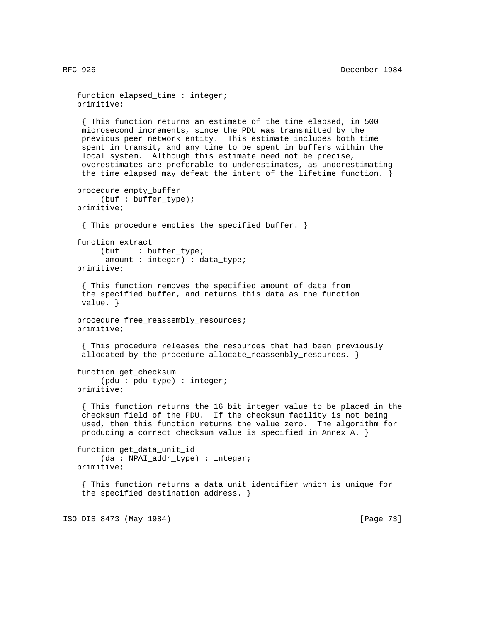function elapsed\_time : integer;

```
 primitive;
     { This function returns an estimate of the time elapsed, in 500
    microsecond increments, since the PDU was transmitted by the
    previous peer network entity. This estimate includes both time
    spent in transit, and any time to be spent in buffers within the
     local system. Although this estimate need not be precise,
     overestimates are preferable to underestimates, as underestimating
     the time elapsed may defeat the intent of the lifetime function. }
    procedure empty_buffer
         (buf : buffer_type);
   primitive;
     { This procedure empties the specified buffer. }
    function extract
         (buf : buffer_type;
         amount : integer) : data_type;
    primitive;
     { This function removes the specified amount of data from
     the specified buffer, and returns this data as the function
    value. }
   procedure free_reassembly_resources;
   primitive;
     { This procedure releases the resources that had been previously
    allocated by the procedure allocate_reassembly_resources. }
    function get_checksum
         (pdu : pdu_type) : integer;
    primitive;
     { This function returns the 16 bit integer value to be placed in the
     checksum field of the PDU. If the checksum facility is not being
    used, then this function returns the value zero. The algorithm for
    producing a correct checksum value is specified in Annex A. }
    function get_data_unit_id
         (da : NPAI_addr_type) : integer;
   primitive;
     { This function returns a data unit identifier which is unique for
     the specified destination address. }
ISO DIS 8473 (May 1984) [Page 73]
```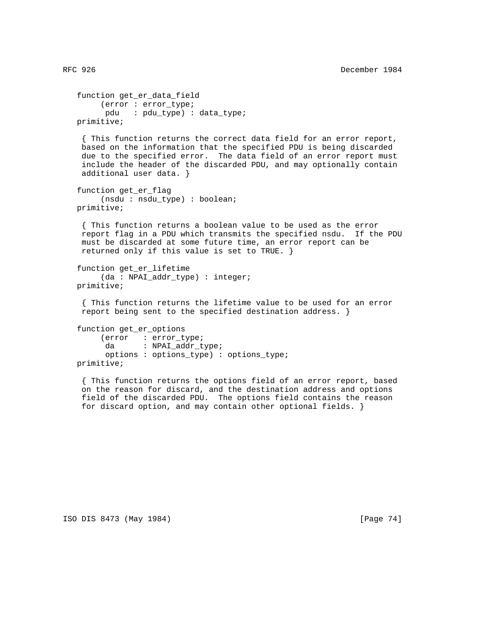```
 function get_er_data_field
      (error : error_type;
       pdu : pdu_type) : data_type;
 primitive;
  { This function returns the correct data field for an error report,
  based on the information that the specified PDU is being discarded
  due to the specified error. The data field of an error report must
  include the header of the discarded PDU, and may optionally contain
  additional user data. }
 function get_er_flag
      (nsdu : nsdu_type) : boolean;
 primitive;
  { This function returns a boolean value to be used as the error
  report flag in a PDU which transmits the specified nsdu. If the PDU
  must be discarded at some future time, an error report can be
  returned only if this value is set to TRUE. }
 function get_er_lifetime
      (da : NPAI_addr_type) : integer;
 primitive;
  { This function returns the lifetime value to be used for an error
  report being sent to the specified destination address. }
 function get_er_options
      (error : error_type;
       da : NPAI_addr_type;
       options : options_type) : options_type;
 primitive;
  { This function returns the options field of an error report, based
  on the reason for discard, and the destination address and options
  field of the discarded PDU. The options field contains the reason
  for discard option, and may contain other optional fields. }
```
ISO DIS 8473 (May 1984) [Page 74]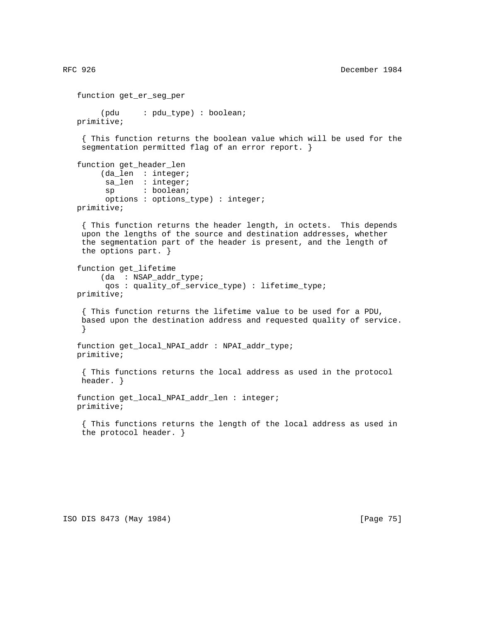RFC 926 December 1984

```
 function get_er_seg_per
      (pdu : pdu_type) : boolean;
 primitive;
  { This function returns the boolean value which will be used for the
  segmentation permitted flag of an error report. }
 function get_header_len
      (da_len : integer;
      sa_len : integer;
       sp : boolean;
       options : options_type) : integer;
 primitive;
  { This function returns the header length, in octets. This depends
  upon the lengths of the source and destination addresses, whether
  the segmentation part of the header is present, and the length of
  the options part. }
 function get_lifetime
      (da : NSAP_addr_type;
       qos : quality_of_service_type) : lifetime_type;
 primitive;
  { This function returns the lifetime value to be used for a PDU,
  based upon the destination address and requested quality of service.
  }
 function get_local_NPAI_addr : NPAI_addr_type;
 primitive;
  { This functions returns the local address as used in the protocol
 header. }
 function get_local_NPAI_addr_len : integer;
 primitive;
  { This functions returns the length of the local address as used in
  the protocol header. }
```
ISO DIS 8473 (May 1984) [Page 75]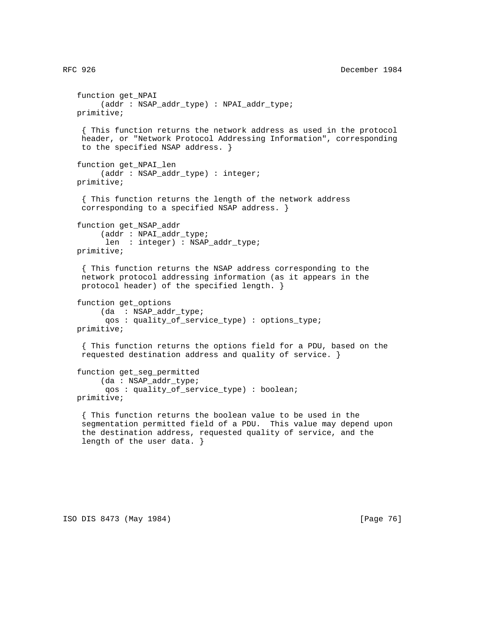```
 function get_NPAI
      (addr : NSAP_addr_type) : NPAI_addr_type;
 primitive;
  { This function returns the network address as used in the protocol
  header, or "Network Protocol Addressing Information", corresponding
  to the specified NSAP address. }
 function get_NPAI_len
      (addr : NSAP_addr_type) : integer;
 primitive;
  { This function returns the length of the network address
  corresponding to a specified NSAP address. }
 function get_NSAP_addr
      (addr : NPAI_addr_type;
       len : integer) : NSAP_addr_type;
 primitive;
  { This function returns the NSAP address corresponding to the
  network protocol addressing information (as it appears in the
  protocol header) of the specified length. }
 function get_options
      (da : NSAP_addr_type;
       qos : quality_of_service_type) : options_type;
 primitive;
  { This function returns the options field for a PDU, based on the
  requested destination address and quality of service. }
 function get_seg_permitted
      (da : NSAP_addr_type;
       qos : quality_of_service_type) : boolean;
 primitive;
  { This function returns the boolean value to be used in the
  segmentation permitted field of a PDU. This value may depend upon
  the destination address, requested quality of service, and the
  length of the user data. }
```
ISO DIS 8473 (May 1984) [Page 76]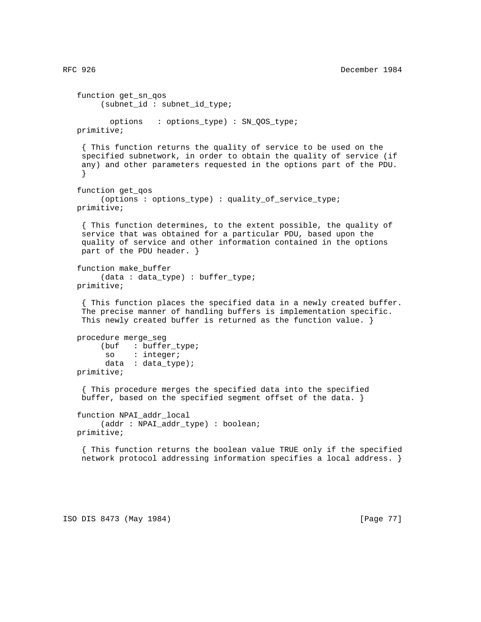```
 function get_sn_qos
         (subnet_id : subnet_id_type;
           options : options_type) : SN_QOS_type;
   primitive;
     { This function returns the quality of service to be used on the
    specified subnetwork, in order to obtain the quality of service (if
    any) and other parameters requested in the options part of the PDU.
 }
   function get_qos
         (options : options_type) : quality_of_service_type;
   primitive;
     { This function determines, to the extent possible, the quality of
    service that was obtained for a particular PDU, based upon the
    quality of service and other information contained in the options
    part of the PDU header. }
   function make_buffer
         (data : data_type) : buffer_type;
   primitive;
     { This function places the specified data in a newly created buffer.
    The precise manner of handling buffers is implementation specific.
   This newly created buffer is returned as the function value. }
   procedure merge_seg
         (buf : buffer_type;
        so : integer;
         data : data_type);
   primitive;
     { This procedure merges the specified data into the specified
    buffer, based on the specified segment offset of the data. }
   function NPAI_addr_local
         (addr : NPAI_addr_type) : boolean;
   primitive;
     { This function returns the boolean value TRUE only if the specified
    network protocol addressing information specifies a local address. }
```
ISO DIS 8473 (May 1984) [Page 77]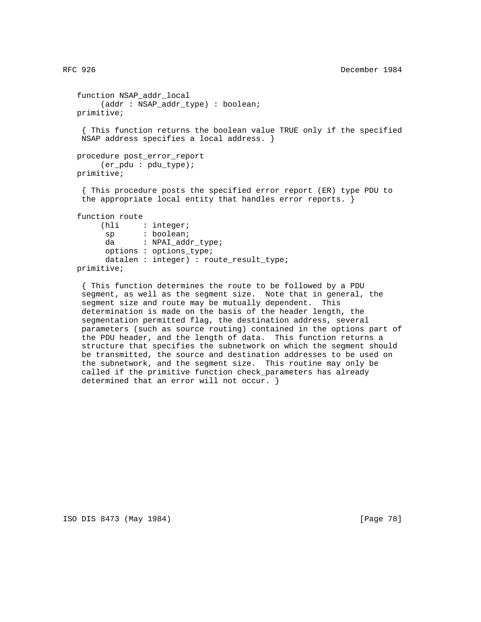```
 function NSAP_addr_local
      (addr : NSAP_addr_type) : boolean;
 primitive;
  { This function returns the boolean value TRUE only if the specified
  NSAP address specifies a local address. }
 procedure post_error_report
      (er_pdu : pdu_type);
 primitive;
  { This procedure posts the specified error report (ER) type PDU to
  the appropriate local entity that handles error reports. }
 function route
      (hli : integer;
       sp : boolean;
       da : NPAI_addr_type;
       options : options_type;
       datalen : integer) : route_result_type;
```
primitive;

 { This function determines the route to be followed by a PDU segment, as well as the segment size. Note that in general, the segment size and route may be mutually dependent. This determination is made on the basis of the header length, the segmentation permitted flag, the destination address, several parameters (such as source routing) contained in the options part of the PDU header, and the length of data. This function returns a structure that specifies the subnetwork on which the segment should be transmitted, the source and destination addresses to be used on the subnetwork, and the segment size. This routine may only be called if the primitive function check\_parameters has already determined that an error will not occur. }

ISO DIS 8473 (May 1984) [Page 78]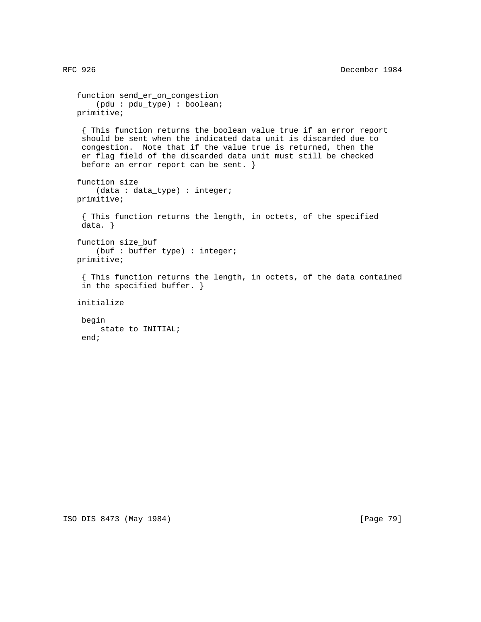function send\_er\_on\_congestion (pdu : pdu\_type) : boolean; primitive; { This function returns the boolean value true if an error report should be sent when the indicated data unit is discarded due to congestion. Note that if the value true is returned, then the er\_flag field of the discarded data unit must still be checked before an error report can be sent. } function size (data : data\_type) : integer; primitive; { This function returns the length, in octets, of the specified data. } function size\_buf (buf : buffer\_type) : integer; primitive; { This function returns the length, in octets, of the data contained in the specified buffer. } initialize begin state to INITIAL; end;

ISO DIS 8473 (May 1984) [Page 79]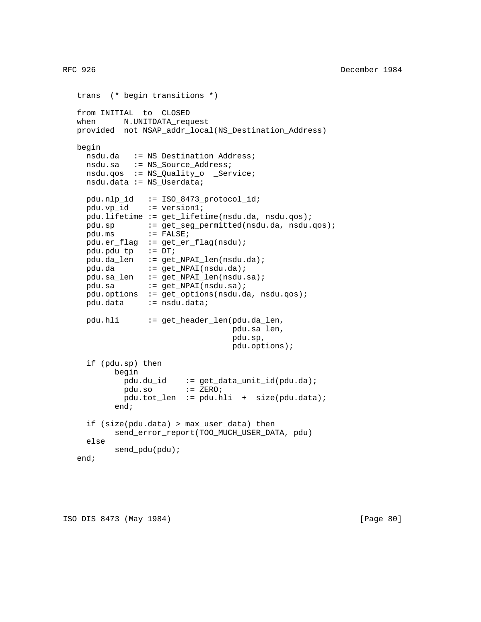```
 trans (* begin transitions *)
 from INITIAL to CLOSED
when N.UNITDATA_request
 provided not NSAP_addr_local(NS_Destination_Address)
 begin
  nsdu.da := NS_Destination_Address;
  nsdu.sa := NS_Source_Address;
  nsdu.qos := NS_Quality_0 _Service;
   nsdu.data := NS_Userdata;
  pdu.nlp_id := ISO_8473_protocol_id;
  pdu.vp_id := version1;
  pdu.lifetime := get_lifetime(nsdu.da, nsdu.qos);
  pdu.sp := get_seg_permitted(nsdu.da, nsdu.qos);
  pdu.ms := FALSE;
  pdu.er_flag := get_er_flag(nsdu);
  pdu.pdu_tp := DT;
  pdu.da_len := get_NPAI_len(nsdu.da);
 pdu.da := get_NPAI(nsdu.da);<br>pdu.sa_len := get_NPAI_len(nsdu.
               := get_NPAI_len(nsdu.sa);
  pdu.sa := get_NPAI(nsdu.sa);
   pdu.options := get_options(nsdu.da, nsdu.qos);
  pdu.data := nsdu.data;
  pdu.hli := get_header_len(pdu.da_len,
                                  pdu.sa_len,
                                  pdu.sp,
                                  pdu.options);
   if (pdu.sp) then
         begin
          pdu.du_id := get_data\_unit_id(pdu.da);
           pdu.so := ZERO;
           pdu.tot_len := pdu.hli + size(pdu.data);
         end;
   if (size(pdu.data) > max_user_data) then
         send_error_report(TOO_MUCH_USER_DATA, pdu)
   else
         send_pdu(pdu);
 end;
```
ISO DIS 8473 (May 1984) [Page 80]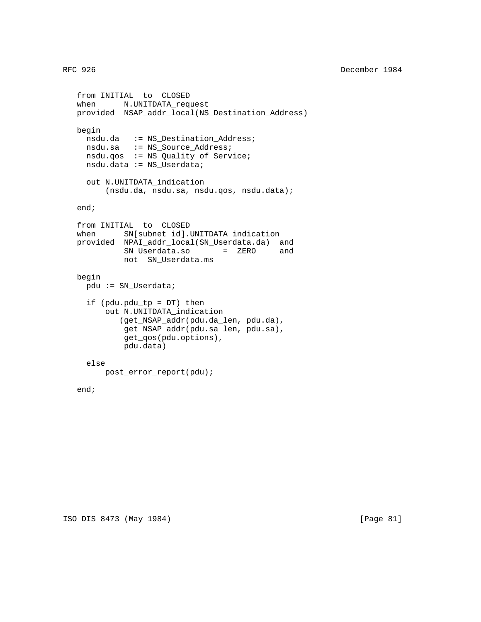```
 from INITIAL to CLOSED
when N.UNITDATA_request
 provided NSAP_addr_local(NS_Destination_Address)
 begin
  nsdu.da := NS_Destination_Address;
  nsdu.sa := NS_Source_Address;
  nsdu.qos := NS_Quality_of_Service;
  nsdu.data := NS_Userdata;
  out N.UNITDATA_indication
      (nsdu.da, nsdu.sa, nsdu.qos, nsdu.data);
 end;
 from INITIAL to CLOSED
when SN[subnet_id].UNITDATA_indication
 provided NPAI_addr_local(SN_Userdata.da) and
         SN_Userdata.so = ZERO and
          not SN_Userdata.ms
 begin
  pdu := SN_Userdata;
   if (pdu.pdu_tp = DT) then
       out N.UNITDATA_indication
         (get_NSAP_addr(pdu.da_len, pdu.da),
          get_NSAP_addr(pdu.sa_len, pdu.sa),
          get_qos(pdu.options),
          pdu.data)
   else
      post_error_report(pdu);
```
end;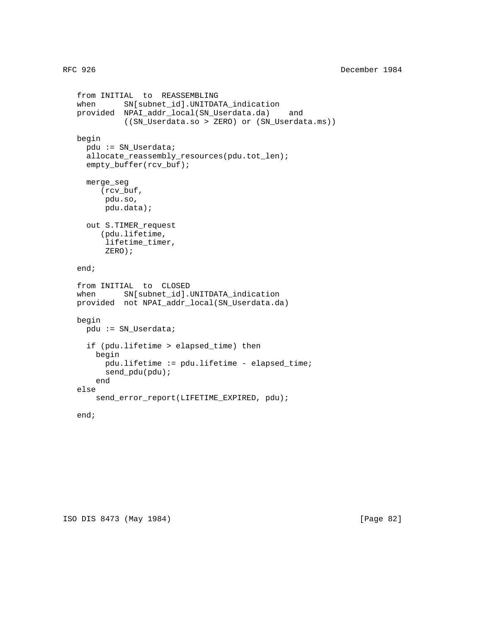```
 from INITIAL to REASSEMBLING
when SN[subnet_id].UNITDATA_indication
 provided NPAI_addr_local(SN_Userdata.da) and
           ((SN_Userdata.so > ZERO) or (SN_Userdata.ms))
 begin
   pdu := SN_Userdata;
   allocate_reassembly_resources(pdu.tot_len);
   empty_buffer(rcv_buf);
   merge_seg
     (rcv_buf,
      pdu.so,
       pdu.data);
   out S.TIMER_request
      (pdu.lifetime,
       lifetime_timer,
       ZERO);
 end;
 from INITIAL to CLOSED
when SN[subnet_id].UNITDATA_indication
 provided not NPAI_addr_local(SN_Userdata.da)
 begin
  pdu := SN_Userdata;
   if (pdu.lifetime > elapsed_time) then
     begin
       pdu.lifetime := pdu.lifetime - elapsed_time;
       send_pdu(pdu);
     end
 else
    send error report(LIFETIME EXPIRED, pdu);
```
end;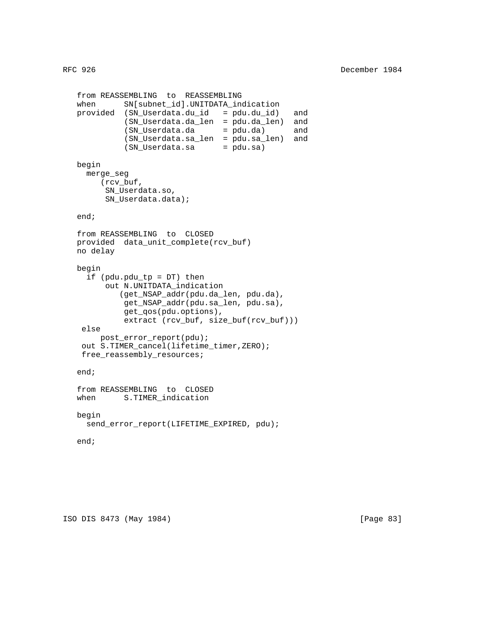from REASSEMBLING to REASSEMBLING when SN[subnet\_id].UNITDATA\_indication provided (SN\_Userdata.du\_id = pdu.du\_id) and (SN\_Userdata.da\_len = pdu.da\_len) and (SN\_Userdata.da = pdu.da) and (SN\_Userdata.sa\_len = pdu.sa\_len) and (SN\_Userdata.sa = pdu.sa) begin merge\_seg (rcv\_buf, SN Userdata.so, SN\_Userdata.data); end; from REASSEMBLING to CLOSED provided data\_unit\_complete(rcv\_buf) no delay begin if (pdu.pdu\_tp = DT) then out N.UNITDATA\_indication (get\_NSAP\_addr(pdu.da\_len, pdu.da), get\_NSAP\_addr(pdu.sa\_len, pdu.sa), get\_qos(pdu.options), extract (rcv\_buf, size\_buf(rcv\_buf))) else post\_error\_report(pdu); out S.TIMER\_cancel(lifetime\_timer,ZERO); free\_reassembly\_resources; end; from REASSEMBLING to CLOSED when S.TIMER\_indication begin send\_error\_report(LIFETIME\_EXPIRED, pdu); end;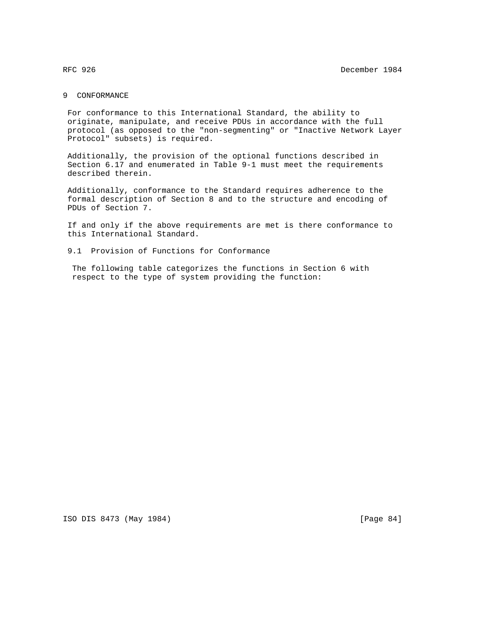# 9 CONFORMANCE

 For conformance to this International Standard, the ability to originate, manipulate, and receive PDUs in accordance with the full protocol (as opposed to the "non-segmenting" or "Inactive Network Layer Protocol" subsets) is required.

 Additionally, the provision of the optional functions described in Section 6.17 and enumerated in Table 9-1 must meet the requirements described therein.

 Additionally, conformance to the Standard requires adherence to the formal description of Section 8 and to the structure and encoding of PDUs of Section 7.

 If and only if the above requirements are met is there conformance to this International Standard.

9.1 Provision of Functions for Conformance

 The following table categorizes the functions in Section 6 with respect to the type of system providing the function:

ISO DIS 8473 (May 1984) [Page 84]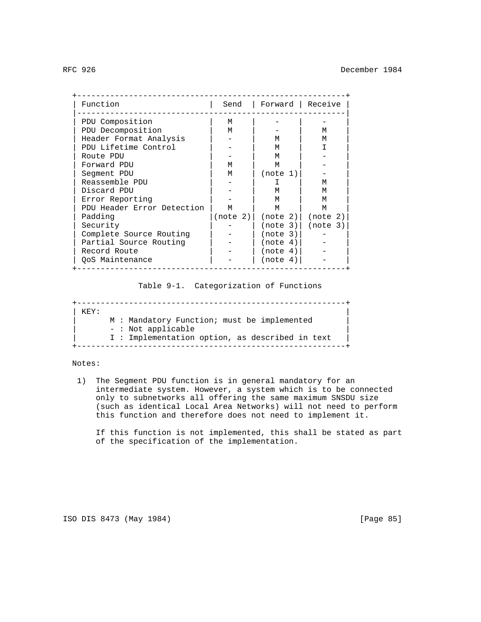| Function                   | Send     | Forward   Receive |          |
|----------------------------|----------|-------------------|----------|
| PDU Composition            | М        |                   |          |
| PDU Decomposition          | м        |                   | м        |
| Header Format Analysis     |          | м                 | м        |
| PDU Lifetime Control       |          | м                 |          |
| Route PDU                  |          | м                 |          |
| Forward PDU                | М        | м                 |          |
| Segment PDU                | М        | (note 1)          |          |
| Reassemble PDU             |          | T.                | м        |
| Discard PDU                |          | м                 | м        |
| Error Reporting            |          | М                 | м        |
| PDU Header Error Detection | М        | м                 | м        |
| Padding                    | (note 2) | (note 2)          | (note 2) |
| Security                   |          | (note 3)          | (note 3) |
| Complete Source Routing    |          | (note 3)          |          |
| Partial Source Routing     |          | (note 4)          |          |
| Record Route               |          | (note 4)          |          |
| OoS Maintenance            |          | (note 4)          |          |

Table 9-1. Categorization of Functions

 +---------------------------------------------------------+ | KEY: | M : Mandatory Function; must be implemented - : Not applicable I: Implementation option, as described in text +---------------------------------------------------------+

Notes:

 1) The Segment PDU function is in general mandatory for an intermediate system. However, a system which is to be connected only to subnetworks all offering the same maximum SNSDU size (such as identical Local Area Networks) will not need to perform this function and therefore does not need to implement it.

 If this function is not implemented, this shall be stated as part of the specification of the implementation.

ISO DIS 8473 (May 1984) [Page 85]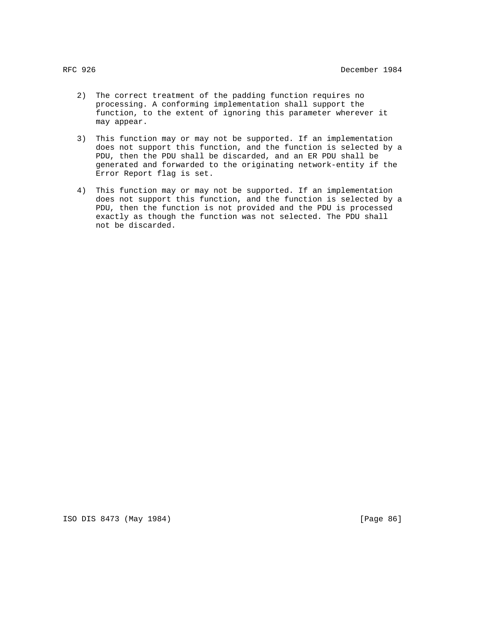- 2) The correct treatment of the padding function requires no processing. A conforming implementation shall support the function, to the extent of ignoring this parameter wherever it may appear.
- 3) This function may or may not be supported. If an implementation does not support this function, and the function is selected by a PDU, then the PDU shall be discarded, and an ER PDU shall be generated and forwarded to the originating network-entity if the Error Report flag is set.
- 4) This function may or may not be supported. If an implementation does not support this function, and the function is selected by a PDU, then the function is not provided and the PDU is processed exactly as though the function was not selected. The PDU shall not be discarded.

ISO DIS 8473 (May 1984) [Page 86]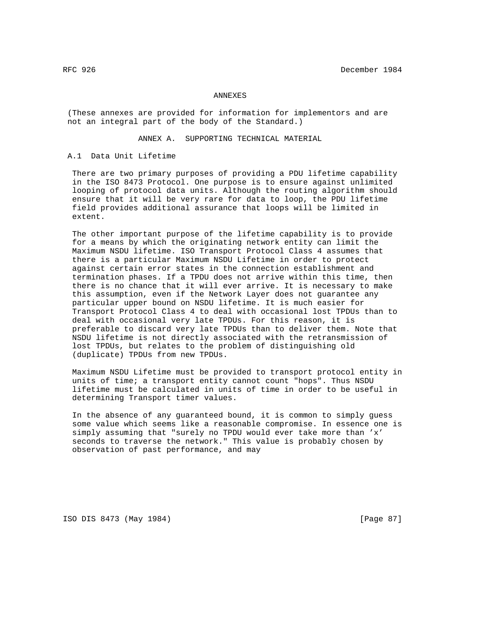### ANNEXES

 (These annexes are provided for information for implementors and are not an integral part of the body of the Standard.)

# ANNEX A. SUPPORTING TECHNICAL MATERIAL

## A.1 Data Unit Lifetime

 There are two primary purposes of providing a PDU lifetime capability in the ISO 8473 Protocol. One purpose is to ensure against unlimited looping of protocol data units. Although the routing algorithm should ensure that it will be very rare for data to loop, the PDU lifetime field provides additional assurance that loops will be limited in extent.

 The other important purpose of the lifetime capability is to provide for a means by which the originating network entity can limit the Maximum NSDU lifetime. ISO Transport Protocol Class 4 assumes that there is a particular Maximum NSDU Lifetime in order to protect against certain error states in the connection establishment and termination phases. If a TPDU does not arrive within this time, then there is no chance that it will ever arrive. It is necessary to make this assumption, even if the Network Layer does not guarantee any particular upper bound on NSDU lifetime. It is much easier for Transport Protocol Class 4 to deal with occasional lost TPDUs than to deal with occasional very late TPDUs. For this reason, it is preferable to discard very late TPDUs than to deliver them. Note that NSDU lifetime is not directly associated with the retransmission of lost TPDUs, but relates to the problem of distinguishing old (duplicate) TPDUs from new TPDUs.

 Maximum NSDU Lifetime must be provided to transport protocol entity in units of time; a transport entity cannot count "hops". Thus NSDU lifetime must be calculated in units of time in order to be useful in determining Transport timer values.

 In the absence of any guaranteed bound, it is common to simply guess some value which seems like a reasonable compromise. In essence one is simply assuming that "surely no TPDU would ever take more than 'x' seconds to traverse the network." This value is probably chosen by observation of past performance, and may

ISO DIS 8473 (May 1984) [Page 87]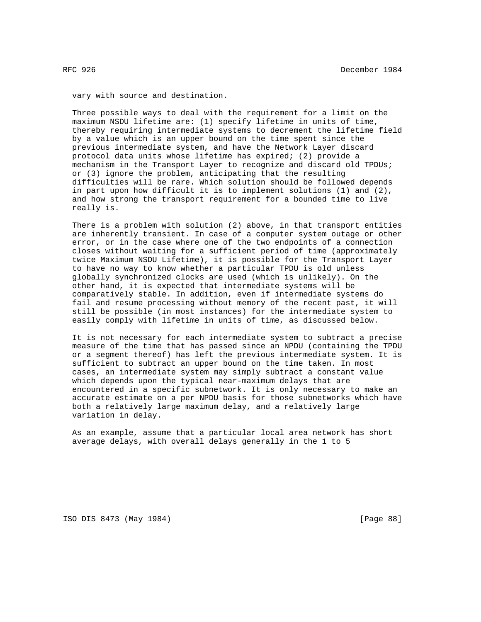vary with source and destination.

 Three possible ways to deal with the requirement for a limit on the maximum NSDU lifetime are: (1) specify lifetime in units of time, thereby requiring intermediate systems to decrement the lifetime field by a value which is an upper bound on the time spent since the previous intermediate system, and have the Network Layer discard protocol data units whose lifetime has expired; (2) provide a mechanism in the Transport Layer to recognize and discard old TPDUs; or (3) ignore the problem, anticipating that the resulting difficulties will be rare. Which solution should be followed depends in part upon how difficult it is to implement solutions (1) and (2), and how strong the transport requirement for a bounded time to live really is.

 There is a problem with solution (2) above, in that transport entities are inherently transient. In case of a computer system outage or other error, or in the case where one of the two endpoints of a connection closes without waiting for a sufficient period of time (approximately twice Maximum NSDU Lifetime), it is possible for the Transport Layer to have no way to know whether a particular TPDU is old unless globally synchronized clocks are used (which is unlikely). On the other hand, it is expected that intermediate systems will be comparatively stable. In addition, even if intermediate systems do fail and resume processing without memory of the recent past, it will still be possible (in most instances) for the intermediate system to easily comply with lifetime in units of time, as discussed below.

 It is not necessary for each intermediate system to subtract a precise measure of the time that has passed since an NPDU (containing the TPDU or a segment thereof) has left the previous intermediate system. It is sufficient to subtract an upper bound on the time taken. In most cases, an intermediate system may simply subtract a constant value which depends upon the typical near-maximum delays that are encountered in a specific subnetwork. It is only necessary to make an accurate estimate on a per NPDU basis for those subnetworks which have both a relatively large maximum delay, and a relatively large variation in delay.

 As an example, assume that a particular local area network has short average delays, with overall delays generally in the 1 to 5

ISO DIS 8473 (May 1984) [Page 88]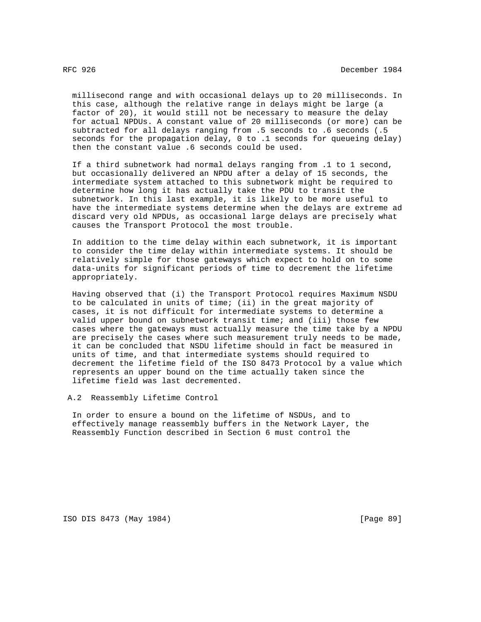millisecond range and with occasional delays up to 20 milliseconds. In this case, although the relative range in delays might be large (a factor of 20), it would still not be necessary to measure the delay for actual NPDUs. A constant value of 20 milliseconds (or more) can be subtracted for all delays ranging from .5 seconds to .6 seconds (.5 seconds for the propagation delay, 0 to .1 seconds for queueing delay) then the constant value .6 seconds could be used.

 If a third subnetwork had normal delays ranging from .1 to 1 second, but occasionally delivered an NPDU after a delay of 15 seconds, the intermediate system attached to this subnetwork might be required to determine how long it has actually take the PDU to transit the subnetwork. In this last example, it is likely to be more useful to have the intermediate systems determine when the delays are extreme ad discard very old NPDUs, as occasional large delays are precisely what causes the Transport Protocol the most trouble.

 In addition to the time delay within each subnetwork, it is important to consider the time delay within intermediate systems. It should be relatively simple for those gateways which expect to hold on to some data-units for significant periods of time to decrement the lifetime appropriately.

 Having observed that (i) the Transport Protocol requires Maximum NSDU to be calculated in units of time; (ii) in the great majority of cases, it is not difficult for intermediate systems to determine a valid upper bound on subnetwork transit time; and (iii) those few cases where the gateways must actually measure the time take by a NPDU are precisely the cases where such measurement truly needs to be made, it can be concluded that NSDU lifetime should in fact be measured in units of time, and that intermediate systems should required to decrement the lifetime field of the ISO 8473 Protocol by a value which represents an upper bound on the time actually taken since the lifetime field was last decremented.

## A.2 Reassembly Lifetime Control

 In order to ensure a bound on the lifetime of NSDUs, and to effectively manage reassembly buffers in the Network Layer, the Reassembly Function described in Section 6 must control the

ISO DIS 8473 (May 1984) [Page 89]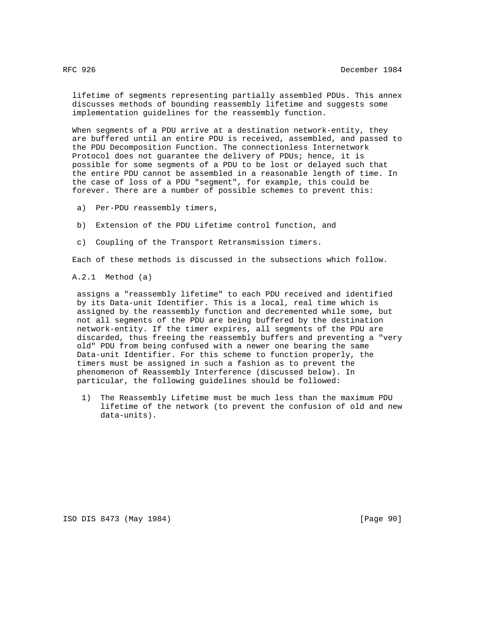lifetime of segments representing partially assembled PDUs. This annex discusses methods of bounding reassembly lifetime and suggests some implementation guidelines for the reassembly function.

 When segments of a PDU arrive at a destination network-entity, they are buffered until an entire PDU is received, assembled, and passed to the PDU Decomposition Function. The connectionless Internetwork Protocol does not guarantee the delivery of PDUs; hence, it is possible for some segments of a PDU to be lost or delayed such that the entire PDU cannot be assembled in a reasonable length of time. In the case of loss of a PDU "segment", for example, this could be forever. There are a number of possible schemes to prevent this:

- a) Per-PDU reassembly timers,
- b) Extension of the PDU Lifetime control function, and
- c) Coupling of the Transport Retransmission timers.

Each of these methods is discussed in the subsections which follow.

A.2.1 Method (a)

 assigns a "reassembly lifetime" to each PDU received and identified by its Data-unit Identifier. This is a local, real time which is assigned by the reassembly function and decremented while some, but not all segments of the PDU are being buffered by the destination network-entity. If the timer expires, all segments of the PDU are discarded, thus freeing the reassembly buffers and preventing a "very old" PDU from being confused with a newer one bearing the same Data-unit Identifier. For this scheme to function properly, the timers must be assigned in such a fashion as to prevent the phenomenon of Reassembly Interference (discussed below). In particular, the following guidelines should be followed:

 1) The Reassembly Lifetime must be much less than the maximum PDU lifetime of the network (to prevent the confusion of old and new data-units).

ISO DIS 8473 (May 1984) [Page 90]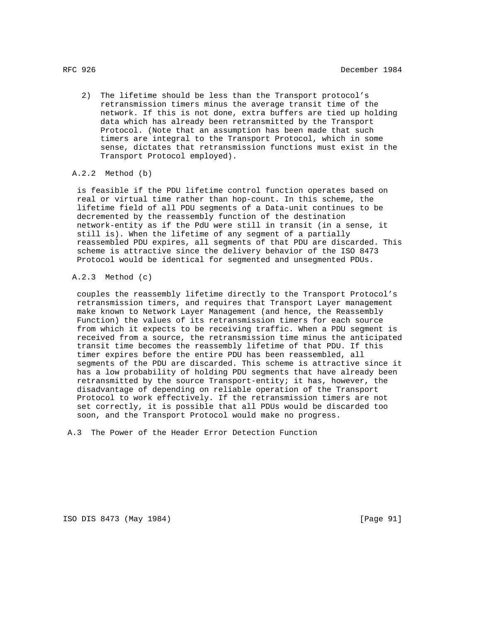2) The lifetime should be less than the Transport protocol's retransmission timers minus the average transit time of the network. If this is not done, extra buffers are tied up holding data which has already been retransmitted by the Transport Protocol. (Note that an assumption has been made that such timers are integral to the Transport Protocol, which in some sense, dictates that retransmission functions must exist in the Transport Protocol employed).

### A.2.2 Method (b)

 is feasible if the PDU lifetime control function operates based on real or virtual time rather than hop-count. In this scheme, the lifetime field of all PDU segments of a Data-unit continues to be decremented by the reassembly function of the destination network-entity as if the PdU were still in transit (in a sense, it still is). When the lifetime of any segment of a partially reassembled PDU expires, all segments of that PDU are discarded. This scheme is attractive since the delivery behavior of the ISO 8473 Protocol would be identical for segmented and unsegmented PDUs.

### A.2.3 Method (c)

 couples the reassembly lifetime directly to the Transport Protocol's retransmission timers, and requires that Transport Layer management make known to Network Layer Management (and hence, the Reassembly Function) the values of its retransmission timers for each source from which it expects to be receiving traffic. When a PDU segment is received from a source, the retransmission time minus the anticipated transit time becomes the reassembly lifetime of that PDU. If this timer expires before the entire PDU has been reassembled, all segments of the PDU are discarded. This scheme is attractive since it has a low probability of holding PDU segments that have already been retransmitted by the source Transport-entity; it has, however, the disadvantage of depending on reliable operation of the Transport Protocol to work effectively. If the retransmission timers are not set correctly, it is possible that all PDUs would be discarded too soon, and the Transport Protocol would make no progress.

### A.3 The Power of the Header Error Detection Function

ISO DIS 8473 (May 1984) [Page 91]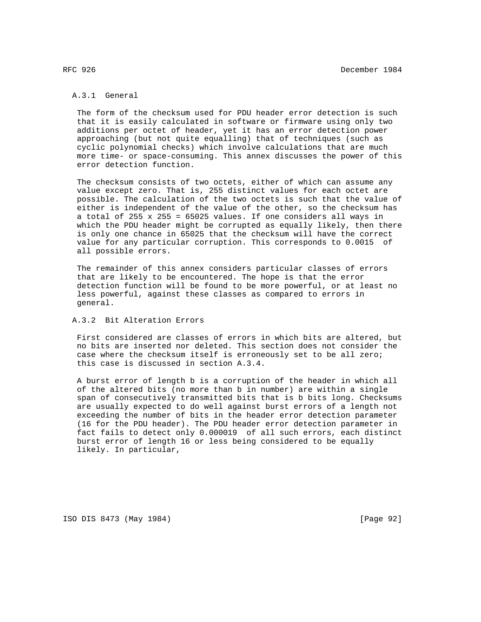# A.3.1 General

 The form of the checksum used for PDU header error detection is such that it is easily calculated in software or firmware using only two additions per octet of header, yet it has an error detection power approaching (but not quite equalling) that of techniques (such as cyclic polynomial checks) which involve calculations that are much more time- or space-consuming. This annex discusses the power of this error detection function.

 The checksum consists of two octets, either of which can assume any value except zero. That is, 255 distinct values for each octet are possible. The calculation of the two octets is such that the value of either is independent of the value of the other, so the checksum has a total of 255 x 255 = 65025 values. If one considers all ways in which the PDU header might be corrupted as equally likely, then there is only one chance in 65025 that the checksum will have the correct value for any particular corruption. This corresponds to 0.0015 of all possible errors.

 The remainder of this annex considers particular classes of errors that are likely to be encountered. The hope is that the error detection function will be found to be more powerful, or at least no less powerful, against these classes as compared to errors in general.

## A.3.2 Bit Alteration Errors

 First considered are classes of errors in which bits are altered, but no bits are inserted nor deleted. This section does not consider the case where the checksum itself is erroneously set to be all zero; this case is discussed in section A.3.4.

 A burst error of length b is a corruption of the header in which all of the altered bits (no more than b in number) are within a single span of consecutively transmitted bits that is b bits long. Checksums are usually expected to do well against burst errors of a length not exceeding the number of bits in the header error detection parameter (16 for the PDU header). The PDU header error detection parameter in fact fails to detect only 0.000019 of all such errors, each distinct burst error of length 16 or less being considered to be equally likely. In particular,

ISO DIS 8473 (May 1984) [Page 92]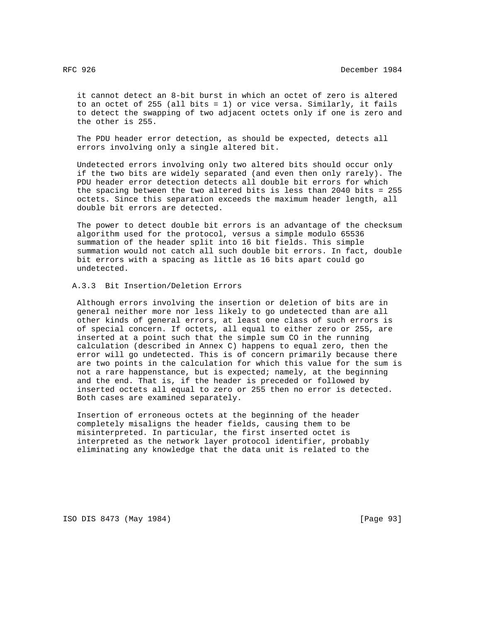it cannot detect an 8-bit burst in which an octet of zero is altered to an octet of 255 (all bits = 1) or vice versa. Similarly, it fails to detect the swapping of two adjacent octets only if one is zero and the other is 255.

 The PDU header error detection, as should be expected, detects all errors involving only a single altered bit.

 Undetected errors involving only two altered bits should occur only if the two bits are widely separated (and even then only rarely). The PDU header error detection detects all double bit errors for which the spacing between the two altered bits is less than 2040 bits = 255 octets. Since this separation exceeds the maximum header length, all double bit errors are detected.

 The power to detect double bit errors is an advantage of the checksum algorithm used for the protocol, versus a simple modulo 65536 summation of the header split into 16 bit fields. This simple summation would not catch all such double bit errors. In fact, double bit errors with a spacing as little as 16 bits apart could go undetected.

## A.3.3 Bit Insertion/Deletion Errors

 Although errors involving the insertion or deletion of bits are in general neither more nor less likely to go undetected than are all other kinds of general errors, at least one class of such errors is of special concern. If octets, all equal to either zero or 255, are inserted at a point such that the simple sum CO in the running calculation (described in Annex C) happens to equal zero, then the error will go undetected. This is of concern primarily because there are two points in the calculation for which this value for the sum is not a rare happenstance, but is expected; namely, at the beginning and the end. That is, if the header is preceded or followed by inserted octets all equal to zero or 255 then no error is detected. Both cases are examined separately.

 Insertion of erroneous octets at the beginning of the header completely misaligns the header fields, causing them to be misinterpreted. In particular, the first inserted octet is interpreted as the network layer protocol identifier, probably eliminating any knowledge that the data unit is related to the

ISO DIS 8473 (May 1984) [Page 93]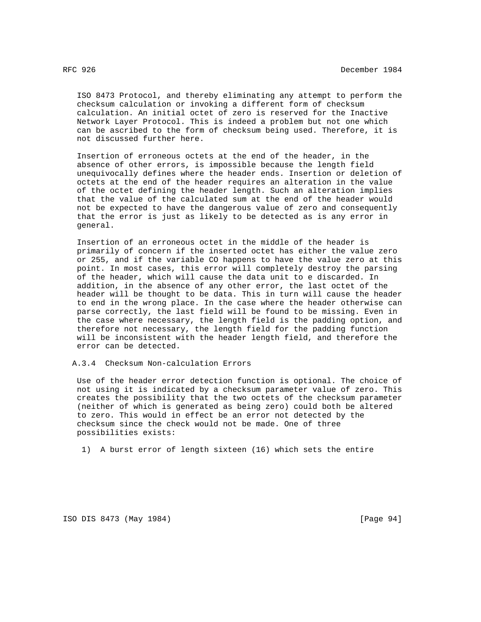ISO 8473 Protocol, and thereby eliminating any attempt to perform the checksum calculation or invoking a different form of checksum calculation. An initial octet of zero is reserved for the Inactive Network Layer Protocol. This is indeed a problem but not one which can be ascribed to the form of checksum being used. Therefore, it is not discussed further here.

 Insertion of erroneous octets at the end of the header, in the absence of other errors, is impossible because the length field unequivocally defines where the header ends. Insertion or deletion of octets at the end of the header requires an alteration in the value of the octet defining the header length. Such an alteration implies that the value of the calculated sum at the end of the header would not be expected to have the dangerous value of zero and consequently that the error is just as likely to be detected as is any error in general.

 Insertion of an erroneous octet in the middle of the header is primarily of concern if the inserted octet has either the value zero or 255, and if the variable CO happens to have the value zero at this point. In most cases, this error will completely destroy the parsing of the header, which will cause the data unit to e discarded. In addition, in the absence of any other error, the last octet of the header will be thought to be data. This in turn will cause the header to end in the wrong place. In the case where the header otherwise can parse correctly, the last field will be found to be missing. Even in the case where necessary, the length field is the padding option, and therefore not necessary, the length field for the padding function will be inconsistent with the header length field, and therefore the error can be detected.

A.3.4 Checksum Non-calculation Errors

 Use of the header error detection function is optional. The choice of not using it is indicated by a checksum parameter value of zero. This creates the possibility that the two octets of the checksum parameter (neither of which is generated as being zero) could both be altered to zero. This would in effect be an error not detected by the checksum since the check would not be made. One of three possibilities exists:

1) A burst error of length sixteen (16) which sets the entire

ISO DIS 8473 (May 1984) [Page 94]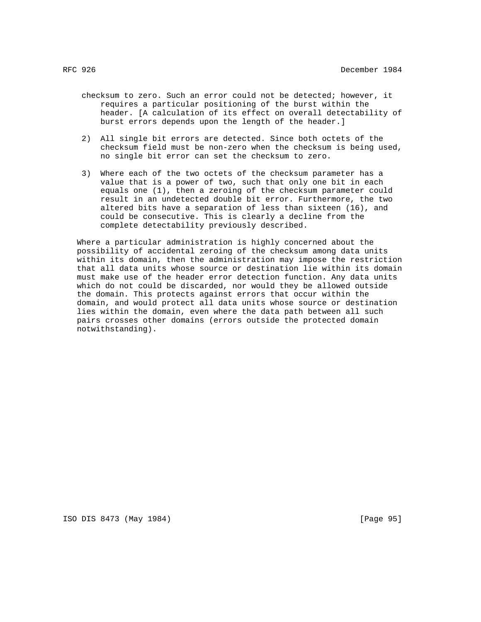- checksum to zero. Such an error could not be detected; however, it requires a particular positioning of the burst within the header. [A calculation of its effect on overall detectability of burst errors depends upon the length of the header.]
- 2) All single bit errors are detected. Since both octets of the checksum field must be non-zero when the checksum is being used, no single bit error can set the checksum to zero.
- 3) Where each of the two octets of the checksum parameter has a value that is a power of two, such that only one bit in each equals one (1), then a zeroing of the checksum parameter could result in an undetected double bit error. Furthermore, the two altered bits have a separation of less than sixteen (16), and could be consecutive. This is clearly a decline from the complete detectability previously described.

 Where a particular administration is highly concerned about the possibility of accidental zeroing of the checksum among data units within its domain, then the administration may impose the restriction that all data units whose source or destination lie within its domain must make use of the header error detection function. Any data units which do not could be discarded, nor would they be allowed outside the domain. This protects against errors that occur within the domain, and would protect all data units whose source or destination lies within the domain, even where the data path between all such pairs crosses other domains (errors outside the protected domain notwithstanding).

ISO DIS 8473 (May 1984) [Page 95]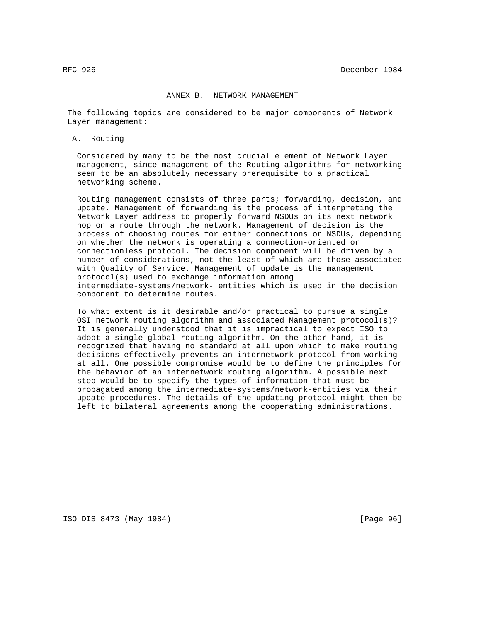### ANNEX B. NETWORK MANAGEMENT

 The following topics are considered to be major components of Network Layer management:

A. Routing

 Considered by many to be the most crucial element of Network Layer management, since management of the Routing algorithms for networking seem to be an absolutely necessary prerequisite to a practical networking scheme.

 Routing management consists of three parts; forwarding, decision, and update. Management of forwarding is the process of interpreting the Network Layer address to properly forward NSDUs on its next network hop on a route through the network. Management of decision is the process of choosing routes for either connections or NSDUs, depending on whether the network is operating a connection-oriented or connectionless protocol. The decision component will be driven by a number of considerations, not the least of which are those associated with Quality of Service. Management of update is the management protocol(s) used to exchange information among intermediate-systems/network- entities which is used in the decision component to determine routes.

 To what extent is it desirable and/or practical to pursue a single OSI network routing algorithm and associated Management protocol(s)? It is generally understood that it is impractical to expect ISO to adopt a single global routing algorithm. On the other hand, it is recognized that having no standard at all upon which to make routing decisions effectively prevents an internetwork protocol from working at all. One possible compromise would be to define the principles for the behavior of an internetwork routing algorithm. A possible next step would be to specify the types of information that must be propagated among the intermediate-systems/network-entities via their update procedures. The details of the updating protocol might then be left to bilateral agreements among the cooperating administrations.

ISO DIS 8473 (May 1984) [Page 96]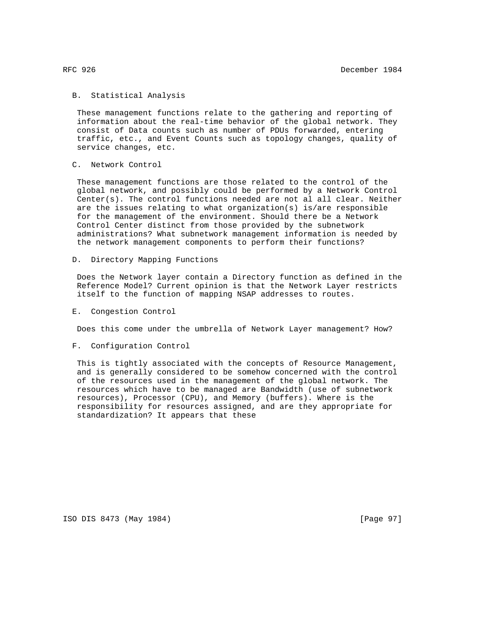# B. Statistical Analysis

 These management functions relate to the gathering and reporting of information about the real-time behavior of the global network. They consist of Data counts such as number of PDUs forwarded, entering traffic, etc., and Event Counts such as topology changes, quality of service changes, etc.

C. Network Control

 These management functions are those related to the control of the global network, and possibly could be performed by a Network Control Center(s). The control functions needed are not al all clear. Neither are the issues relating to what organization(s) is/are responsible for the management of the environment. Should there be a Network Control Center distinct from those provided by the subnetwork administrations? What subnetwork management information is needed by the network management components to perform their functions?

D. Directory Mapping Functions

 Does the Network layer contain a Directory function as defined in the Reference Model? Current opinion is that the Network Layer restricts itself to the function of mapping NSAP addresses to routes.

E. Congestion Control

Does this come under the umbrella of Network Layer management? How?

F. Configuration Control

 This is tightly associated with the concepts of Resource Management, and is generally considered to be somehow concerned with the control of the resources used in the management of the global network. The resources which have to be managed are Bandwidth (use of subnetwork resources), Processor (CPU), and Memory (buffers). Where is the responsibility for resources assigned, and are they appropriate for standardization? It appears that these

ISO DIS 8473 (May 1984) [Page 97]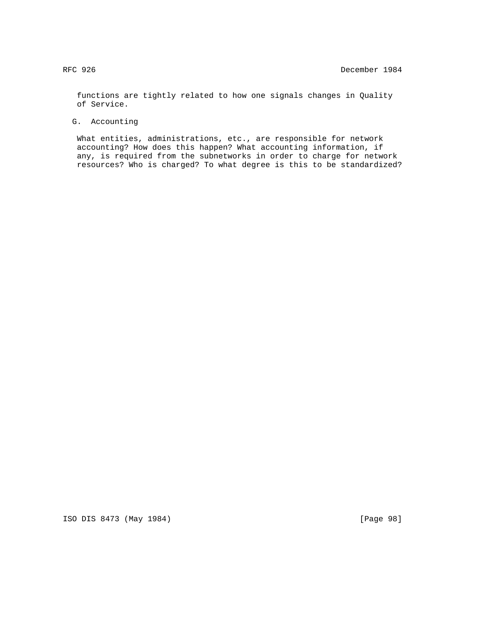functions are tightly related to how one signals changes in Quality of Service.

## G. Accounting

 What entities, administrations, etc., are responsible for network accounting? How does this happen? What accounting information, if any, is required from the subnetworks in order to charge for network resources? Who is charged? To what degree is this to be standardized?

ISO DIS 8473 (May 1984) [Page 98]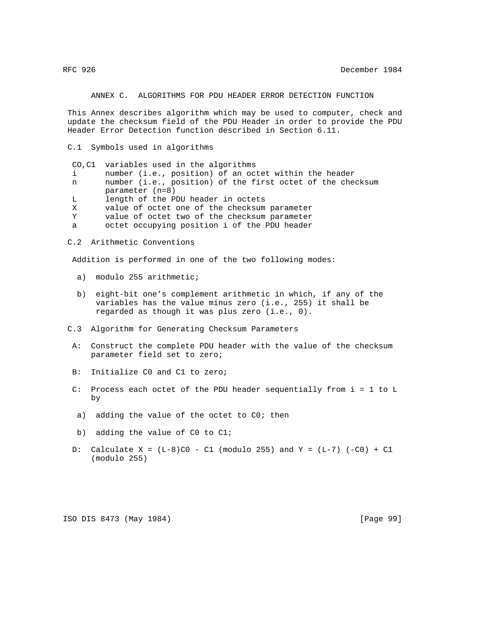ANNEX C. ALGORITHMS FOR PDU HEADER ERROR DETECTION FUNCTION

 This Annex describes algorithm which may be used to computer, check and update the checksum field of the PDU Header in order to provide the PDU Header Error Detection function described in Section 6.11.

- C.1 Symbols used in algorithms
- CO,C1 variables used in the algorithms
- i number (i.e., position) of an octet within the header
- n number (i.e., position) of the first octet of the checksum parameter (n=8)
- L length of the PDU header in octets
- X value of octet one of the checksum parameter
- Y value of octet two of the checksum parameter
- a octet occupying position i of the PDU header
- C.2 Arithmetic Conventions

Addition is performed in one of the two following modes:

- a) modulo 255 arithmetic;
- b) eight-bit one's complement arithmetic in which, if any of the variables has the value minus zero (i.e., 255) it shall be regarded as though it was plus zero (i.e., 0).
- C.3 Algorithm for Generating Checksum Parameters
- A: Construct the complete PDU header with the value of the checksum parameter field set to zero;
- B: Initialize C0 and C1 to zero;
- C: Process each octet of the PDU header sequentially from i = 1 to L by
- a) adding the value of the octet to C0; then
- b) adding the value of C0 to C1;
- D: Calculate X =  $(L-8)C0 C1$  (modulo 255) and Y =  $(L-7)$  (-C0) + C1 (modulo 255)

ISO DIS 8473 (May 1984) [Page 99]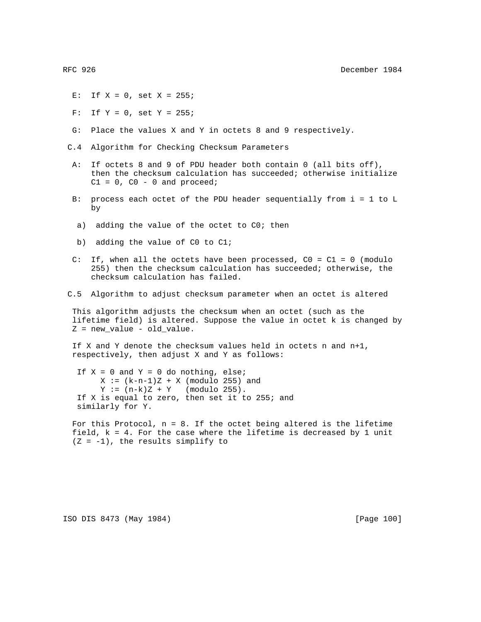- E: If  $X = 0$ , set  $X = 255$ ;
- F: If  $Y = 0$ , set  $Y = 255$ ;
- G: Place the values X and Y in octets 8 and 9 respectively.
- C.4 Algorithm for Checking Checksum Parameters
- A: If octets 8 and 9 of PDU header both contain 0 (all bits off), then the checksum calculation has succeeded; otherwise initialize  $C1 = 0$ ,  $C0 - 0$  and proceed;
- B: process each octet of the PDU header sequentially from i = 1 to L by
- a) adding the value of the octet to CO; then
- b) adding the value of C0 to C1;
- C: If, when all the octets have been processed,  $CO = Cl = 0$  (modulo 255) then the checksum calculation has succeeded; otherwise, the checksum calculation has failed.
- C.5 Algorithm to adjust checksum parameter when an octet is altered

 This algorithm adjusts the checksum when an octet (such as the lifetime field) is altered. Suppose the value in octet k is changed by Z = new\_value - old\_value.

 If X and Y denote the checksum values held in octets n and n+1, respectively, then adjust X and Y as follows:

If  $X = 0$  and  $Y = 0$  do nothing, else;  $X := (k-n-1)Z + X$  (modulo 255) and  $Y := (n-k)Z + Y$  (modulo 255). If X is equal to zero, then set it to 255; and similarly for Y.

 For this Protocol, n = 8. If the octet being altered is the lifetime field,  $k = 4$ . For the case where the lifetime is decreased by 1 unit  $(Z = -1)$ , the results simplify to

ISO DIS 8473 (May 1984) [Page 100]